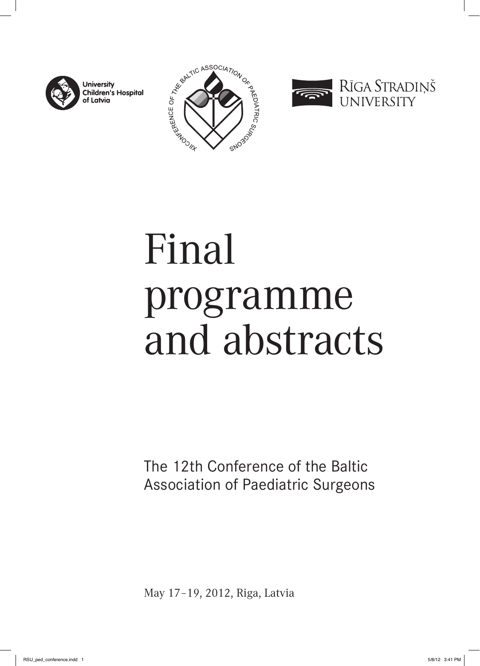

**University Children's Hospital** of Latvia





# Final programme and abstracts

The 12th Conference of the Baltic Association of Paediatric Surgeons

May 17–19, 2012, Riga, Latvia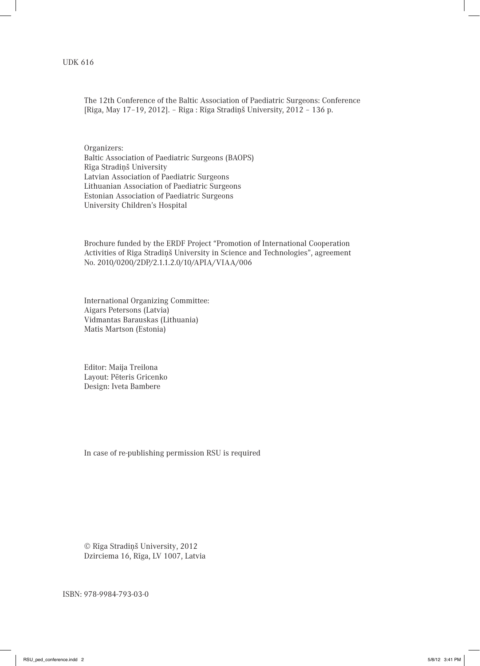#### UDK 616

The 12th Conference of the Baltic Association of Paediatric Surgeons: Conference [Riga, May 17–19, 2012]. – Riga : Rīga Stradiņš University, 2012 – 136 p.

Organizers: Baltic Association of Paediatric Surgeons (BAOPS) Rīga Stradiņš University Latvian Association of Paediatric Surgeons Lithuanian Association of Paediatric Surgeons Estonian Association of Paediatric Surgeons University Children's Hospital

Brochure funded by the ERDF Project "Promotion of International Cooperation Activities of Riga Stradiņš University in Science and Technologies", agreement No. 2010/0200/2DP/2.1.1.2.0/10/APIA/VIAA/006

International Organizing Committee: Aigars Petersons (Latvia) Vidmantas Barauskas (Lithuania) Matis Martson (Estonia)

Editor: Maija Treilona Layout: Pēteris Gricenko Design: Iveta Bambere

In case of re-publishing permission RSU is required

© Rīga Stradiņš University, 2012 Dzirciema 16, Rīga, LV 1007, Latvia

ISBN: 978-9984-793-03-0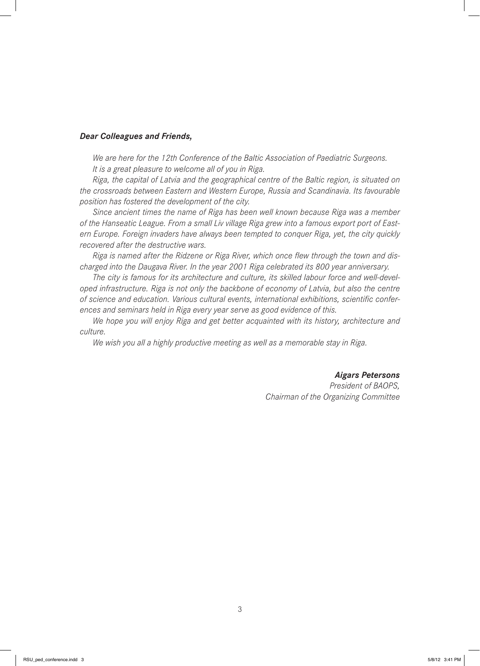#### *Dear Colleagues and Friends,*

*We are here for the 12th Conference of the Baltic Association of Paediatric Surgeons. It is a great pleasure to welcome all of you in Riga.*

*Riga, the capital of Latvia and the geographical centre of the Baltic region, is situated on the crossroads between Eastern and Western Europe, Russia and Scandinavia. Its favourable position has fostered the development of the city.*

*Since ancient times the name of Riga has been well known because Riga was a member of the Hanseatic League. From a small Liv village Riga grew into a famous export port of Eastern Europe. Foreign invaders have always been tempted to conquer Riga, yet, the city quickly recovered after the destructive wars.*

Riga is named after the Ridzene or Riga River, which once flew through the town and dis*charged into the Daugava River. In the year 2001 Riga celebrated its 800 year anniversary.*

*The city is famous for its architecture and culture, its skilled labour force and well-developed infrastructure. Riga is not only the backbone of economy of Latvia, but also the centre*  of science and education. Various cultural events, international exhibitions, scientific confer*ences and seminars held in Riga every year serve as good evidence of this.*

*We hope you will enjoy Riga and get better acquainted with its history, architecture and culture.*

*We wish you all a highly productive meeting as well as a memorable stay in Riga.*

*Aigars Petersons*

*President of BAOPS, Chairman of the Organizing Committee*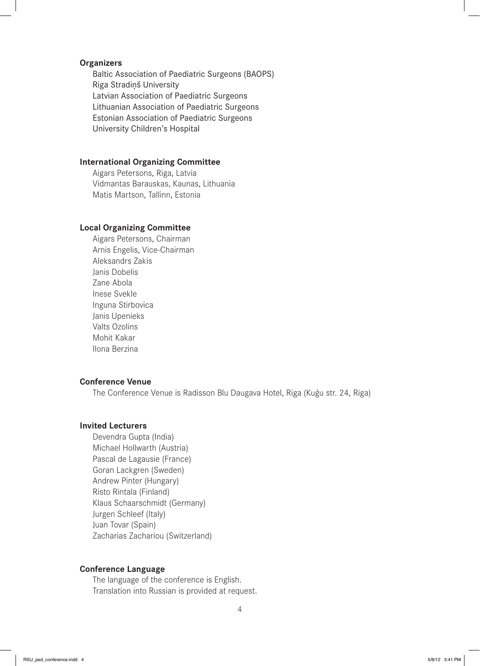#### **Organizers**

Baltic Association of Paediatric Surgeons (BAOPS) Riga Stradiņš University Latvian Association of Paediatric Surgeons Lithuanian Association of Paediatric Surgeons Estonian Association of Paediatric Surgeons University Children's Hospital

# **International Organizing Committee**

Aigars Petersons, Riga, Latvia Vidmantas Barauskas, Kaunas, Lithuania Matis Martson, Tallinn, Estonia

# **Local Organizing Committee**

Aigars Petersons, Chairman Arnis Engelis, Vice-Chairman Aleksandrs Zakis Janis Dobelis Zane Abola Inese Svekle Inguna Stirbovica Janis Upenieks Valts Ozolins Mohit Kakar Ilona Berzina

#### **Conference Venue**

The Conference Venue is Radisson Blu Daugava Hotel, Riga (Kuģu str. 24, Riga)

# **Invited Lecturers**

Devendra Gupta (India) Michael Hollwarth (Austria) Pascal de Lagausie (France) Goran Lackgren (Sweden) Andrew Pinter (Hungary) Risto Rintala (Finland) Klaus Schaarschmidt (Germany) Jurgen Schleef (Italy) Juan Tovar (Spain) Zacharias Zachariou (Switzerland)

## **Conference Language**

The language of the conference is English. Translation into Russian is provided at request.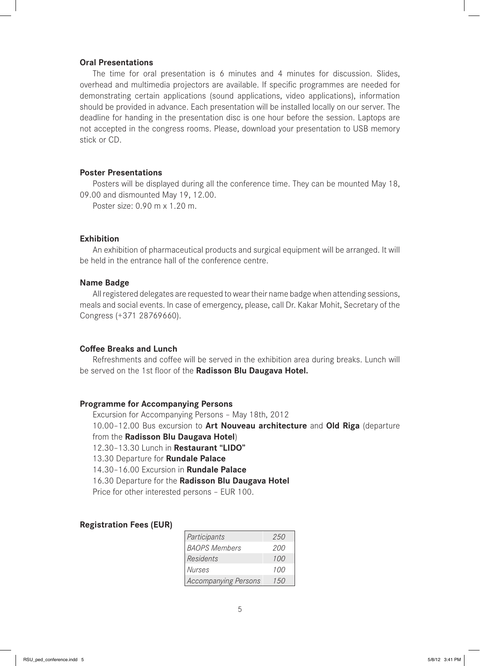## **Oral Presentations**

The time for oral presentation is 6 minutes and 4 minutes for discussion. Slides, overhead and multimedia projectors are available. If specific programmes are needed for demonstrating certain applications (sound applications, video applications), information should be provided in advance. Each presentation will be installed locally on our server. The deadline for handing in the presentation disc is one hour before the session. Laptops are not accepted in the congress rooms. Please, download your presentation to USB memory stick or CD.

#### **Poster Presentations**

Posters will be displayed during all the conference time. They can be mounted May 18, 09.00 and dismounted May 19, 12.00.

Poster size: 0.90 m x 1.20 m.

## **Exhibition**

An exhibition of pharmaceutical products and surgical equipment will be arranged. It will be held in the entrance hall of the conference centre.

#### **Name Badge**

All registered delegates are requested to wear their name badge when attending sessions, meals and social events. In case of emergency, please, call Dr. Kakar Mohit, Secretary of the Congress (+371 28769660).

#### **Coff ee Breaks and Lunch**

Refreshments and coffee will be served in the exhibition area during breaks. Lunch will be served on the 1st floor of the Radisson Blu Daugava Hotel.

#### **Programme for Accompanying Persons**

Excursion for Accompanying Persons – May 18th, 2012 10.00–12.00 Bus excursion to **Art Nouveau architecture** and **Old Riga** (departure from the **Radisson Blu Daugava Hotel**) 12.30–13.30 Lunch in **Restaurant "LIDO"**

13.30 Departure for **Rundale Palace**

14.30–16.00 Excursion in **Rundale Palace**

16.30 Departure for the **Radisson Blu Daugava Hotel**

Price for other interested persons – EUR 100.

#### **Registration Fees (EUR)**

| Participants         | 250 |
|----------------------|-----|
| <b>BAOPS Members</b> | 200 |
| Residents            | 100 |
| <i>Nurses</i>        | 100 |
| Accompanying Persons | 150 |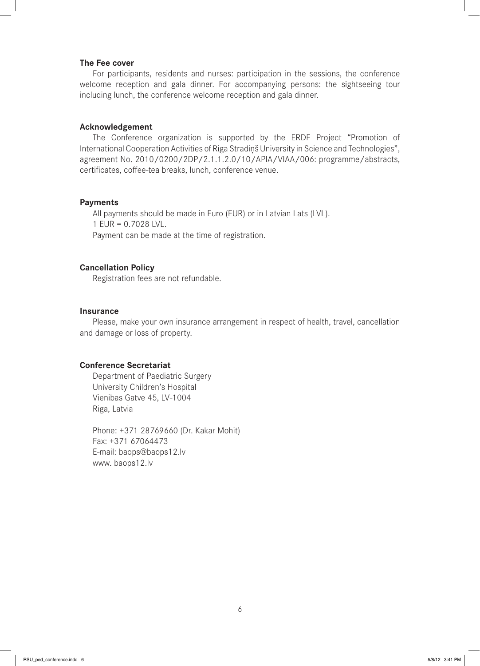#### **The Fee cover**

For participants, residents and nurses: participation in the sessions, the conference welcome reception and gala dinner. For accompanying persons: the sightseeing tour including lunch, the conference welcome reception and gala dinner.

#### **Acknowledgement**

The Conference organization is supported by the ERDF Project "Promotion of International Cooperation Activities of Riga Stradiņš University in Science and Technologies", agreement No. 2010/0200/2DP/2.1.1.2.0/10/APIA/VIAA/006: programme/abstracts, certificates, coffee-tea breaks, lunch, conference venue.

#### **Payments**

All payments should be made in Euro (EUR) or in Latvian Lats (LVL). 1 EUR = 0.7028 LVL. Payment can be made at the time of registration.

## **Cancellation Policy**

Registration fees are not refundable.

#### **Insurance**

Please, make your own insurance arrangement in respect of health, travel, cancellation and damage or loss of property.

# **Conference Secretariat**

Department of Paediatric Surgery University Children's Hospital Vienibas Gatve 45, LV-1004 Riga, Latvia

Phone: +371 28769660 (Dr. Kakar Mohit) Fax: +371 67064473 E-mail: baops@baops12.lv www. baops12.lv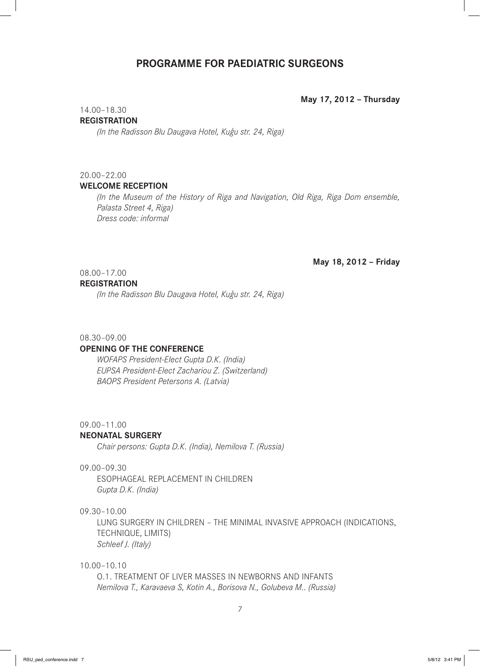# **PROGRAMME FOR PAEDIATRIC SURGEONS**

**May 17, 2012 – Thursday**

# 14.00–18.30

# **REGISTRATION**

*(In the Radisson Blu Daugava Hotel, Kuģu str. 24, Riga)*

#### 20.00–22.00

### **WELCOME RECEPTION**

*(In the Museum of the History of Riga and Navigation, Old Riga, Riga Dom ensemble, Palasta Street 4, Riga) Dress code: informal*

#### **May 18, 2012 – Friday**

# 08.00–17.00

#### **REGISTRATION**

*(In the Radisson Blu Daugava Hotel, Kuģu str. 24, Riga)*

#### 08.30–09.00

#### **OPENING OF THE CONFERENCE**

*WOFAPS President-Elect Gupta D.K. (India) EUPSA President-Elect Zachariou Z. (Switzerland) BAOPS President Petersons A. (Latvia)*

#### 09.00–11.00

#### **NEONATAL SURGERY**

*Chair persons: Gupta D.K. (India), Nemilova T. (Russia)*

#### 09.00–09.30

ESOPHAGEAL REPLACEMENT IN CHILDREN *Gupta D.K. (India)*

09.30–10.00

LUNG SURGERY IN CHILDREN – THE MINIMAL INVASIVE APPROACH (INDICATIONS, TECHNIQUE, LIMITS) *Schleef J. (Italy)*

#### 10.00–10.10

O.1. TREATMENT OF LIVER MASSES IN NEWBORNS AND INFANTS *Nemilova T., Karavaeva S, Kotin A., Borisova N., Golubeva M.. (Russia)*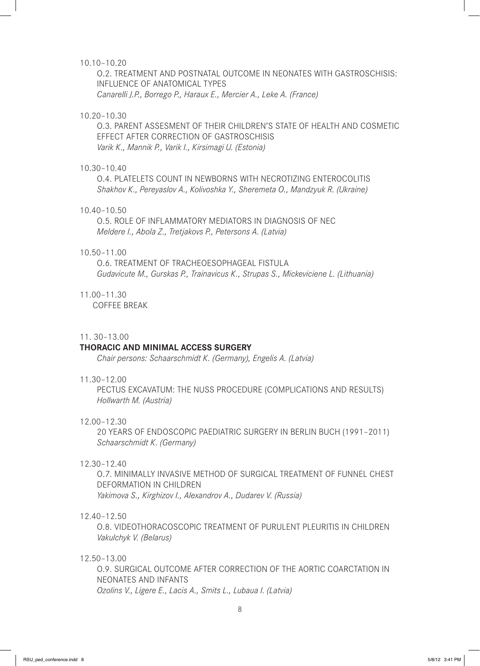#### 10.10–10.20

O.2. TREATMENT AND POSTNATAL OUTCOME IN NEONATES WITH GASTROSCHISIS: INFLUENCE OF ANATOMICAL TYPES *Canarelli J.P., Borrego P., Haraux E., Mercier A., Leke A. (France)*

## 10.20–10.30

O.3. PARENT ASSESMENT OF THEIR CHILDREN'S STATE OF HEALTH AND COSMETIC EFFECT AFTER CORRECTION OF GASTROSCHISIS *Varik K., Mannik P., Varik I., Kirsimagi U. (Estonia)* 

# 10.30–10.40

O.4. PLATELETS COUNT IN NEWBORNS WITH NECROTIZING ENTEROCOLITIS *Shakhov K., Pereyaslov A., Kolivoshka Y., Sheremeta O., Mandzyuk R. (Ukraine)*

#### 10.40–10.50

O.5. ROLE OF INFLAMMATORY MEDIATORS IN DIAGNOSIS OF NEC *Meldere I., Abola Z., Tretjakovs P., Petersons A. (Latvia)*

#### 10.50–11.00

O.6. TREATMENT OF TRACHEOESOPHAGEAL FISTULA *Gudavicute M., Gurskas P., Trainavicus K., Strupas S., Mickeviciene L. (Lithuania)*

#### 11.00–11.30

COFFEE BREAK

#### 11. 30–13.00

#### **THORACIC AND MINIMAL ACCESS SURGERY**

*Chair persons: Schaarschmidt K. (Germany), Engelis A. (Latvia)*

#### 11.30–12.00

PECTUS EXCAVATUM: THE NUSS PROCEDURE (COMPLICATIONS AND RESULTS) *Hollwarth M. (Austria)*

#### 12.00–12.30

20 YEARS OF ENDOSCOPIC PAEDIATRIC SURGERY IN BERLIN BUCH (1991–2011) *Schaarschmidt K. (Germany)*

# 12.30–12.40

O.7. MINIMALLY INVASIVE METHOD OF SURGICAL TREATMENT OF FUNNEL CHEST DEFORMATION IN CHILDREN *Yakimova S., Kirghizov I., Alexandrov A., Dudarev V. (Russia)*

#### 12.40–12.50

O.8. VIDEOTHORACOSCOPIC TREATMENT OF PURULENT PLEURITIS IN CHILDREN *Vakulchyk V. (Belarus)*

## 12.50–13.00

O.9. SURGICAL OUTCOME AFTER CORRECTION OF THE AORTIC COARCTATION IN NEONATES AND INFANTS *Ozolins V., Ligere E., Lacis A., Smits L., Lubaua I. (Latvia)*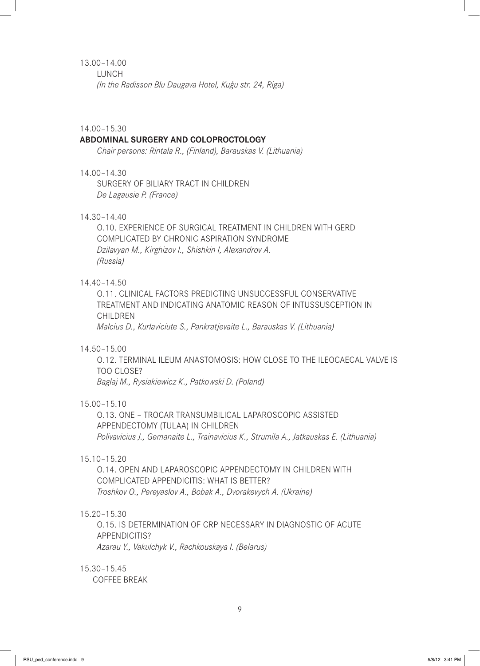# 13.00–14.00

LUNCH *(In the Radisson Blu Daugava Hotel, Kuģu str. 24, Riga)*

#### 14.00–15.30

#### **ABDOMINAL SURGERY AND COLOPROCTOLOGY**

*Chair persons: Rintala R., (Finland), Barauskas V. (Lithuania)*

## 14.00–14.30

SURGERY OF BILIARY TRACT IN CHILDREN *De Lagausie P. (France)*

# 14.30–14.40

O.10. EXPERIENCE OF SURGICAL TREATMENT IN CHILDREN WITH GERD COMPLICATED BY CHRONIC ASPIRATION SYNDROME *Dzilavyan M., Kirghizov I., Shishkin I, Alexandrov A. (Russia)*

#### 14.40–14.50

O.11. CLINICAL FACTORS PREDICTING UNSUCCESSFUL CONSERVATIVE TREATMENT AND INDICATING ANATOMIC REASON OF INTUSSUSCEPTION IN CHILDREN

*Malcius D., Kurlaviciute S., Pankratjevaite L., Barauskas V. (Lithuania)*

#### 14.50–15.00

O.12. TERMINAL ILEUM ANASTOMOSIS: HOW CLOSE TO THE ILEOCAECAL VALVE IS TOO CLOSE? *Baglaj M., Rysiakiewicz K., Patkowski D. (Poland)*

#### 15.00–15.10

O.13. ONE – TROCAR TRANSUMBILICAL LAPAROSCOPIC ASSISTED APPENDECTOMY (TULAA) IN CHILDREN *Polivavicius J., Gemanaite L., Trainavicius K., Strumila A., Jatkauskas E. (Lithuania)*

### 15.10–15.20

O.14. OPEN AND LAPAROSCOPIC APPENDECTOMY IN CHILDREN WITH COMPLICATED APPENDICITIS: WHAT IS BETTER? *Troshkov O., Pereyaslov A., Bobak A., Dvorakevych A. (Ukraine)*

#### 15.20–15.30

O.15. IS DETERMINATION OF CRP NECESSARY IN DIAGNOSTIC OF ACUTE APPENDICITIS? *Azarau Y., Vakulchyk V., Rachkouskaya I. (Belarus)*

15.30–15.45

COFFEE BREAK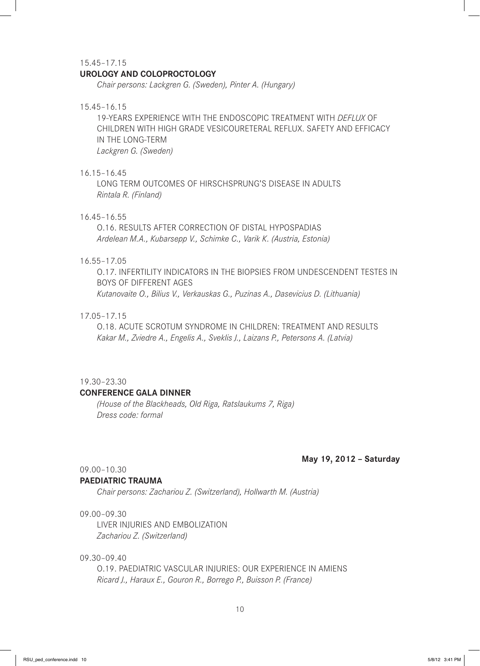#### 15.45–17.15

#### **UROLOGY AND COLOPROCTOLOGY**

*Chair persons: Lackgren G. (Sweden), Pinter A. (Hungary)*

#### 15.45–16.15

19-YEARS EXPERIENCE WITH THE ENDOSCOPIC TREATMENT WITH *DEFLUX* OF CHILDREN WITH HIGH GRADE VESICOURETERAL REFLUX. SAFETY AND EFFICACY IN THE LONG-TERM *Lackgren G. (Sweden)*

#### 16.15–16.45

LONG TERM OUTCOMES OF HIRSCHSPRUNG'S DISEASE IN ADULTS *Rintala R. (Finland)*

#### 16.45–16.55

O.16. RESULTS AFTER CORRECTION OF DISTAL HYPOSPADIAS *Ardelean M.A., Kubarsepp V., Schimke C., Varik K. (Austria, Estonia)*

## 16.55–17.05

O.17. INFERTILITY INDICATORS IN THE BIOPSIES FROM UNDESCENDENT TESTES IN BOYS OF DIFFERENT AGES *Kutanovaite O., Bilius V., Verkauskas G., Puzinas A., Dasevicius D. (Lithuania)*

#### 17.05–17.15

O.18. ACUTE SCROTUM SYNDROME IN CHILDREN: TREATMENT AND RESULTS *Kakar M., Zviedre A., Engelis A., Sveklis J., Laizans P., Petersons A. (Latvia)*

#### 19.30–23.30

#### **CONFERENCE GALA DINNER**

*(House of the Blackheads, Old Riga, Ratslaukums 7, Riga) Dress code: formal*

#### **May 19, 2012 – Saturday**

09.00–10.30

#### **PAEDIATRIC TRAUMA**

*Chair persons: Zachariou Z. (Switzerland), Hollwarth M. (Austria)*

# 09.00–09.30

LIVER INJURIES AND EMBOLIZATION *Zachariou Z. (Switzerland)*

# 09.30–09.40

O.19. PAEDIATRIC VASCULAR INJURIES: OUR EXPERIENCE IN AMIENS *Ricard J., Haraux E., Gouron R., Borrego P., Buisson P. (France)*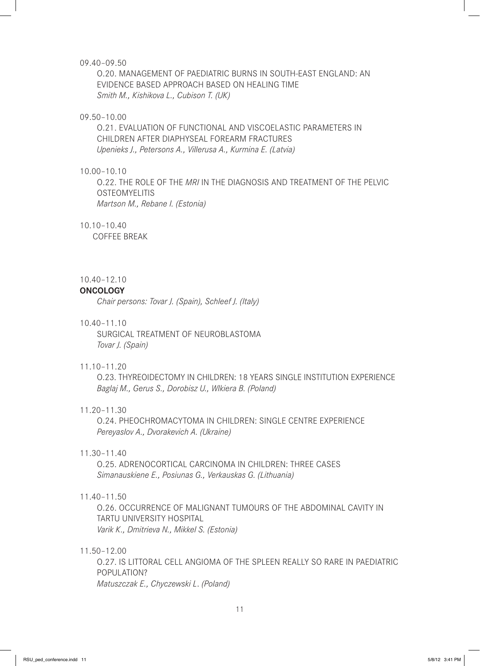#### 09.40–09.50

O.20. MANAGEMENT OF PAEDIATRIC BURNS IN SOUTH-EAST ENGLAND: AN EVIDENCE BASED APPROACH BASED ON HEALING TIME *Smith M., Kishikova L., Cubison T. (UK)*

#### 09.50–10.00

O.21. EVALUATION OF FUNCTIONAL AND VISCOELASTIC PARAMETERS IN CHILDREN AFTER DIAPHYSEAL FOREARM FRACTURES *Upenieks J., Petersons A., Villerusa A., Kurmina E. (Latvia)*

# 10.00–10.10

O.22. THE ROLE OF THE *MRI* IN THE DIAGNOSIS AND TREATMENT OF THE PELVIC **OSTEOMYELITIS** *Martson M., Rebane I. (Estonia)*

## 10.10–10.40

COFFEE BREAK

#### 10.40–12.10

#### **ONCOLOGY**

*Chair persons: Tovar J. (Spain), Schleef J. (Italy)*

# 10.40–11.10

SURGICAL TREATMENT OF NEUROBLASTOMA *Tovar J. (Spain)*

#### 11.10–11.20

O.23. THYREOIDECTOMY IN CHILDREN: 18 YEARS SINGLE INSTITUTION EXPERIENCE *Baglaj M., Gerus S., Dorobisz U., Wlkiera B. (Poland)*

## 11.20–11.30

O.24. PHEOCHROMACYTOMA IN CHILDREN: SINGLE CENTRE EXPERIENCE *Pereyaslov A., Dvorakevich A. (Ukraine)*

# 11.30–11.40

O.25. ADRENOCORTICAL CARCINOMA IN CHILDREN: THREE CASES *Simanauskiene E., Posiunas G., Verkauskas G. (Lithuania)*

#### 11.40–11.50

O.26. OCCURRENCE OF MALIGNANT TUMOURS OF THE ABDOMINAL CAVITY IN TARTU UNIVERSITY HOSPITAL *Varik K., Dmitrieva N., Mikkel S. (Estonia)*

# 11.50–12.00

O.27. IS LITTORAL CELL ANGIOMA OF THE SPLEEN REALLY SO RARE IN PAEDIATRIC POPULATION? *Matuszczak E., Chyczewski L*. *(Poland)*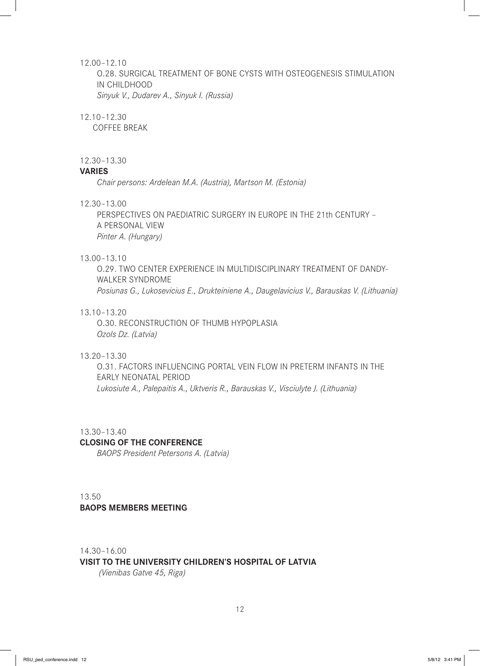#### 12.00–12.10

O.28. SURGICAL TREATMENT OF BONE CYSTS WITH OSTEOGENESIS STIMULATION IN CHILDHOOD *Sinyuk V., Dudarev A., Sinyuk I. (Russia)*

#### 12.10–12.30

COFFEE BREAK

## 12.30–13.30

# **VARIES**

*Chair persons: Ardelean M.A. (Austria), Martson M. (Estonia)*

#### 12.30–13.00

PERSPECTIVES ON PAEDIATRIC SURGERY IN EUROPE IN THE 21th CENTURY – A PERSONAL VIEW *Pinter A. (Hungary)*

#### 13.00–13.10

O.29. TWO CENTER EXPERIENCE IN MULTIDISCIPLINARY TREATMENT OF DANDY-WALKER SYNDROME *Posiunas G., Lukosevicius E., Drukteiniene A., Daugelavicius V., Barauskas V. (Lithuania)*

## 13.10–13.20

O.30. RECONSTRUCTION OF THUMB HYPOPLASIA *Ozols Dz. (Latvia)*

# 13.20–13.30

O.31. FACTORS INFLUENCING PORTAL VEIN FLOW IN PRETERM INFANTS IN THE EARLY NEONATAL PERIOD *Lukosiute A., Palepaitis A., Uktveris R., Barauskas V., Visciulyte J. (Lithuania)*

#### 13.30–13.40

#### **CLOSING OF THE CONFERENCE**

*BAOPS President Petersons A. (Latvia)*

13.50 **BAOPS MEMBERS MEETING**

14.30–16.00

#### **VISIT TO THE UNIVERSITY CHILDREN'S HOSPITAL OF LATVIA**

 *(Vienibas Gatve 45, Riga)*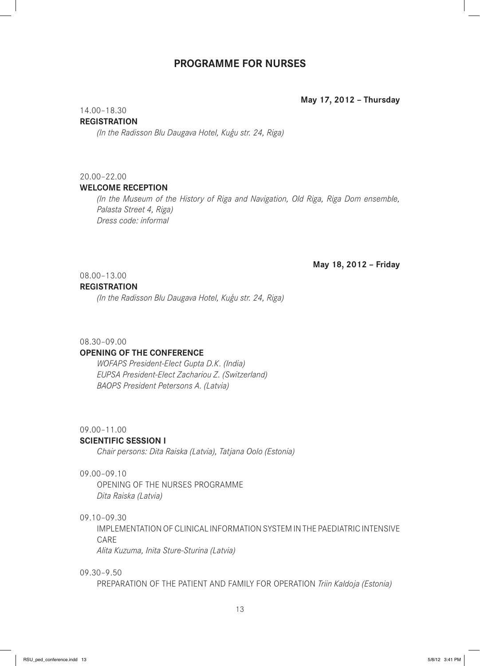# **PROGRAMME FOR NURSES**

#### **May 17, 2012 – Thursday**

#### 14.00–18.30

#### **REGISTRATION**

*(In the Radisson Blu Daugava Hotel, Kuģu str. 24, Riga)*

# 20.00–22.00

#### **WELCOME RECEPTION**

*(In the Museum of the History of Riga and Navigation, Old Riga, Riga Dom ensemble, Palasta Street 4, Riga) Dress code: informal*

#### **May 18, 2012 – Friday**

# 08.00–13.00

#### **REGISTRATION**

*(In the Radisson Blu Daugava Hotel, Kuģu str. 24, Riga)*

#### 08.30–09.00

#### **OPENING OF THE CONFERENCE**

*WOFAPS President-Elect Gupta D.K. (India) EUPSA President-Elect Zachariou Z. (Switzerland) BAOPS President Petersons A. (Latvia)*

# 09.00–11.00

#### **SCIENTIFIC SESSION I**

*Chair persons: Dita Raiska (Latvia), Tatjana Oolo (Estonia)*

#### 09.00–09.10

OPENING OF THE NURSES PROGRAMME *Dita Raiska (Latvia)*

# 09.10–09.30

IMPLEMENTATION OF CLINICAL INFORMATION SYSTEM IN THE PAEDIATRIC INTENSIVE CARE

*Alita Kuzuma, Inita Sture-Sturina (Latvia)*

#### 09.30–9.50

PREPARATION OF THE PATIENT AND FAMILY FOR OPERATION *Triin Kaldoja (Estonia)*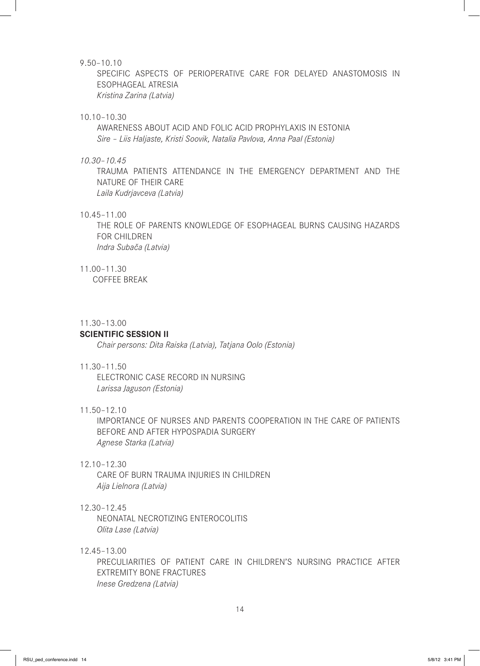#### 9.50–10.10

SPECIFIC ASPECTS OF PERIOPERATIVE CARE FOR DELAYED ANASTOMOSIS IN ESOPHAGEAL ATRESIA *Kristina Zarina (Latvia)*

#### 10.10–10.30

AWARENESS ABOUT ACID AND FOLIC ACID PROPHYLAXIS IN ESTONIA *Sire – Liis Haljaste, Kristi Soovik, Natalia Pavlova, Anna Paal (Estonia)*

#### *10.30–10.45*

TRAUMA PATIENTS ATTENDANCE IN THE EMERGENCY DEPARTMENT AND THE NATURE OF THEIR CARE *Laila Kudrjavceva (Latvia)*

#### 10.45–11.00

THE ROLE OF PARENTS KNOWLEDGE OF ESOPHAGEAL BURNS CAUSING HAZARDS FOR CHILDREN *Indra Subača (Latvia)*

#### 11.00–11.30

COFFEE BREAK

#### 11.30–13.00

#### **SCIENTIFIC SESSION II**

*Chair persons: Dita Raiska (Latvia), Tatjana Oolo (Estonia)*

#### 11.30–11.50

ELECTRONIC CASE RECORD IN NURSING *Larissa Jaguson (Estonia)*

## 11.50–12.10

IMPORTANCE OF NURSES AND PARENTS COOPERATION IN THE CARE OF PATIENTS BEFORE AND AFTER HYPOSPADIA SURGERY *Agnese Starka (Latvia)*

## 12.10–12.30

CARE OF BURN TRAUMA INJURIES IN CHILDREN *Aija Lielnora (Latvia)*

#### 12.30–12.45

NEONATAL NECROTIZING ENTEROCOLITIS *Olita Lase (Latvia)*

# 12.45–13.00

PRECULIARITIES OF PATIENT CARE IN CHILDREN'S NURSING PRACTICE AFTER EXTREMITY BONE FRACTURES *Inese Gredzena (Latvia)*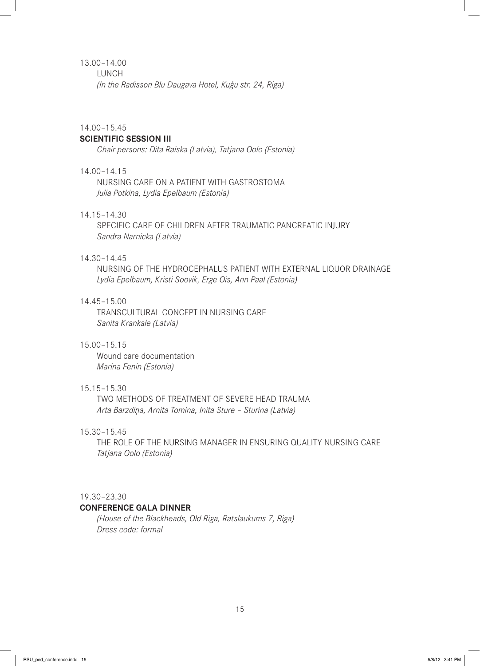# 13.00–14.00

LUNCH

*(In the Radisson Blu Daugava Hotel, Kuģu str. 24, Riga)*

#### 14.00–15.45

# **SCIENTIFIC SESSION III**

*Chair persons: Dita Raiska (Latvia), Tatjana Oolo (Estonia)*

# 14.00–14.15

NURSING CARE ON A PATIENT WITH GASTROSTOMA *Julia Potkina, Lydia Epelbaum (Estonia)*

# 14.15–14.30

SPECIFIC CARE OF CHILDREN AFTER TRAUMATIC PANCREATIC INJURY *Sandra Narnicka (Latvia)*

# 14.30–14.45

NURSING OF THE HYDROCEPHALUS PATIENT WITH EXTERNAL LIQUOR DRAINAGE *Lydia Epelbaum, Kristi Soovik, Erge Ois, Ann Paal (Estonia)*

#### 14.45–15.00

TRANSCULTURAL CONCEPT IN NURSING CARE *Sanita Krankale (Latvia)*

# 15.00–15.15

Wound care documentation *Marina Fenin (Estonia)*

# 15.15–15.30

TWO METHODS OF TREATMENT OF SEVERE HEAD TRAUMA *Arta Barzdiņa, Arnita Tomina, Inita Sture – Sturina (Latvia)*

# 15.30–15.45

THE ROLE OF THE NURSING MANAGER IN ENSURING QUALITY NURSING CARE *Tatjana Oolo (Estonia)*

#### 19.30–23.30

#### **CONFERENCE GALA DINNER**

*(House of the Blackheads, Old Riga, Ratslaukums 7, Riga) Dress code: formal*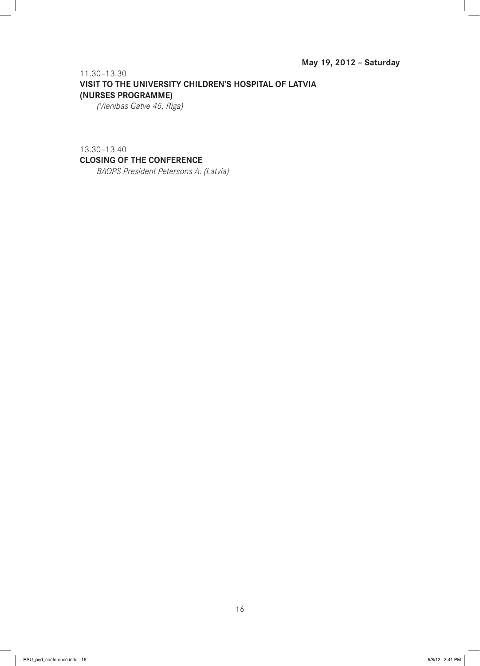11.30–13.30 **VISIT TO THE UNIVERSITY CHILDREN'S HOSPITAL OF LATVIA (NURSES PROGRAMME)**

*(Vienibas Gatve 45, Riga)*

# 13.30–13.40 **CLOSING OF THE CONFERENCE**

*BAOPS President Petersons A. (Latvia)*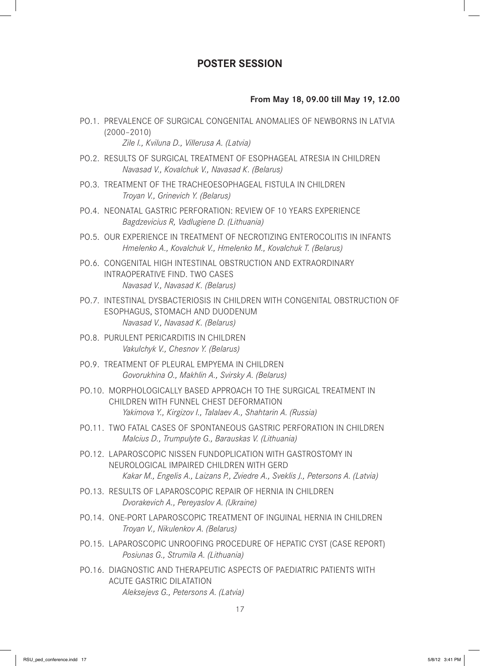# **POSTER SESSION**

# **From May 18, 09.00 till May 19, 12.00**

- PO.1. PREVALENCE OF SURGICAL CONGENITAL ANOMALIES OF NEWBORNS IN LATVIA (2000–2010) *Zile I., Kviluna D., Villerusa A. (Latvia)*
- PO.2. RESULTS OF SURGICAL TREATMENT OF ESOPHAGEAL ATRESIA IN CHILDREN *Navasad V., Kovalchuk V., Navasad K. (Belarus)*
- PO.3. TREATMENT OF THE TRACHEOESOPHAGEAL FISTULA IN CHILDREN *Troyan V., Grinevich Y. (Belarus)*
- PO.4. NEONATAL GASTRIC PERFORATION: REVIEW OF 10 YEARS EXPERIENCE *Bagdzevicius R, Vadlugiene D. (Lithuania)*
- PO.5. OUR EXPERIENCE IN TREATMENT OF NECROTIZING ENTEROCOLITIS IN INFANTS *Hmelenko A., Kovalchuk V., Hmelenko M., Kovalchuk T. (Belarus)*
- PO.6. CONGENITAL HIGH INTESTINAL OBSTRUCTION AND EXTRAORDINARY INTRAOPERATIVE FIND. TWO CASES *Navasad V., Navasad K. (Belarus)*
- PO.7. INTESTINAL DYSBACTERIOSIS IN CHILDREN WITH CONGENITAL OBSTRUCTION OF ESOPHAGUS, STOMACH AND DUODENUM *Navasad V., Navasad K. (Belarus)*
- PO.8. PURULENT PERICARDITIS IN CHILDREN *Vakulchyk V., Chesnov Y. (Belarus)*
- PO.9. TREATMENT OF PLEURAL EMPYEMA IN CHILDREN *Govorukhina O., Makhlin A., Svirsky A. (Belarus)*
- PO.10. MORPHOLOGICALLY BASED APPROACH TO THE SURGICAL TREATMENT IN CHILDREN WITH FUNNEL CHEST DEFORMATION *Yakimova Y., Kirgizov I., Talalaev A., Shahtarin A. (Russia)*
- PO.11. TWO FATAL CASES OF SPONTANEOUS GASTRIC PERFORATION IN CHILDREN *Malcius D., Trumpulyte G., Barauskas V. (Lithuania)*
- PO.12. LAPAROSCOPIC NISSEN FUNDOPLICATION WITH GASTROSTOMY IN NEUROLOGICAL IMPAIRED CHILDREN WITH GERD *Kakar M., Engelis A., Laizans P., Zviedre A., Sveklis J., Petersons A. (Latvia)*
- PO.13. RESULTS OF LAPAROSCOPIC REPAIR OF HERNIA IN CHILDREN *Dvorakevich A., Pereyaslov A. (Ukraine)*
- PO.14. ONE-PORT LAPAROSCOPIC TREATMENT OF INGUINAL HERNIA IN CHILDREN *Troyan V., Nikulenkov A. (Belarus)*
- PO.15. LAPAROSCOPIC UNROOFING PROCEDURE OF HEPATIC CYST (CASE REPORT) *Posiunas G., Strumila A. (Lithuania)*
- PO.16. DIAGNOSTIC AND THERAPEUTIC ASPECTS OF PAEDIATRIC PATIENTS WITH ACUTE GASTRIC DILATATION *Aleksejevs G., Petersons A. (Latvia)*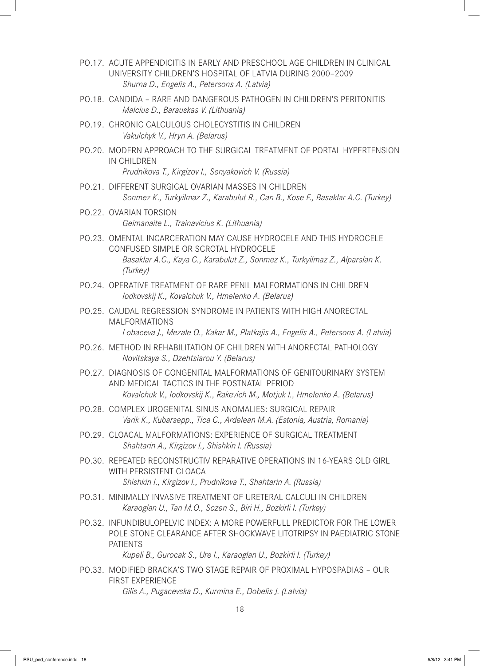- PO.17. ACUTE APPENDICITIS IN EARLY AND PRESCHOOL AGE CHILDREN IN CLINICAL UNIVERSITY CHILDREN'S HOSPITAL OF LATVIA DURING 2000–2009 *Shurna D., Engelis A., Petersons A. (Latvia)*
- PO.18. CANDIDA RARE AND DANGEROUS PATHOGEN IN CHILDREN'S PERITONITIS *Malcius D., Barauskas V. (Lithuania)*
- PO.19. CHRONIC CALCULOUS CHOLECYSTITIS IN CHILDREN *Vakulchyk V., Hryn A. (Belarus)*
- PO.20. MODERN APPROACH TO THE SURGICAL TREATMENT OF PORTAL HYPERTENSION IN CHILDREN *Prudnikova T., Kirgizov I., Senyakovich V. (Russia)*

- PO.21. DIFFERENT SURGICAL OVARIAN MASSES IN CHILDREN *Sonmez K., Turkyilmaz Z., Karabulut R., Can B., Kose F., Basaklar A.C. (Turkey)*
- PO.22. OVARIAN TORSION *Geimanaite L., Trainavicius K. (Lithuania)*
- PO.23. OMENTAL INCARCERATION MAY CAUSE HYDROCELE AND THIS HYDROCELE CONFUSED SIMPLE OR SCROTAL HYDROCELE *Basaklar A.C., Kaya C., Karabulut Z., Sonmez K., Turkyilmaz Z., Alparslan K. (Turkey)*
- PO.24. OPERATIVE TREATMENT OF RARE PENIL MALFORMATIONS IN CHILDREN *Iodkovskij K., Kovalchuk V., Hmelenko A. (Belarus)*
- PO.25. CAUDAL REGRESSION SYNDROME IN PATIENTS WITH HIGH ANORECTAL MALFORMATIONS

*Lobaceva J., Mezale O., Kakar M., Platkajis A., Engelis A., Petersons A. (Latvia)*

- PO.26. METHOD IN REHABILITATION OF CHILDREN WITH ANORECTAL PATHOLOGY *Novitskaya S., Dzehtsiarou Y. (Belarus)*
- PO.27. DIAGNOSIS OF CONGENITAL MALFORMATIONS OF GENITOURINARY SYSTEM AND MEDICAL TACTICS IN THE POSTNATAL PERIOD *Kovalchuk V., Iodkovskij K., Rakevich M., Motjuk I., Hmelenko A. (Belarus)*
- PO.28. COMPLEX UROGENITAL SINUS ANOMALIES: SURGICAL REPAIR *Varik K., Kubarsepp., Tica C., Ardelean M.A. (Estonia, Austria, Romania)*
- PO.29. CLOACAL MALFORMATIONS: EXPERIENCE OF SURGICAL TREATMENT *Shahtarin A., Kirgizov I., Shishkin I. (Russia)*
- PO.30. REPEATED RECONSTRUCTIV REPARATIVE OPERATIONS IN 16-YEARS OLD GIRL WITH PERSISTENT CLOACA *Shishkin I., Kirgizov I., Prudnikova T., Shahtarin A. (Russia)*
- PO.31. MINIMALLY INVASIVE TREATMENT OF URETERAL CALCULI IN CHILDREN *Karaoglan U., Tan M.O., Sozen S., Biri H., Bozkirli I. (Turkey)*
- PO.32. INFUNDIBULOPELVIC INDEX: A MORE POWERFULL PREDICTOR FOR THE LOWER POLE STONE CLEARANCE AFTER SHOCKWAVE LITOTRIPSY IN PAEDIATRIC STONE PATIENTS

*Kupeli B., Gurocak S., Ure I., Karaoglan U., Bozkirli I. (Turkey)*

PO.33. MODIFIED BRACKA'S TWO STAGE REPAIR OF PROXIMAL HYPOSPADIAS – OUR FIRST EXPERIENCE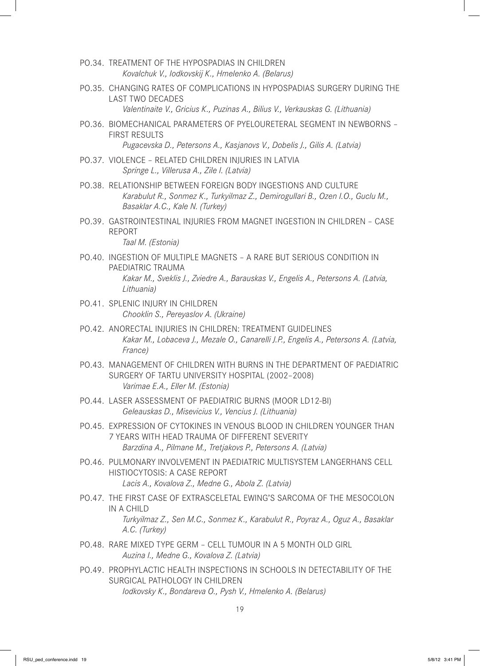- PO.34. TREATMENT OF THE HYPOSPADIAS IN CHILDREN *Kovalchuk V., Iodkovskij K., Hmelenko A. (Belarus)*
- PO.35. CHANGING RATES OF COMPLICATIONS IN HYPOSPADIAS SURGERY DURING THE LAST TWO DECADES
	- *Valentinaite V., Gricius K., Puzinas A., Bilius V., Verkauskas G. (Lithuania)*
- PO.36. BIOMECHANICAL PARAMETERS OF PYELOURETERAL SEGMENT IN NEWBORNS FIRST RESULTS

*Pugacevska D., Petersons A., Kasjanovs V., Dobelis J., Gilis A. (Latvia)*

- PO.37. VIOLENCE RELATED CHILDREN INJURIES IN LATVIA *Springe L., Villerusa A., Zile I. (Latvia)*
- PO.38. RELATIONSHIP BETWEEN FOREIGN BODY INGESTIONS AND CULTURE *Karabulut R., Sonmez K., Turkyilmaz Z., Demirogullari B., Ozen I.O., Guclu M., Basaklar A.C., Kale N. (Turkey)*
- PO.39. GASTROINTESTINAL INJURIES FROM MAGNET INGESTION IN CHILDREN CASE REPORT *Taal M. (Estonia)*
- PO.40. INGESTION OF MULTIPLE MAGNETS A RARE BUT SERIOUS CONDITION IN PAEDIATRIC TRAUMA *Kakar M., Sveklis J., Zviedre A., Barauskas V., Engelis A., Petersons A. (Latvia, Lithuania)*
- PO.41. SPLENIC INJURY IN CHILDREN *Chooklin S., Pereyaslov A. (Ukraine)*
- PO.42. ANORECTAL INJURIES IN CHILDREN: TREATMENT GUIDELINES *Kakar M., Lobaceva J., Mezale O., Canarelli J.P., Engelis A., Petersons A. (Latvia, France)*
- PO.43. MANAGEMENT OF CHILDREN WITH BURNS IN THE DEPARTMENT OF PAEDIATRIC SURGERY OF TARTU UNIVERSITY HOSPITAL (2002–2008) *Varimae E.A., Eller M. (Estonia)*
- PO.44. LASER ASSESSMENT OF PAEDIATRIC BURNS (MOOR LD12-BI) *Geleauskas D., Misevicius V., Vencius J. (Lithuania)*
- PO.45. EXPRESSION OF CYTOKINES IN VENOUS BLOOD IN CHILDREN YOUNGER THAN 7 YEARS WITH HEAD TRAUMA OF DIFFERENT SEVERITY *Barzdina A., Pilmane M., Tretjakovs P., Petersons A. (Latvia)*
- PO.46. PULMONARY INVOLVEMENT IN PAEDIATRIC MULTISYSTEM LANGERHANS CELL HISTIOCYTOSIS: A CASE REPORT *Lacis A., Kovalova Z., Medne G., Abola Z. (Latvia)*
- PO.47. THE FIRST CASE OF EXTRASCELETAL EWING'S SARCOMA OF THE MESOCOLON IN A CHILD *Turkyilmaz Z., Sen M.C., Sonmez K., Karabulut R., Poyraz A., Oguz A., Basaklar A.C. (Turkey)*
- PO.48. RARE MIXED TYPE GERM CELL TUMOUR IN A 5 MONTH OLD GIRL *Auzina I., Medne G., Kovalova Z. (Latvia)*
- PO.49. PROPHYLACTIC HEALTH INSPECTIONS IN SCHOOLS IN DETECTABILITY OF THE SURGICAL PATHOLOGY IN CHILDREN *Iodkovsky K., Bondareva O., Pysh V., Hmelenko A. (Belarus)*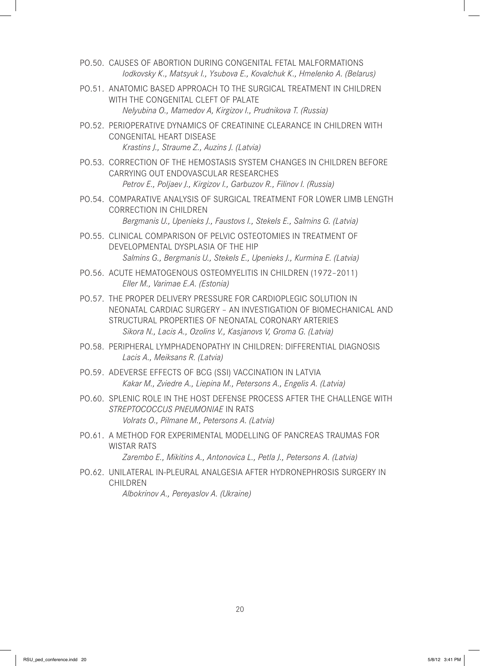- PO.50. CAUSES OF ABORTION DURING CONGENITAL FETAL MALFORMATIONS *Iodkovsky K., Matsyuk I., Ysubova E., Kovalchuk K., Hmelenko A. (Belarus)*
- PO.51. ANATOMIC BASED APPROACH TO THE SURGICAL TREATMENT IN CHILDREN WITH THE CONGENITAL CLEFT OF PALATE *Nelyubina O., Mamedov A, Kirgizov I., Prudnikova T. (Russia)*
- PO.52. PERIOPERATIVE DYNAMICS OF CREATININE CLEARANCE IN CHILDREN WITH CONGENITAL HEART DISEASE *Krastins J., Straume Z., Auzins J. (Latvia)*
- PO.53. CORRECTION OF THE HEMOSTASIS SYSTEM CHANGES IN CHILDREN BEFORE CARRYING OUT ENDOVASCULAR RESEARCHES *Petrov E., Poljaev J., Kirgizov I., Garbuzov R., Filinov I. (Russia)*
- PO.54. COMPARATIVE ANALYSIS OF SURGICAL TREATMENT FOR LOWER LIMB LENGTH CORRECTION IN CHILDREN *Bergmanis U., Upenieks J., Faustovs I., Stekels E., Salmins G. (Latvia)*
- PO.55. CLINICAL COMPARISON OF PELVIC OSTEOTOMIES IN TREATMENT OF DEVELOPMENTAL DYSPLASIA OF THE HIP *Salmins G., Bergmanis U., Stekels E., Upenieks J., Kurmina E. (Latvia)*
- PO.56. ACUTE HEMATOGENOUS OSTEOMYELITIS IN CHILDREN (1972–2011) *Eller M., Varimae E.A. (Estonia)*
- PO.57. THE PROPER DELIVERY PRESSURE FOR CARDIOPLEGIC SOLUTION IN NEONATAL CARDIAC SURGERY – AN INVESTIGATION OF BIOMECHANICAL AND STRUCTURAL PROPERTIES OF NEONATAL CORONARY ARTERIES *Sikora N., Lacis A., Ozolins V., Kasjanovs V, Groma G. (Latvia)*
- PO.58. PERIPHERAL LYMPHADENOPATHY IN CHILDREN: DIFFERENTIAL DIAGNOSIS *Lacis A., Meiksans R. (Latvia)*
- PO.59. ADEVERSE EFFECTS OF BCG (SSI) VACCINATION IN LATVIA *Kakar M., Zviedre A., Liepina M., Petersons A., Engelis A. (Latvia)*
- PO.60. SPLENIC ROLE IN THE HOST DEFENSE PROCESS AFTER THE CHALLENGE WITH *STREPTOCOCCUS PNEUMONIAE* IN RATS *Volrats O., Pilmane M., Petersons A. (Latvia)*
- PO.61. A METHOD FOR EXPERIMENTAL MODELLING OF PANCREAS TRAUMAS FOR WISTAR RATS

*Zarembo E., Mikitins A., Antonovica L., Petla J., Petersons A. (Latvia)*

PO.62. UNILATERAL IN-PLEURAL ANALGESIA AFTER HYDRONEPHROSIS SURGERY IN CHILDREN *Albokrinov A., Pereyaslov A. (Ukraine)*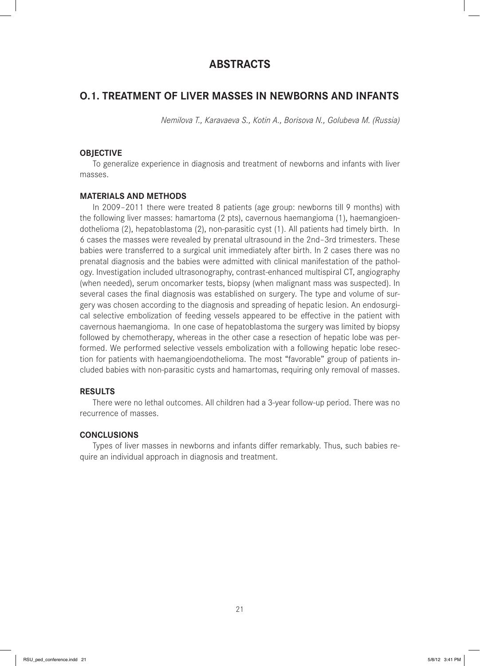# **ABSTRACTS**

# **O.1. TREATMENT OF LIVER MASSES IN NEWBORNS AND INFANTS**

*Nemilova T., Karavaeva S., Kotin A., Borisova N., Golubeva M. (Russia)*

#### **OBJECTIVE**

To generalize experience in diagnosis and treatment of newborns and infants with liver masses.

#### **MATERIALS AND METHODS**

In 2009–2011 there were treated 8 patients (age group: newborns till 9 months) with the following liver masses: hamartoma (2 pts), cavernous haemangioma (1), haemangioendothelioma (2), hepatoblastoma (2), non-parasitic cyst (1). All patients had timely birth. In 6 cases the masses were revealed by prenatal ultrasound in the 2nd–3rd trimesters. These babies were transferred to a surgical unit immediately after birth. In 2 cases there was no prenatal diagnosis and the babies were admitted with clinical manifestation of the pathology. Investigation included ultrasonography, contrast-enhanced multispiral CT, angiography (when needed), serum oncomarker tests, biopsy (when malignant mass was suspected). In several cases the final diagnosis was established on surgery. The type and volume of surgery was chosen according to the diagnosis and spreading of hepatic lesion. An endosurgical selective embolization of feeding vessels appeared to be effective in the patient with cavernous haemangioma. In one case of hepatoblastoma the surgery was limited by biopsy followed by chemotherapy, whereas in the other case a resection of hepatic lobe was performed. We performed selective vessels embolization with a following hepatic lobe resection for patients with haemangioendothelioma. The most "favorable" group of patients included babies with non-parasitic cysts and hamartomas, requiring only removal of masses.

## **RESULTS**

There were no lethal outcomes. All children had a 3-year follow-up period. There was no recurrence of masses.

# **CONCLUSIONS**

Types of liver masses in newborns and infants differ remarkably. Thus, such babies require an individual approach in diagnosis and treatment.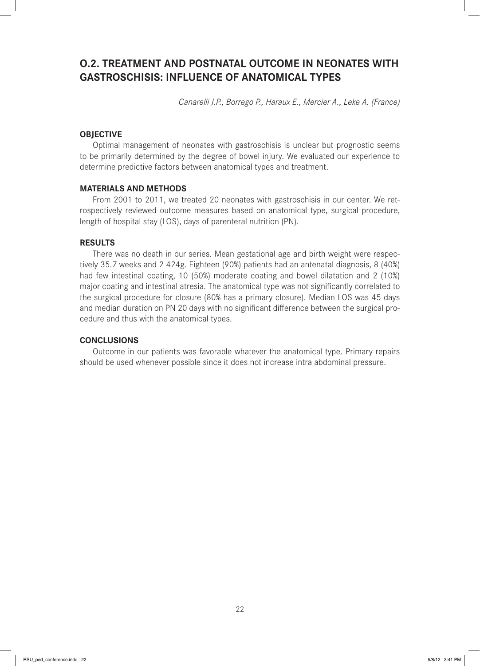# **O.2. TREATMENT AND POSTNATAL OUTCOME IN NEONATES WITH GASTROSCHISIS: INFLUENCE OF ANATOMICAL TYPES**

*Canarelli J.P., Borrego P., Haraux E., Mercier A., Leke A. (France)*

# **OBJECTIVE**

Optimal management of neonates with gastroschisis is unclear but prognostic seems to be primarily determined by the degree of bowel injury. We evaluated our experience to determine predictive factors between anatomical types and treatment.

## **MATERIALS AND METHODS**

From 2001 to 2011, we treated 20 neonates with gastroschisis in our center. We retrospectively reviewed outcome measures based on anatomical type, surgical procedure, length of hospital stay (LOS), days of parenteral nutrition (PN).

#### **RESULTS**

There was no death in our series. Mean gestational age and birth weight were respectively 35.7 weeks and 2 424g. Eighteen (90%) patients had an antenatal diagnosis, 8 (40%) had few intestinal coating, 10 (50%) moderate coating and bowel dilatation and 2 (10%) major coating and intestinal atresia. The anatomical type was not significantly correlated to the surgical procedure for closure (80% has a primary closure). Median LOS was 45 days and median duration on PN 20 days with no significant difference between the surgical procedure and thus with the anatomical types.

#### **CONCLUSIONS**

Outcome in our patients was favorable whatever the anatomical type. Primary repairs should be used whenever possible since it does not increase intra abdominal pressure.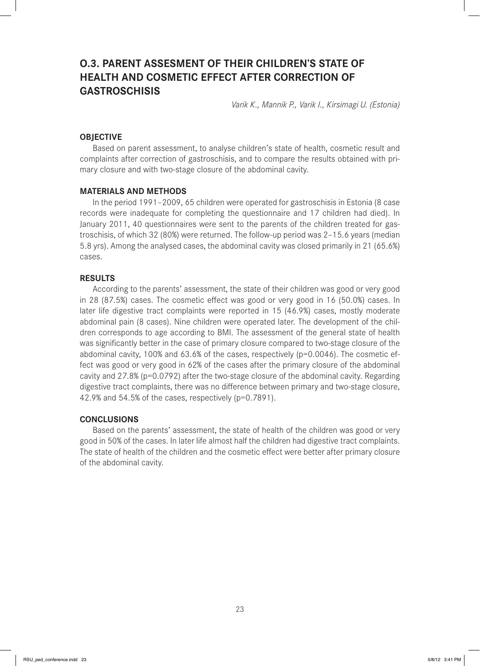# **O.3. PARENT ASSESMENT OF THEIR CHILDREN'S STATE OF HEALTH AND COSMETIC EFFECT AFTER CORRECTION OF GASTROSCHISIS**

*Varik K., Mannik P., Varik I., Kirsimagi U. (Estonia)* 

## **OBJECTIVE**

Based on parent assessment, to analyse children's state of health, cosmetic result and complaints after correction of gastroschisis, and to compare the results obtained with primary closure and with two-stage closure of the abdominal cavity.

#### **MATERIALS AND METHODS**

In the period 1991–2009, 65 children were operated for gastroschisis in Estonia (8 case records were inadequate for completing the questionnaire and 17 children had died). In January 2011, 40 questionnaires were sent to the parents of the children treated for gastroschisis, of which 32 (80%) were returned. The follow-up period was 2–15.6 years (median 5.8 yrs). Among the analysed cases, the abdominal cavity was closed primarily in 21 (65.6%) cases.

#### **RESULTS**

According to the parents' assessment, the state of their children was good or very good in 28 (87.5%) cases. The cosmetic effect was good or very good in 16 (50.0%) cases. In later life digestive tract complaints were reported in 15 (46.9%) cases, mostly moderate abdominal pain (8 cases). Nine children were operated later. The development of the children corresponds to age according to BMI. The assessment of the general state of health was significantly better in the case of primary closure compared to two-stage closure of the abdominal cavity, 100% and 63.6% of the cases, respectively (p=0.0046). The cosmetic effect was good or very good in 62% of the cases after the primary closure of the abdominal cavity and 27.8% (p=0.0792) after the two-stage closure of the abdominal cavity. Regarding digestive tract complaints, there was no difference between primary and two-stage closure, 42.9% and 54.5% of the cases, respectively (p=0.7891).

#### **CONCLUSIONS**

Based on the parents' assessment, the state of health of the children was good or very good in 50% of the cases. In later life almost half the children had digestive tract complaints. The state of health of the children and the cosmetic effect were better after primary closure of the abdominal cavity.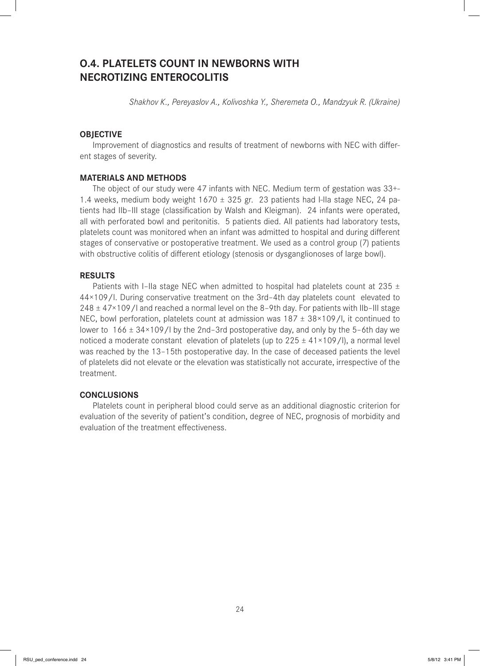# **O.4. PLATELETS COUNT IN NEWBORNS WITH NECROTIZING ENTEROCOLITIS**

*Shakhov K., Pereyaslov A., Kolivoshka Y., Sheremeta O., Mandzyuk R. (Ukraine)*

# **OBJECTIVE**

Improvement of diagnostics and results of treatment of newborns with NEC with different stages of severity.

#### **MATERIALS AND METHODS**

The object of our study were 47 infants with NEC. Medium term of gestation was 33+- 1.4 weeks, medium body weight  $1670 \pm 325$  gr. 23 patients had I-IIa stage NEC, 24 patients had IIb-III stage (classification by Walsh and Kleigman). 24 infants were operated, all with perforated bowl and peritonitis. 5 patients died. All patients had laboratory tests, platelets count was monitored when an infant was admitted to hospital and during different stages of conservative or postoperative treatment. We used as a control group (7) patients with obstructive colitis of different etiology (stenosis or dysganglionoses of large bowl).

#### **RESULTS**

Patients with I–IIa stage NEC when admitted to hospital had platelets count at 235  $\pm$ 44×109/l. During conservative treatment on the 3rd–4th day platelets count elevated to 248  $\pm$  47×109/I and reached a normal level on the 8-9th day. For patients with IIb-III stage NEC, bowl perforation, platelets count at admission was  $187 \pm 38 \times 109$ /l, it continued to lower to  $166 \pm 34 \times 109$ /l by the 2nd-3rd postoperative day, and only by the 5-6th day we noticed a moderate constant elevation of platelets (up to  $225 \pm 41 \times 109 / I$ ), a normal level was reached by the 13–15th postoperative day. In the case of deceased patients the level of platelets did not elevate or the elevation was statistically not accurate, irrespective of the treatment.

# **CONCLUSIONS**

Platelets count in peripheral blood could serve as an additional diagnostic criterion for evaluation of the severity of patient's condition, degree of NEC, prognosis of morbidity and evaluation of the treatment effectiveness.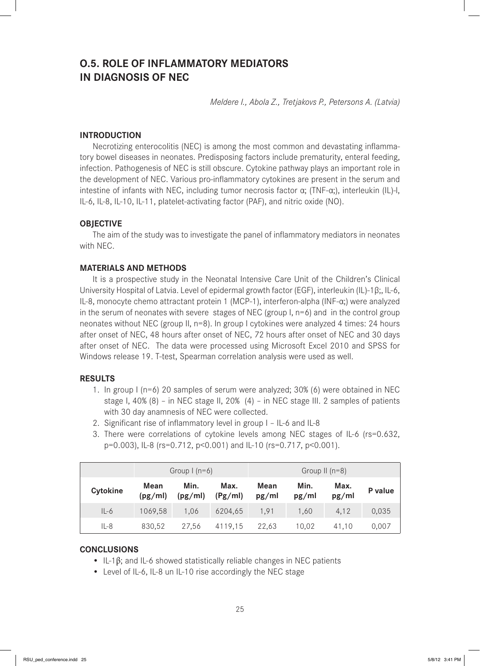# **O.5. ROLE OF INFLAMMATORY MEDIATORS IN DIAGNOSIS OF NEC**

*Meldere I., Abola Z., Tretjakovs P., Petersons A. (Latvia)*

# **INTRODUCTION**

Necrotizing enterocolitis (NEC) is among the most common and devastating inflammatory bowel diseases in neonates. Predisposing factors include prematurity, enteral feeding, infection. Pathogenesis of NEC is still obscure. Cytokine pathway plays an important role in the development of NEC. Various pro-inflammatory cytokines are present in the serum and intestine of infants with NEC, including tumor necrosis factor α; (TNF-α;), interleukin (IL)-l, IL-6, IL-8, IL-10, IL-11, platelet-activating factor (PAF), and nitric oxide (NO).

# **OBJECTIVE**

The aim of the study was to investigate the panel of inflammatory mediators in neonates with NEC.

## **MATERIALS AND METHODS**

It is a prospective study in the Neonatal Intensive Care Unit of the Children's Clinical University Hospital of Latvia. Level of epidermal growth factor (EGF), interleukin (IL)-1β;, IL-6, IL-8, monocyte chemo attractant protein 1 (MCP-1), interferon-alpha (INF-α;) were analyzed in the serum of neonates with severe stages of NEC (group  $I$ ,  $n=6$ ) and in the control group neonates without NEC (group II, n=8). In group I cytokines were analyzed 4 times: 24 hours after onset of NEC, 48 hours after onset of NEC, 72 hours after onset of NEC and 30 days after onset of NEC. The data were processed using Microsoft Excel 2010 and SPSS for Windows release 19. T-test, Spearman correlation analysis were used as well.

# **RESULTS**

- 1. In group I (n=6) 20 samples of serum were analyzed; 30% (6) were obtained in NEC stage I, 40% (8) – in NEC stage II, 20% (4) – in NEC stage III. 2 samples of patients with 30 day anamnesis of NEC were collected.
- 2. Significant rise of inflammatory level in group I IL-6 and IL-8
- 3. There were correlations of cytokine levels among NEC stages of IL-6 (rs=0.632, p=0.003), IL-8 (rs=0.712, p<0.001) and IL-10 (rs=0.717, p<0.001).

|                 | Group $(n=6)$   |                 |                 | Group II $(n=8)$ |               |               |         |
|-----------------|-----------------|-----------------|-----------------|------------------|---------------|---------------|---------|
| <b>Cytokine</b> | Mean<br>(pg/ml) | Min.<br>(pg/ml) | Max.<br>(Pg/ml) | Mean<br>pg/ml    | Min.<br>pg/ml | Max.<br>pg/ml | P value |
| $IL-6$          | 1069,58         | 1.06            | 6204,65         | 1.91             | 1,60          | 4,12          | 0,035   |
| $IL-8$          | 830,52          | 27,56           | 4119,15         | 22.63            | 10.02         | 41.10         | 0,007   |

#### **CONCLUSIONS**

- IL-1 $\beta$ ; and IL-6 showed statistically reliable changes in NEC patients
- Level of IL-6, IL-8 un IL-10 rise accordingly the NEC stage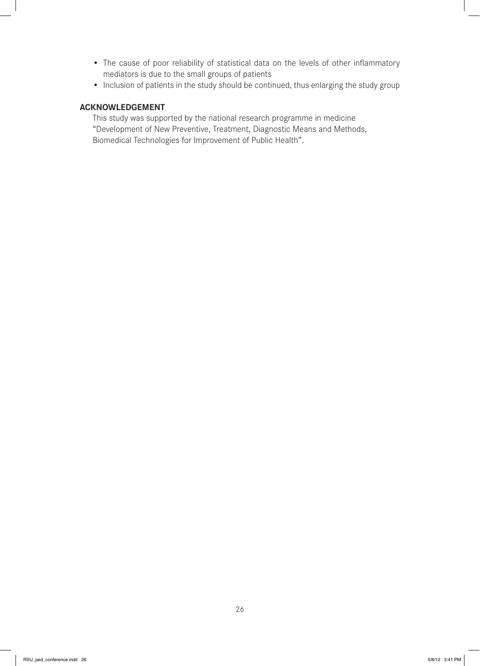- The cause of poor reliability of statistical data on the levels of other inflammatory mediators is due to the small groups of patients
- Inclusion of patients in the study should be continued, thus enlarging the study group

# **ACKNOWLEDGEMENT**

This study was supported by the national research programme in medicine "Development of New Preventive, Treatment, Diagnostic Means and Methods, Biomedical Technologies for Improvement of Public Health".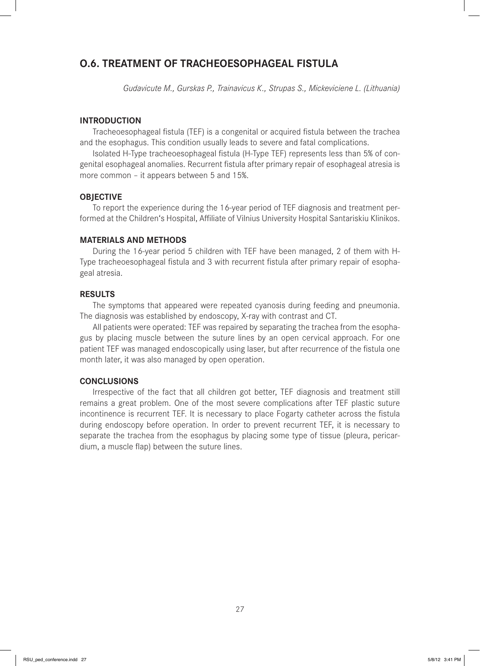# **O.6. TREATMENT OF TRACHEOESOPHAGEAL FISTULA**

*Gudavicute M., Gurskas P., Trainavicus K., Strupas S., Mickeviciene L. (Lithuania)*

#### **INTRODUCTION**

Tracheoesophageal fistula (TEF) is a congenital or acquired fistula between the trachea and the esophagus. This condition usually leads to severe and fatal complications.

Isolated H-Type tracheoesophageal fistula (H-Type TEF) represents less than 5% of congenital esophageal anomalies. Recurrent fistula after primary repair of esophageal atresia is more common – it appears between 5 and 15%.

#### **OBJECTIVE**

To report the experience during the 16-year period of TEF diagnosis and treatment performed at the Children's Hospital, Affiliate of Vilnius University Hospital Santariskiu Klinikos.

# **MATERIALS AND METHODS**

During the 16-year period 5 children with TEF have been managed, 2 of them with H-Type tracheoesophageal fistula and 3 with recurrent fistula after primary repair of esophageal atresia.

# **RESULTS**

The symptoms that appeared were repeated cyanosis during feeding and pneumonia. The diagnosis was established by endoscopy, X-ray with contrast and CT.

All patients were operated: TEF was repaired by separating the trachea from the esophagus by placing muscle between the suture lines by an open cervical approach. For one patient TEF was managed endoscopically using laser, but after recurrence of the fistula one month later, it was also managed by open operation.

#### **CONCLUSIONS**

Irrespective of the fact that all children got better, TEF diagnosis and treatment still remains a great problem. One of the most severe complications after TEF plastic suture incontinence is recurrent TEF. It is necessary to place Fogarty catheter across the fistula during endoscopy before operation. In order to prevent recurrent TEF, it is necessary to separate the trachea from the esophagus by placing some type of tissue (pleura, pericardium, a muscle flap) between the suture lines.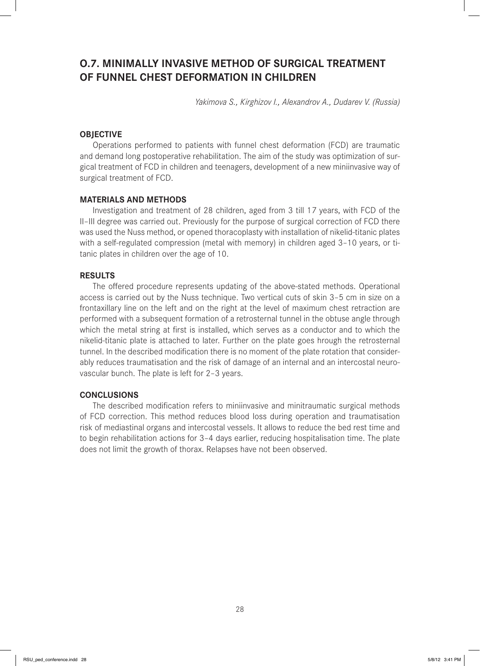# **O.7. MINIMALLY INVASIVE METHOD OF SURGICAL TREATMENT OF FUNNEL CHEST DEFORMATION IN CHILDREN**

*Yakimova S., Kirghizov I., Alexandrov A., Dudarev V. (Russia)*

# **OBJECTIVE**

Operations performed to patients with funnel chest deformation (FCD) are traumatic and demand long postoperative rehabilitation. The aim of the study was optimization of surgical treatment of FCD in children and teenagers, development of a new miniinvasive way of surgical treatment of FCD.

#### **MATERIALS AND METHODS**

Investigation and treatment of 28 children, aged from 3 till 17 years, with FCD of the II–III degree was carried out. Previously for the purpose of surgical correction of FCD there was used the Nuss method, or opened thoracoplasty with installation of nikelid-titanic plates with a self-regulated compression (metal with memory) in children aged 3–10 years, or titanic plates in children over the age of 10.

#### **RESULTS**

The offered procedure represents updating of the above-stated methods. Operational access is carried out by the Nuss technique. Two vertical cuts of skin 3–5 cm in size on a frontaxillary line on the left and on the right at the level of maximum chest retraction are performed with a subsequent formation of a retrosternal tunnel in the obtuse angle through which the metal string at first is installed, which serves as a conductor and to which the nikelid-titanic plate is attached to later. Further on the plate goes hrough the retrosternal tunnel. In the described modification there is no moment of the plate rotation that considerably reduces traumatisation and the risk of damage of an internal and an intercostal neurovascular bunch. The plate is left for 2–3 years.

#### **CONCLUSIONS**

The described modification refers to miniinvasive and minitraumatic surgical methods of FCD correction. This method reduces blood loss during operation and traumatisation risk of mediastinal organs and intercostal vessels. It allows to reduce the bed rest time and to begin rehabilitation actions for 3–4 days earlier, reducing hospitalisation time. The plate does not limit the growth of thorax. Relapses have not been observed.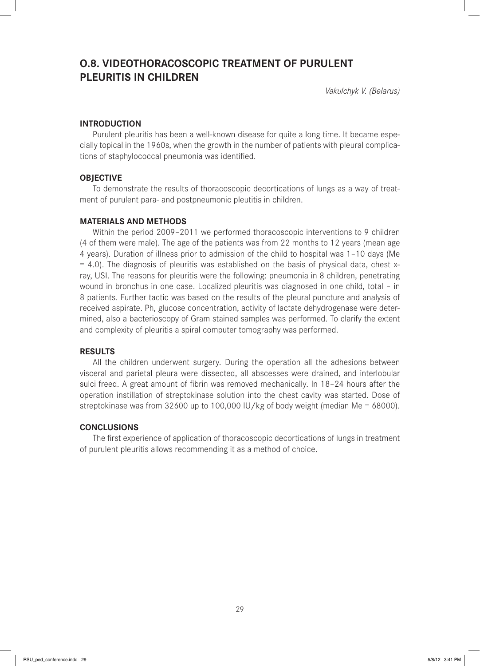# **O.8. VIDEOTHORACOSCOPIC TREATMENT OF PURULENT PLEURITIS IN CHILDREN**

*Vakulchyk V. (Belarus)*

# **INTRODUCTION**

Purulent pleuritis has been a well-known disease for quite a long time. It became especially topical in the 1960s, when the growth in the number of patients with pleural complications of staphylococcal pneumonia was identified.

# **OBJECTIVE**

To demonstrate the results of thoracoscopic decortications of lungs as a way of treatment of purulent para- and postpneumonic pleutitis in children.

# **MATERIALS AND METHODS**

Within the period 2009–2011 we performed thoracoscopic interventions to 9 children (4 of them were male). The age of the patients was from 22 months to 12 years (mean age 4 years). Duration of illness prior to admission of the child to hospital was 1–10 days (Me = 4.0). The diagnosis of pleuritis was established on the basis of physical data, chest xray, USI. The reasons for pleuritis were the following: pneumonia in 8 children, penetrating wound in bronchus in one case. Localized pleuritis was diagnosed in one child, total – in 8 patients. Further tactic was based on the results of the pleural puncture and analysis of received aspirate. Ph, glucose concentration, activity of lactate dehydrogenase were determined, also a bacterioscopy of Gram stained samples was performed. To clarify the extent and complexity of pleuritis a spiral computer tomography was performed.

# **RESULTS**

All the children underwent surgery. During the operation all the adhesions between visceral and parietal pleura were dissected, all abscesses were drained, and interlobular sulci freed. A great amount of fibrin was removed mechanically. In 18-24 hours after the operation instillation of streptokinase solution into the chest cavity was started. Dose of streptokinase was from 32600 up to 100,000 IU/kg of body weight (median Me = 68000).

# **CONCLUSIONS**

The first experience of application of thoracoscopic decortications of lungs in treatment of purulent pleuritis allows recommending it as a method of choice.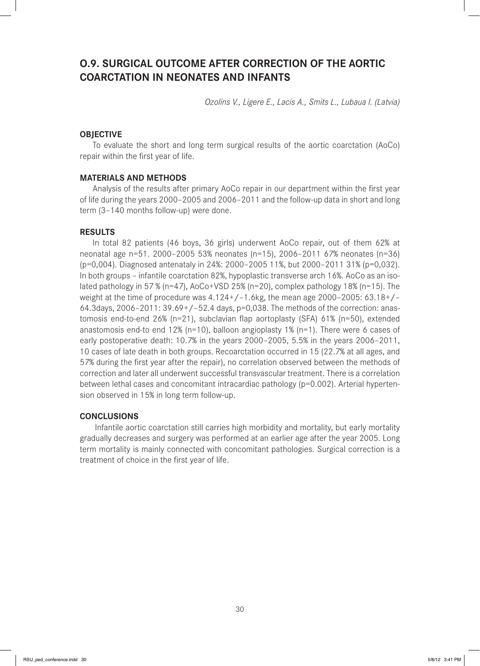# **O.9. SURGICAL OUTCOME AFTER CORRECTION OF THE AORTIC COARCTATION IN NEONATES AND INFANTS**

*Ozolins V., Ligere E., Lacis A., Smits L., Lubaua I. (Latvia)*

# **OBJECTIVE**

To evaluate the short and long term surgical results of the aortic coarctation (AoCo) repair within the first year of life.

#### **MATERIALS AND METHODS**

Analysis of the results after primary AoCo repair in our department within the first year of life during the years 2000–2005 and 2006–2011 and the follow-up data in short and long term (3–140 months follow-up) were done.

#### **RESULTS**

In total 82 patients (46 boys, 36 girls) underwent AoCo repair, out of them 62% at neonatal age n=51. 2000–2005 53% neonates (n=15), 2006–2011 67% neonates (n=36) (p=0,004). Diagnosed antenataly in 24%: 2000–2005 11%, but 2000–2011 31% (p=0,032). In both groups – infantile coarctation 82%, hypoplastic transverse arch 16%. AoCo as an isolated pathology in 57 % (n=47), AoCo+VSD 25% (n=20), complex pathology 18% (n=15). The weight at the time of procedure was  $4.124+/-1.6$ kg, the mean age 2000–2005:  $63.18+/-$ 64.3days, 2006–2011: 39.69+/–52.4 days, p=0,038. The methods of the correction: anastomosis end-to-end 26% ( $n=21$ ), subclavian flap aortoplasty (SFA) 61% ( $n=50$ ), extended anastomosis end-to end 12% ( $n=10$ ), balloon angioplasty 1% ( $n=1$ ). There were 6 cases of early postoperative death: 10.7% in the years 2000–2005, 5.5% in the years 2006–2011, 10 cases of late death in both groups. Recoarctation occurred in 15 (22.7% at all ages, and 57% during the first year after the repair), no correlation observed between the methods of correction and later all underwent successful transvascular treatment. There is a correlation between lethal cases and concomitant intracardiac pathology (p=0.002). Arterial hypertension observed in 15% in long term follow-up.

# **CONCLUSIONS**

 Infantile aortic coarctation still carries high morbidity and mortality, but early mortality gradually decreases and surgery was performed at an earlier age after the year 2005. Long term mortality is mainly connected with concomitant pathologies. Surgical correction is a treatment of choice in the first year of life.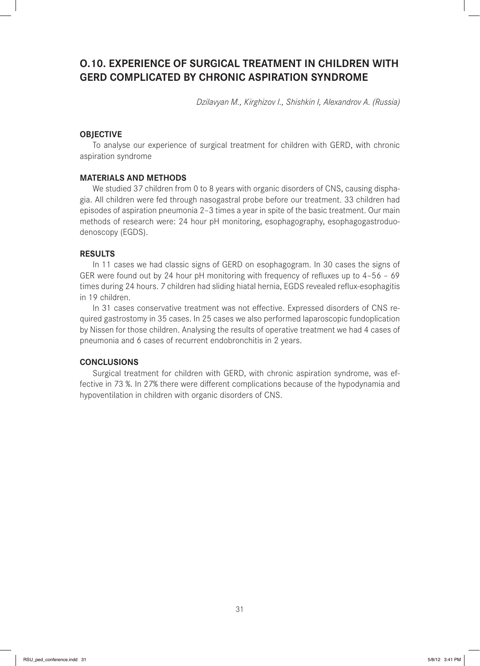# **O.10. EXPERIENCE OF SURGICAL TREATMENT IN CHILDREN WITH GERD COMPLICATED BY CHRONIC ASPIRATION SYNDROME**

*Dzilavyan M., Kirghizov I., Shishkin I, Alexandrov A. (Russia)*

# **OBJECTIVE**

To analyse our experience of surgical treatment for children with GERD, with chronic aspiration syndrome

#### **MATERIALS AND METHODS**

We studied 37 children from 0 to 8 years with organic disorders of CNS, causing disphagia. All children were fed through nasogastral probe before our treatment. 33 children had episodes of aspiration pneumonia 2–3 times a year in spite of the basic treatment. Our main methods of research were: 24 hour pH monitoring, esophagography, esophagogastroduodenoscopy (EGDS).

#### **RESULTS**

In 11 cases we had classic signs of GERD on esophagogram. In 30 cases the signs of GER were found out by 24 hour pH monitoring with frequency of refluxes up to  $4-56 - 69$ times during 24 hours. 7 children had sliding hiatal hernia, EGDS revealed reflux-esophagitis in 19 children.

In 31 cases conservative treatment was not effective. Expressed disorders of CNS required gastrostomy in 35 cases. In 25 cases we also performed laparoscopic fundoplication by Nissen for those children. Analysing the results of operative treatment we had 4 cases of pneumonia and 6 cases of recurrent endobronchitis in 2 years.

# **CONCLUSIONS**

Surgical treatment for children with GERD, with chronic aspiration syndrome, was effective in 73 %. In 27% there were different complications because of the hypodynamia and hypoventilation in children with organic disorders of CNS.

31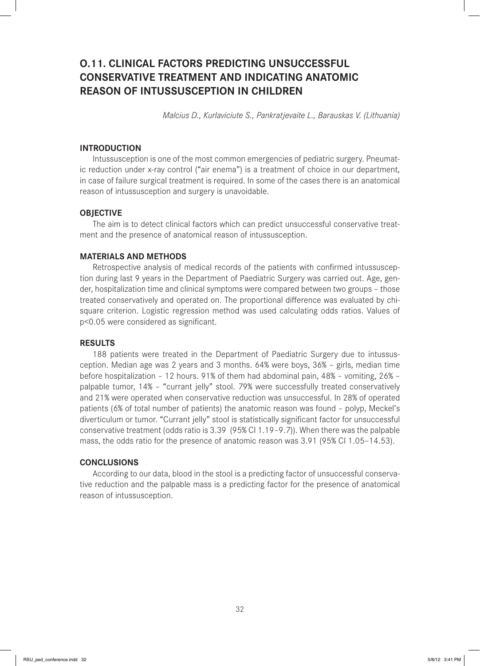# **O.11. CLINICAL FACTORS PREDICTING UNSUCCESSFUL CONSERVATIVE TREATMENT AND INDICATING ANATOMIC REASON OF INTUSSUSCEPTION IN CHILDREN**

*Malcius D., Kurlaviciute S., Pankratjevaite L., Barauskas V. (Lithuania)*

# **INTRODUCTION**

Intussusception is one of the most common emergencies of pediatric surgery. Pneumatic reduction under x-ray control ("air enema") is a treatment of choice in our department, in case of failure surgical treatment is required. In some of the cases there is an anatomical reason of intussusception and surgery is unavoidable.

#### **OBJECTIVE**

The aim is to detect clinical factors which can predict unsuccessful conservative treatment and the presence of anatomical reason of intussusception.

## **MATERIALS AND METHODS**

Retrospective analysis of medical records of the patients with confirmed intussusception during last 9 years in the Department of Paediatric Surgery was carried out. Age, gender, hospitalization time and clinical symptoms were compared between two groups – those treated conservatively and operated on. The proportional difference was evaluated by chisquare criterion. Logistic regression method was used calculating odds ratios. Values of p<0.05 were considered as significant.

#### **RESULTS**

188 patients were treated in the Department of Paediatric Surgery due to intussusception. Median age was 2 years and 3 months. 64% were boys, 36% – girls, median time before hospitalization – 12 hours. 91% of them had abdominal pain, 48% – vomiting, 26% – palpable tumor, 14% – "currant jelly" stool. 79% were successfully treated conservatively and 21% were operated when conservative reduction was unsuccessful. In 28% of operated patients (6% of total number of patients) the anatomic reason was found – polyp, Meckel's diverticulum or tumor. "Currant jelly" stool is statistically significant factor for unsuccessful conservative treatment (odds ratio is 3.39 (95% CI 1.19–9.7)). When there was the palpable mass, the odds ratio for the presence of anatomic reason was 3.91 (95% CI 1.05–14.53).

#### **CONCLUSIONS**

According to our data, blood in the stool is a predicting factor of unsuccessful conservative reduction and the palpable mass is a predicting factor for the presence of anatomical reason of intussusception.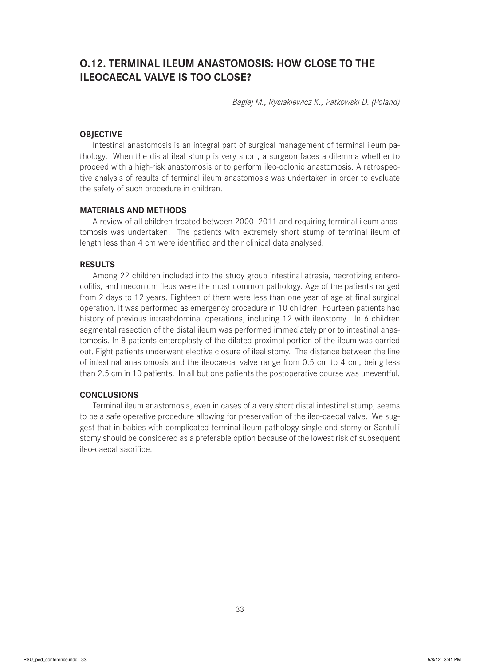# **O.12. TERMINAL ILEUM ANASTOMOSIS: HOW CLOSE TO THE ILEOCAECAL VALVE IS TOO CLOSE?**

*Baglaj M., Rysiakiewicz K., Patkowski D. (Poland)*

# **OBJECTIVE**

Intestinal anastomosis is an integral part of surgical management of terminal ileum pathology. When the distal ileal stump is very short, a surgeon faces a dilemma whether to proceed with a high-risk anastomosis or to perform ileo-colonic anastomosis. A retrospective analysis of results of terminal ileum anastomosis was undertaken in order to evaluate the safety of such procedure in children.

#### **MATERIALS AND METHODS**

A review of all children treated between 2000–2011 and requiring terminal ileum anastomosis was undertaken. The patients with extremely short stump of terminal ileum of length less than 4 cm were identified and their clinical data analysed.

#### **RESULTS**

Among 22 children included into the study group intestinal atresia, necrotizing enterocolitis, and meconium ileus were the most common pathology. Age of the patients ranged from 2 days to 12 years. Eighteen of them were less than one year of age at final surgical operation. It was performed as emergency procedure in 10 children. Fourteen patients had history of previous intraabdominal operations, including 12 with ileostomy. In 6 children segmental resection of the distal ileum was performed immediately prior to intestinal anastomosis. In 8 patients enteroplasty of the dilated proximal portion of the ileum was carried out. Eight patients underwent elective closure of ileal stomy. The distance between the line of intestinal anastomosis and the ileocaecal valve range from 0.5 cm to 4 cm, being less than 2.5 cm in 10 patients. In all but one patients the postoperative course was uneventful.

#### **CONCLUSIONS**

Terminal ileum anastomosis, even in cases of a very short distal intestinal stump, seems to be a safe operative procedure allowing for preservation of the ileo-caecal valve. We suggest that in babies with complicated terminal ileum pathology single end-stomy or Santulli stomy should be considered as a preferable option because of the lowest risk of subsequent ileo-caecal sacrifice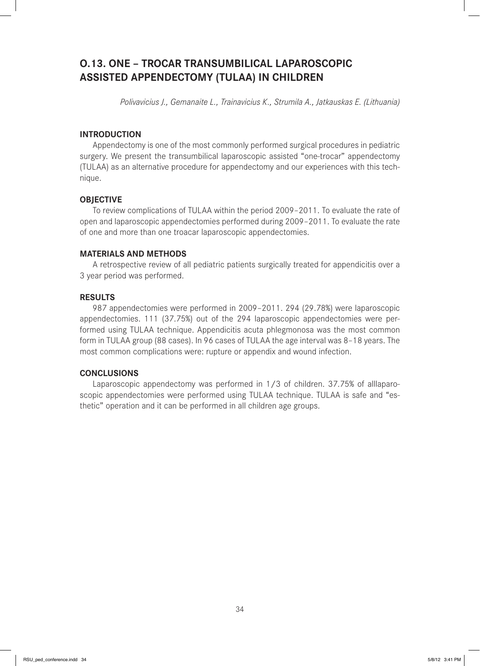# **O.13. ONE – TROCAR TRANSUMBILICAL LAPAROSCOPIC ASSISTED APPENDECTOMY (TULAA) IN CHILDREN**

*Polivavicius J., Gemanaite L., Trainavicius K., Strumila A., Jatkauskas E. (Lithuania)*

# **INTRODUCTION**

Appendectomy is one of the most commonly performed surgical procedures in pediatric surgery. We present the transumbilical laparoscopic assisted "one-trocar" appendectomy (TULAA) as an alternative procedure for appendectomy and our experiences with this technique.

# **OBJECTIVE**

To review complications of TULAA within the period 2009–2011. To evaluate the rate of open and laparoscopic appendectomies performed during 2009–2011. To evaluate the rate of one and more than one troacar laparoscopic appendectomies.

## **MATERIALS AND METHODS**

A retrospective review of all pediatric patients surgically treated for appendicitis over a 3 year period was performed.

# **RESULTS**

987 appendectomies were performed in 2009–2011. 294 (29.78%) were laparoscopic appendectomies. 111 (37.75%) out of the 294 laparoscopic appendectomies were performed using TULAA technique. Appendicitis acuta phlegmonosa was the most common form in TULAA group (88 cases). In 96 cases of TULAA the age interval was 8–18 years. The most common complications were: rupture or appendix and wound infection.

# **CONCLUSIONS**

Laparoscopic appendectomy was performed in 1/3 of children. 37.75% of alllaparoscopic appendectomies were performed using TULAA technique. TULAA is safe and "esthetic" operation and it can be performed in all children age groups.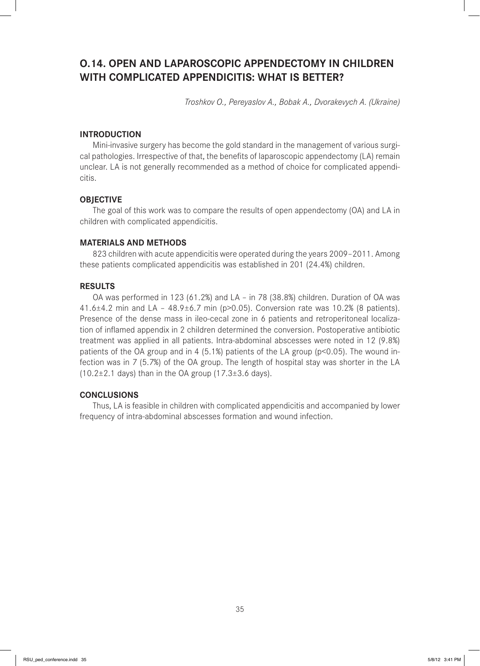# **O.14. OPEN AND LAPAROSCOPIC APPENDECTOMY IN CHILDREN WITH COMPLICATED APPENDICITIS: WHAT IS BETTER?**

*Troshkov O., Pereyaslov A., Bobak A., Dvorakevych A. (Ukraine)*

# **INTRODUCTION**

Mini-invasive surgery has become the gold standard in the management of various surgical pathologies. Irrespective of that, the benefits of laparoscopic appendectomy (LA) remain unclear. LA is not generally recommended as a method of choice for complicated appendicitis.

## **OBJECTIVE**

The goal of this work was to compare the results of open appendectomy (OA) and LA in children with complicated appendicitis.

# **MATERIALS AND METHODS**

823 children with acute appendicitis were operated during the years 2009–2011. Among these patients complicated appendicitis was established in 201 (24.4%) children.

## **RESULTS**

OA was performed in 123 (61.2%) and LA – in 78 (38.8%) children. Duration of OA was 41.6±4.2 min and LA – 48.9±6.7 min (p>0.05). Conversion rate was 10.2% (8 patients). Presence of the dense mass in ileo-cecal zone in 6 patients and retroperitoneal localization of inflamed appendix in 2 children determined the conversion. Postoperative antibiotic treatment was applied in all patients. Intra-abdominal abscesses were noted in 12 (9.8%) patients of the OA group and in 4 (5.1%) patients of the LA group ( $p$ <0.05). The wound infection was in 7 (5.7%) of the OA group. The length of hospital stay was shorter in the LA  $(10.2\pm2.1$  days) than in the OA group  $(17.3\pm3.6$  days).

# **CONCLUSIONS**

Thus, LA is feasible in children with complicated appendicitis and accompanied by lower frequency of intra-abdominal abscesses formation and wound infection.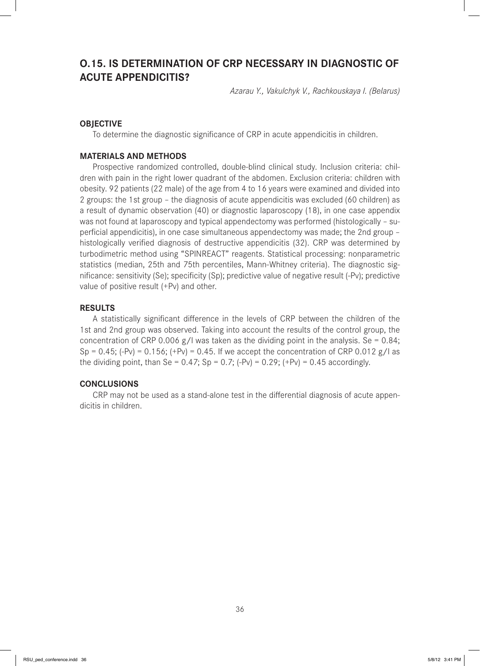# **O.15. IS DETERMINATION OF CRP NECESSARY IN DIAGNOSTIC OF ACUTE APPENDICITIS?**

*Azarau Y., Vakulchyk V., Rachkouskaya I. (Belarus)*

# **OBJECTIVE**

To determine the diagnostic significance of CRP in acute appendicitis in children.

## **MATERIALS AND METHODS**

Prospective randomized controlled, double-blind clinical study. Inclusion criteria: children with pain in the right lower quadrant of the abdomen. Exclusion criteria: children with obesity. 92 patients (22 male) of the age from 4 to 16 years were examined and divided into 2 groups: the 1st group – the diagnosis of acute appendicitis was excluded (60 children) as a result of dynamic observation (40) or diagnostic laparoscopy (18), in one case appendix was not found at laparoscopy and typical appendectomy was performed (histologically – superficial appendicitis), in one case simultaneous appendectomy was made; the 2nd group histologically verified diagnosis of destructive appendicitis (32). CRP was determined by turbodimetric method using "SPINREACT" reagents. Statistical processing: nonparametric statistics (median, 25th and 75th percentiles, Mann-Whitney criteria). The diagnostic significance: sensitivity (Se); specificity (Sp); predictive value of negative result (-Pv); predictive value of positive result (+Pv) and other.

#### **RESULTS**

A statistically significant difference in the levels of CRP between the children of the 1st and 2nd group was observed. Taking into account the results of the control group, the concentration of CRP 0.006  $g/l$  was taken as the dividing point in the analysis. Se = 0.84;  $Sp = 0.45$ ; (-Pv) = 0.156; (+Pv) = 0.45. If we accept the concentration of CRP 0.012 g/l as the dividing point, than Se =  $0.47$ ; Sp =  $0.7$ ; (-Pv) =  $0.29$ ; (+Pv) =  $0.45$  accordingly.

## **CONCLUSIONS**

CRP may not be used as a stand-alone test in the differential diagnosis of acute appendicitis in children.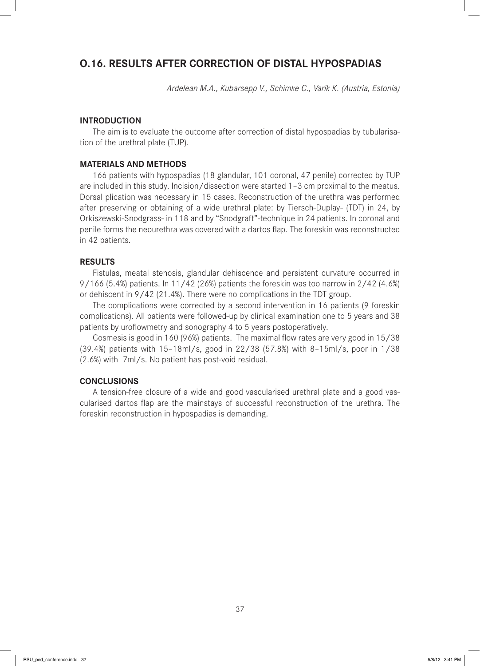## **O.16. RESULTS AFTER CORRECTION OF DISTAL HYPOSPADIAS**

*Ardelean M.A., Kubarsepp V., Schimke C., Varik K. (Austria, Estonia)*

#### **INTRODUCTION**

The aim is to evaluate the outcome after correction of distal hypospadias by tubularisation of the urethral plate (TUP).

#### **MATERIALS AND METHODS**

166 patients with hypospadias (18 glandular, 101 coronal, 47 penile) corrected by TUP are included in this study. Incision/dissection were started 1–3 cm proximal to the meatus. Dorsal plication was necessary in 15 cases. Reconstruction of the urethra was performed after preserving or obtaining of a wide urethral plate: by Tiersch-Duplay- (TDT) in 24, by Orkiszewski-Snodgrass- in 118 and by "Snodgraft"-technique in 24 patients. In coronal and penile forms the neourethra was covered with a dartos flap. The foreskin was reconstructed in 42 patients.

#### **RESULTS**

Fistulas, meatal stenosis, glandular dehiscence and persistent curvature occurred in 9/166 (5.4%) patients. In 11/42 (26%) patients the foreskin was too narrow in 2/42 (4.6%) or dehiscent in 9/42 (21.4%). There were no complications in the TDT group.

The complications were corrected by a second intervention in 16 patients (9 foreskin complications). All patients were followed-up by clinical examination one to 5 years and 38 patients by uroflowmetry and sonography 4 to 5 years postoperatively.

Cosmesis is good in 160 (96%) patients. The maximal flow rates are very good in 15/38 (39.4%) patients with 15–18ml/s, good in 22/38 (57.8%) with 8–15ml/s, poor in 1/38 (2.6%) with 7ml/s. No patient has post-void residual.

#### **CONCLUSIONS**

A tension-free closure of a wide and good vascularised urethral plate and a good vascularised dartos flap are the mainstays of successful reconstruction of the urethra. The foreskin reconstruction in hypospadias is demanding.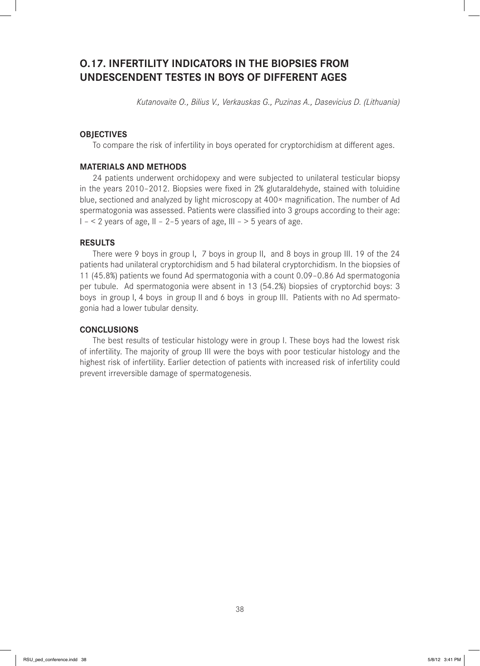# **O.17. INFERTILITY INDICATORS IN THE BIOPSIES FROM UNDESCENDENT TESTES IN BOYS OF DIFFERENT AGES**

*Kutanovaite O., Bilius V., Verkauskas G., Puzinas A., Dasevicius D. (Lithuania)*

## **OBJECTIVES**

To compare the risk of infertility in boys operated for cryptorchidism at different ages.

## **MATERIALS AND METHODS**

24 patients underwent orchidopexy and were subjected to unilateral testicular biopsy in the years 2010-2012. Biopsies were fixed in 2% glutaraldehyde, stained with toluidine blue, sectioned and analyzed by light microscopy at 400× magnification. The number of Ad spermatogonia was assessed. Patients were classified into 3 groups according to their age:  $I - 2$  years of age,  $II - 2-5$  years of age,  $III - 5$  years of age.

## **RESULTS**

There were 9 boys in group I, 7 boys in group II, and 8 boys in group III. 19 of the 24 patients had unilateral cryptorchidism and 5 had bilateral cryptorchidism. In the biopsies of 11 (45.8%) patients we found Ad spermatogonia with a count 0.09–0.86 Ad spermatogonia per tubule. Ad spermatogonia were absent in 13 (54.2%) biopsies of cryptorchid boys: 3 boys in group I, 4 boys in group II and 6 boys in group III. Patients with no Ad spermatogonia had a lower tubular density.

## **CONCLUSIONS**

The best results of testicular histology were in group I. These boys had the lowest risk of infertility. The majority of group III were the boys with poor testicular histology and the highest risk of infertility. Earlier detection of patients with increased risk of infertility could prevent irreversible damage of spermatogenesis.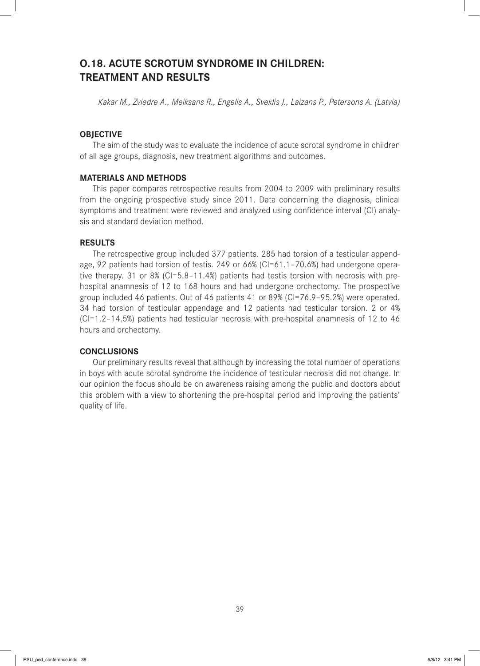## **O.18. ACUTE SCROTUM SYNDROME IN CHILDREN: TREATMENT AND RESULTS**

*Kakar M., Zviedre A., Meiksans R., Engelis A., Sveklis J., Laizans P., Petersons A. (Latvia)*

## **OBJECTIVE**

The aim of the study was to evaluate the incidence of acute scrotal syndrome in children of all age groups, diagnosis, new treatment algorithms and outcomes.

### **MATERIALS AND METHODS**

This paper compares retrospective results from 2004 to 2009 with preliminary results from the ongoing prospective study since 2011. Data concerning the diagnosis, clinical symptoms and treatment were reviewed and analyzed using confidence interval (CI) analysis and standard deviation method.

## **RESULTS**

The retrospective group included 377 patients. 285 had torsion of a testicular appendage, 92 patients had torsion of testis. 249 or 66% (CI=61.1-70.6%) had undergone operative therapy. 31 or 8% (CI=5.8–11.4%) patients had testis torsion with necrosis with prehospital anamnesis of 12 to 168 hours and had undergone orchectomy. The prospective group included 46 patients. Out of 46 patients 41 or 89% (CI=76.9–95.2%) were operated. 34 had torsion of testicular appendage and 12 patients had testicular torsion. 2 or 4% (CI=1.2–14.5%) patients had testicular necrosis with pre-hospital anamnesis of 12 to 46 hours and orchectomy.

## **CONCLUSIONS**

Our preliminary results reveal that although by increasing the total number of operations in boys with acute scrotal syndrome the incidence of testicular necrosis did not change. In our opinion the focus should be on awareness raising among the public and doctors about this problem with a view to shortening the pre-hospital period and improving the patients' quality of life.

39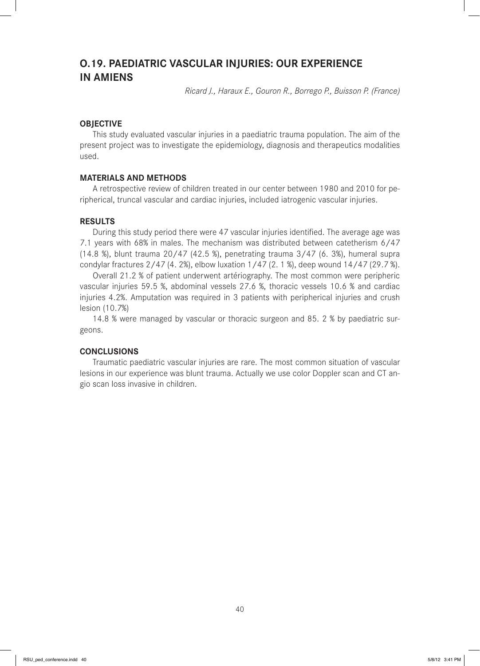## **O.19. PAEDIATRIC VASCULAR INJURIES: OUR EXPERIENCE IN AMIENS**

*Ricard J., Haraux E., Gouron R., Borrego P., Buisson P. (France)*

## **OBJECTIVE**

This study evaluated vascular injuries in a paediatric trauma population. The aim of the present project was to investigate the epidemiology, diagnosis and therapeutics modalities used.

## **MATERIALS AND METHODS**

A retrospective review of children treated in our center between 1980 and 2010 for peripherical, truncal vascular and cardiac injuries, included iatrogenic vascular injuries.

## **RESULTS**

During this study period there were 47 vascular injuries identified. The average age was 7.1 years with 68% in males. The mechanism was distributed between catetherism 6/47 (14.8 %), blunt trauma 20/47 (42.5 %), penetrating trauma 3/47 (6. 3%), humeral supra condylar fractures 2/47 (4. 2%), elbow luxation 1/47 (2. 1 %), deep wound 14/47 (29.7 %).

Overall 21.2 % of patient underwent artériography. The most common were peripheric vascular injuries 59.5 %, abdominal vessels 27.6 %, thoracic vessels 10.6 % and cardiac injuries 4.2%. Amputation was required in 3 patients with peripherical injuries and crush lesion (10.7%)

14.8 % were managed by vascular or thoracic surgeon and 85. 2 % by paediatric surgeons.

#### **CONCLUSIONS**

Traumatic paediatric vascular injuries are rare. The most common situation of vascular lesions in our experience was blunt trauma. Actually we use color Doppler scan and CT angio scan loss invasive in children.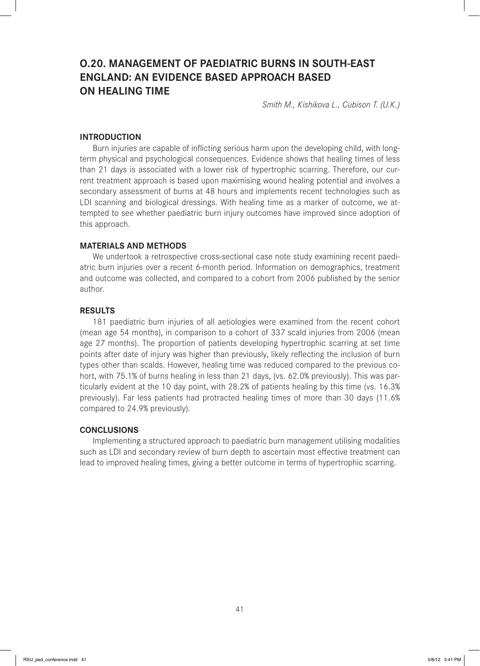# **O.20. MANAGEMENT OF PAEDIATRIC BURNS IN SOUTH-EAST ENGLAND: AN EVIDENCE BASED APPROACH BASED ON HEALING TIME**

*Smith M., Kishikova L., Cubison T. (U.K.)*

### **INTRODUCTION**

Burn injuries are capable of inflicting serious harm upon the developing child, with longterm physical and psychological consequences. Evidence shows that healing times of less than 21 days is associated with a lower risk of hypertrophic scarring. Therefore, our current treatment approach is based upon maximising wound healing potential and involves a secondary assessment of burns at 48 hours and implements recent technologies such as LDI scanning and biological dressings. With healing time as a marker of outcome, we attempted to see whether paediatric burn injury outcomes have improved since adoption of this approach.

#### **MATERIALS AND METHODS**

We undertook a retrospective cross-sectional case note study examining recent paediatric burn injuries over a recent 6-month period. Information on demographics, treatment and outcome was collected, and compared to a cohort from 2006 published by the senior author.

### **RESULTS**

181 paediatric burn injuries of all aetiologies were examined from the recent cohort (mean age 54 months), in comparison to a cohort of 337 scald injuries from 2006 (mean age 27 months). The proportion of patients developing hypertrophic scarring at set time points after date of injury was higher than previously, likely reflecting the inclusion of burn types other than scalds. However, healing time was reduced compared to the previous cohort, with 75.1% of burns healing in less than 21 days, (vs. 62.0% previously). This was particularly evident at the 10 day point, with 28.2% of patients healing by this time (vs. 16.3% previously). Far less patients had protracted healing times of more than 30 days (11.6% compared to 24.9% previously).

## **CONCLUSIONS**

Implementing a structured approach to paediatric burn management utilising modalities such as LDI and secondary review of burn depth to ascertain most effective treatment can lead to improved healing times, giving a better outcome in terms of hypertrophic scarring.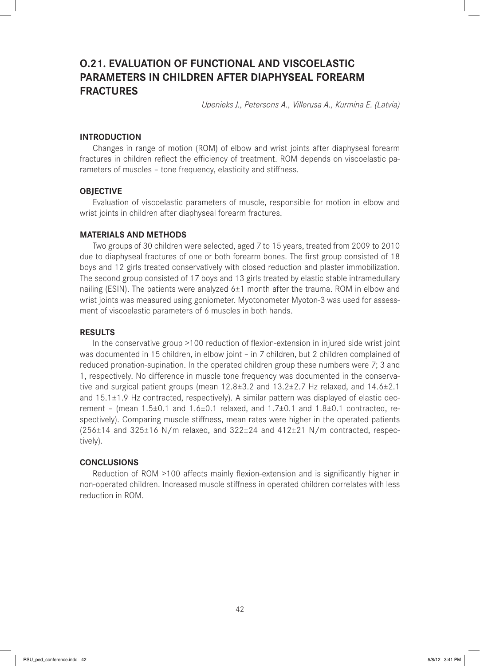# **O.21. EVALUATION OF FUNCTIONAL AND VISCOELASTIC PARAMETERS IN CHILDREN AFTER DIAPHYSEAL FOREARM FRACTURES**

*Upenieks J., Petersons A., Villerusa A., Kurmina E. (Latvia)*

## **INTRODUCTION**

Changes in range of motion (ROM) of elbow and wrist joints after diaphyseal forearm fractures in children reflect the efficiency of treatment. ROM depends on viscoelastic parameters of muscles - tone frequency, elasticity and stiffness.

#### **OBJECTIVE**

Evaluation of viscoelastic parameters of muscle, responsible for motion in elbow and wrist joints in children after diaphyseal forearm fractures.

#### **MATERIALS AND METHODS**

Two groups of 30 children were selected, aged 7 to 15 years, treated from 2009 to 2010 due to diaphyseal fractures of one or both forearm bones. The first group consisted of 18 boys and 12 girls treated conservatively with closed reduction and plaster immobilization. The second group consisted of 17 boys and 13 girls treated by elastic stable intramedullary nailing (ESIN). The patients were analyzed  $6±1$  month after the trauma. ROM in elbow and wrist joints was measured using goniometer. Myotonometer Myoton-3 was used for assessment of viscoelastic parameters of 6 muscles in both hands.

## **RESULTS**

In the conservative group >100 reduction of flexion-extension in injured side wrist joint was documented in 15 children, in elbow joint – in 7 children, but 2 children complained of reduced pronation-supination. In the operated children group these numbers were 7; 3 and 1, respectively. No difference in muscle tone frequency was documented in the conservative and surgical patient groups (mean 12.8±3.2 and 13.2±2.7 Hz relaxed, and 14.6±2.1 and  $15.1\pm1.9$  Hz contracted, respectively). A similar pattern was displayed of elastic decrement – (mean  $1.5\pm0.1$  and  $1.6\pm0.1$  relaxed, and  $1.7\pm0.1$  and  $1.8\pm0.1$  contracted, respectively). Comparing muscle stiffness, mean rates were higher in the operated patients  $(256±14$  and  $325±16$  N/m relaxed, and  $322±24$  and  $412±21$  N/m contracted, respectively).

### **CONCLUSIONS**

Reduction of ROM >100 affects mainly flexion-extension and is significantly higher in non-operated children. Increased muscle stiffness in operated children correlates with less reduction in ROM.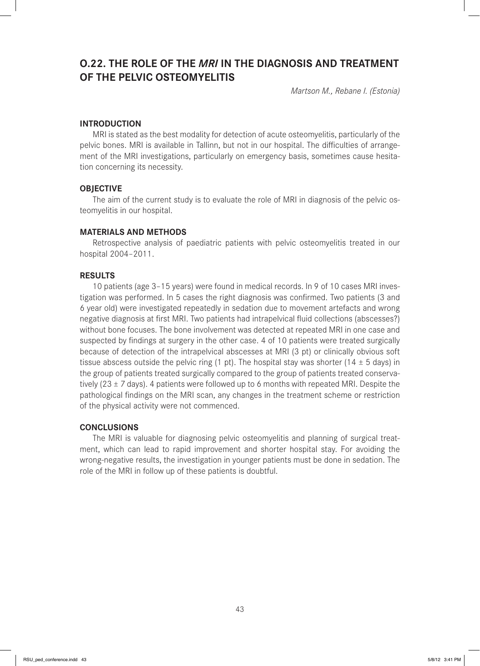## **O.22. THE ROLE OF THE** *MRI* **IN THE DIAGNOSIS AND TREATMENT OF THE PELVIC OSTEOMYELITIS**

*Martson M., Rebane I. (Estonia)*

#### **INTRODUCTION**

MRI is stated as the best modality for detection of acute osteomyelitis, particularly of the pelvic bones. MRI is available in Tallinn, but not in our hospital. The difficulties of arrangement of the MRI investigations, particularly on emergency basis, sometimes cause hesitation concerning its necessity.

#### **OBJECTIVE**

The aim of the current study is to evaluate the role of MRI in diagnosis of the pelvic osteomyelitis in our hospital.

#### **MATERIALS AND METHODS**

Retrospective analysis of paediatric patients with pelvic osteomyelitis treated in our hospital 2004–2011.

#### **RESULTS**

10 patients (age 3–15 years) were found in medical records. In 9 of 10 cases MRI investigation was performed. In 5 cases the right diagnosis was confirmed. Two patients (3 and 6 year old) were investigated repeatedly in sedation due to movement artefacts and wrong negative diagnosis at first MRI. Two patients had intrapelvical fluid collections (abscesses?) without bone focuses. The bone involvement was detected at repeated MRI in one case and suspected by findings at surgery in the other case. 4 of 10 patients were treated surgically because of detection of the intrapelvical abscesses at MRI (3 pt) or clinically obvious soft tissue abscess outside the pelvic ring (1 pt). The hospital stay was shorter (14  $\pm$  5 days) in the group of patients treated surgically compared to the group of patients treated conservatively (23  $\pm$  7 days). 4 patients were followed up to 6 months with repeated MRI. Despite the pathological findings on the MRI scan, any changes in the treatment scheme or restriction of the physical activity were not commenced.

#### **CONCLUSIONS**

The MRI is valuable for diagnosing pelvic osteomyelitis and planning of surgical treatment, which can lead to rapid improvement and shorter hospital stay. For avoiding the wrong-negative results, the investigation in younger patients must be done in sedation. The role of the MRI in follow up of these patients is doubtful.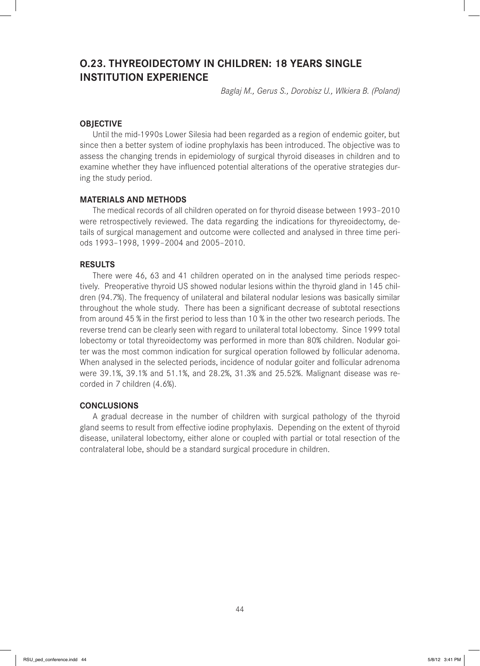# **O.23. THYREOIDECTOMY IN CHILDREN: 18 YEARS SINGLE INSTITUTION EXPERIENCE**

*Baglaj M., Gerus S., Dorobisz U., Wlkiera B. (Poland)*

### **OBJECTIVE**

Until the mid-1990s Lower Silesia had been regarded as a region of endemic goiter, but since then a better system of iodine prophylaxis has been introduced. The objective was to assess the changing trends in epidemiology of surgical thyroid diseases in children and to examine whether they have influenced potential alterations of the operative strategies during the study period.

#### **MATERIALS AND METHODS**

The medical records of all children operated on for thyroid disease between 1993–2010 were retrospectively reviewed. The data regarding the indications for thyreoidectomy, details of surgical management and outcome were collected and analysed in three time periods 1993–1998, 1999–2004 and 2005–2010.

#### **RESULTS**

There were 46, 63 and 41 children operated on in the analysed time periods respectively. Preoperative thyroid US showed nodular lesions within the thyroid gland in 145 children (94.7%). The frequency of unilateral and bilateral nodular lesions was basically similar throughout the whole study. There has been a significant decrease of subtotal resections from around 45 % in the first period to less than 10 % in the other two research periods. The reverse trend can be clearly seen with regard to unilateral total lobectomy. Since 1999 total lobectomy or total thyreoidectomy was performed in more than 80% children. Nodular goiter was the most common indication for surgical operation followed by follicular adenoma. When analysed in the selected periods, incidence of nodular goiter and follicular adrenoma were 39.1%, 39.1% and 51.1%, and 28.2%, 31.3% and 25.52%. Malignant disease was recorded in 7 children (4.6%).

### **CONCLUSIONS**

A gradual decrease in the number of children with surgical pathology of the thyroid gland seems to result from effective iodine prophylaxis. Depending on the extent of thyroid disease, unilateral lobectomy, either alone or coupled with partial or total resection of the contralateral lobe, should be a standard surgical procedure in children.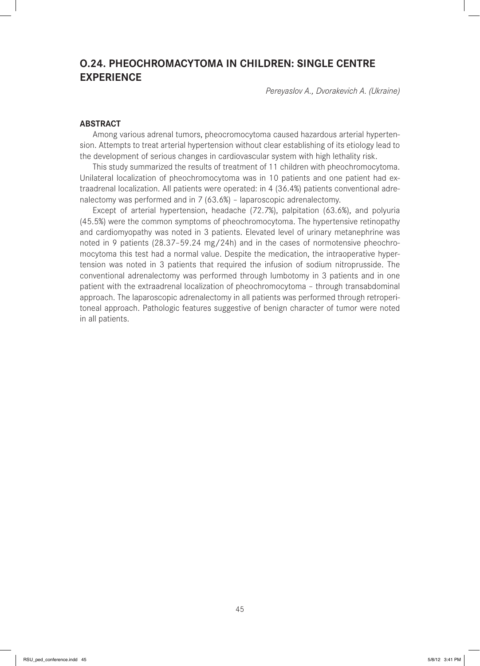# **O.24. PHEOCHROMACYTOMA IN CHILDREN: SINGLE CENTRE EXPERIENCE**

*Pereyaslov A., Dvorakevich A. (Ukraine)*

### **ABSTRACT**

Among various adrenal tumors, pheocromocytoma caused hazardous arterial hypertension. Attempts to treat arterial hypertension without clear establishing of its etiology lead to the development of serious changes in cardiovascular system with high lethality risk.

This study summarized the results of treatment of 11 children with pheochromocytoma. Unilateral localization of pheochromocytoma was in 10 patients and one patient had extraadrenal localization. All patients were operated: in 4 (36.4%) patients conventional adrenalectomy was performed and in 7 (63.6%) – laparoscopic adrenalectomy.

Except of arterial hypertension, headache (72.7%), palpitation (63.6%), and polyuria (45.5%) were the common symptoms of pheochromocytoma. The hypertensive retinopathy and cardiomyopathy was noted in 3 patients. Elevated level of urinary metanephrine was noted in 9 patients (28.37–59.24 mg/24h) and in the cases of normotensive pheochromocytoma this test had a normal value. Despite the medication, the intraoperative hypertension was noted in 3 patients that required the infusion of sodium nitroprusside. The conventional adrenalectomy was performed through lumbotomy in 3 patients and in one patient with the extraadrenal localization of pheochromocytoma – through transabdominal approach. The laparoscopic adrenalectomy in all patients was performed through retroperitoneal approach. Pathologic features suggestive of benign character of tumor were noted in all patients.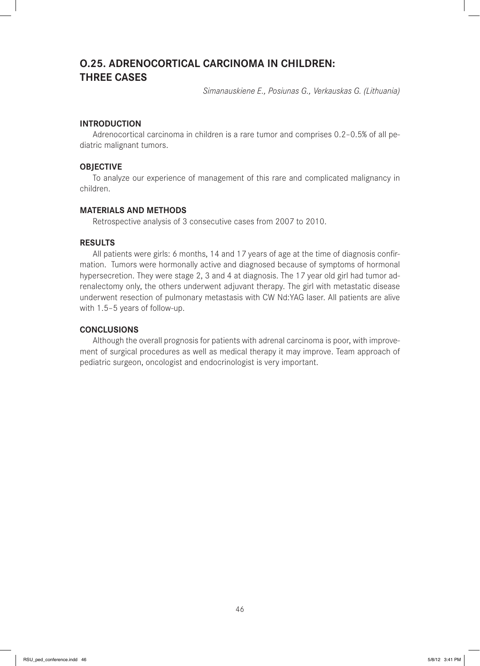## **O.25. ADRENOCORTICAL CARCINOMA IN CHILDREN: THREE CASES**

*Simanauskiene E., Posiunas G., Verkauskas G. (Lithuania)*

## **INTRODUCTION**

Adrenocortical carcinoma in children is a rare tumor and comprises 0.2–0.5% of all pediatric malignant tumors.

## **OBJECTIVE**

To analyze our experience of management of this rare and complicated malignancy in children.

## **MATERIALS AND METHODS**

Retrospective analysis of 3 consecutive cases from 2007 to 2010.

## **RESULTS**

All patients were girls: 6 months, 14 and 17 years of age at the time of diagnosis confirmation. Tumors were hormonally active and diagnosed because of symptoms of hormonal hypersecretion. They were stage 2, 3 and 4 at diagnosis. The 17 year old girl had tumor adrenalectomy only, the others underwent adjuvant therapy. The girl with metastatic disease underwent resection of pulmonary metastasis with CW Nd:YAG laser. All patients are alive with 1.5–5 years of follow-up.

## **CONCLUSIONS**

Although the overall prognosis for patients with adrenal carcinoma is poor, with improvement of surgical procedures as well as medical therapy it may improve. Team approach of pediatric surgeon, oncologist and endocrinologist is very important.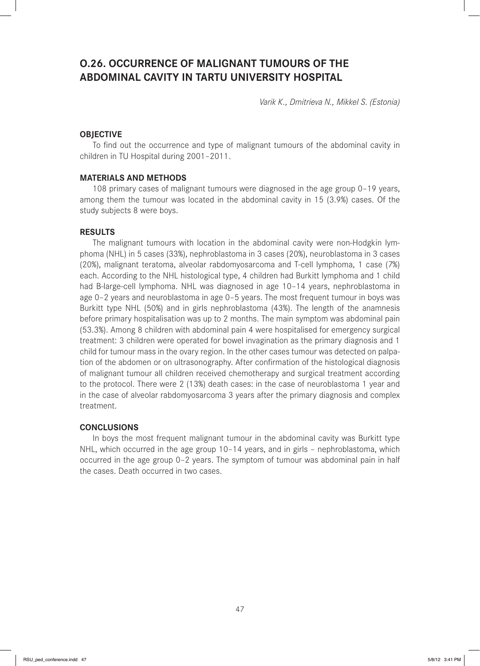# **O.26. OCCURRENCE OF MALIGNANT TUMOURS OF THE ABDOMINAL CAVITY IN TARTU UNIVERSITY HOSPITAL**

*Varik K., Dmitrieva N., Mikkel S. (Estonia)*

## **OBJECTIVE**

To find out the occurrence and type of malignant tumours of the abdominal cavity in children in TU Hospital during 2001–2011.

### **MATERIALS AND METHODS**

108 primary cases of malignant tumours were diagnosed in the age group 0–19 years, among them the tumour was located in the abdominal cavity in 15 (3.9%) cases. Of the study subjects 8 were boys.

#### **RESULTS**

The malignant tumours with location in the abdominal cavity were non-Hodgkin lymphoma (NHL) in 5 cases (33%), nephroblastoma in 3 cases (20%), neuroblastoma in 3 cases (20%), malignant teratoma, alveolar rabdomyosarcoma and T-cell lymphoma, 1 case (7%) each. According to the NHL histological type, 4 children had Burkitt lymphoma and 1 child had B-large-cell lymphoma. NHL was diagnosed in age 10-14 years, nephroblastoma in age 0–2 years and neuroblastoma in age 0–5 years. The most frequent tumour in boys was Burkitt type NHL (50%) and in girls nephroblastoma (43%). The length of the anamnesis before primary hospitalisation was up to 2 months. The main symptom was abdominal pain (53.3%). Among 8 children with abdominal pain 4 were hospitalised for emergency surgical treatment: 3 children were operated for bowel invagination as the primary diagnosis and 1 child for tumour mass in the ovary region. In the other cases tumour was detected on palpation of the abdomen or on ultrasonography. After confirmation of the histological diagnosis of malignant tumour all children received chemotherapy and surgical treatment according to the protocol. There were 2 (13%) death cases: in the case of neuroblastoma 1 year and in the case of alveolar rabdomyosarcoma 3 years after the primary diagnosis and complex treatment.

## **CONCLUSIONS**

In boys the most frequent malignant tumour in the abdominal cavity was Burkitt type NHL, which occurred in the age group 10–14 years, and in girls – nephroblastoma, which occurred in the age group 0–2 years. The symptom of tumour was abdominal pain in half the cases. Death occurred in two cases.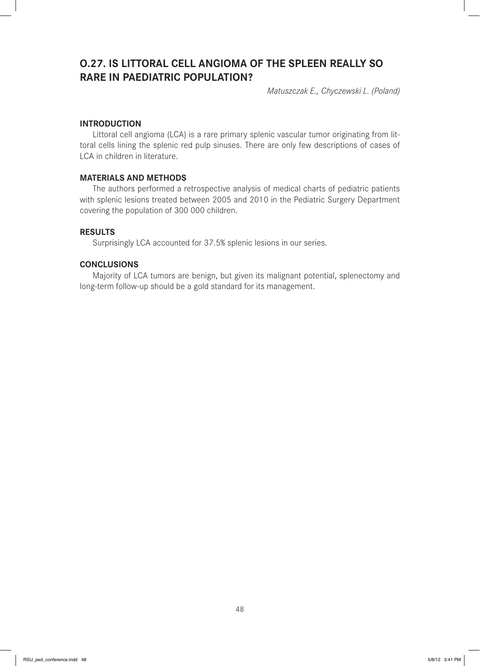# **O.27. IS LITTORAL CELL ANGIOMA OF THE SPLEEN REALLY SO RARE IN PAEDIATRIC POPULATION?**

*Matuszczak E., Chyczewski L. (Poland)*

## **INTRODUCTION**

Littoral cell angioma (LCA) is a rare primary splenic vascular tumor originating from littoral cells lining the splenic red pulp sinuses. There are only few descriptions of cases of LCA in children in literature.

### **MATERIALS AND METHODS**

The authors performed a retrospective analysis of medical charts of pediatric patients with splenic lesions treated between 2005 and 2010 in the Pediatric Surgery Department covering the population of 300 000 children.

## **RESULTS**

Surprisingly LCA accounted for 37.5% splenic lesions in our series.

### **CONCLUSIONS**

Majority of LCA tumors are benign, but given its malignant potential, splenectomy and long-term follow-up should be a gold standard for its management.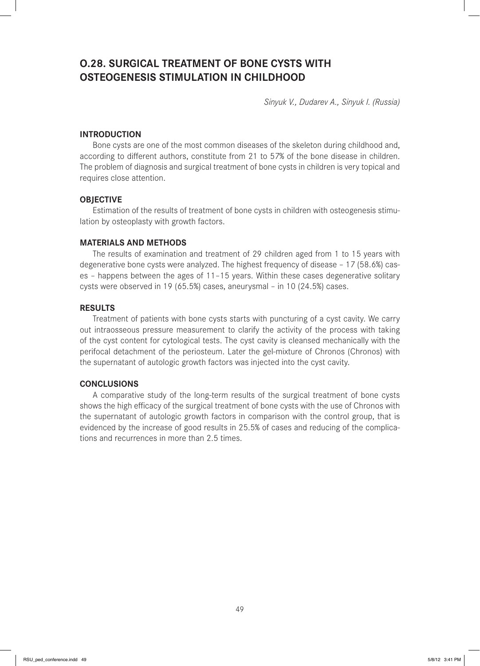# **O.28. SURGICAL TREATMENT OF BONE CYSTS WITH OSTEOGENESIS STIMULATION IN CHILDHOOD**

*Sinyuk V., Dudarev A., Sinyuk I. (Russia)*

## **INTRODUCTION**

Bone cysts are one of the most common diseases of the skeleton during childhood and, according to different authors, constitute from 21 to 57% of the bone disease in children. The problem of diagnosis and surgical treatment of bone cysts in children is very topical and requires close attention.

### **OBJECTIVE**

Estimation of the results of treatment of bone cysts in children with osteogenesis stimulation by osteoplasty with growth factors.

## **MATERIALS AND METHODS**

The results of examination and treatment of 29 children aged from 1 to 15 years with degenerative bone cysts were analyzed. The highest frequency of disease – 17 (58.6%) cases – happens between the ages of 11–15 years. Within these cases degenerative solitary cysts were observed in 19 (65.5%) cases, aneurysmal – in 10 (24.5%) cases.

#### **RESULTS**

Treatment of patients with bone cysts starts with puncturing of a cyst cavity. We carry out intraosseous pressure measurement to clarify the activity of the process with taking of the cyst content for cytological tests. The cyst cavity is cleansed mechanically with the perifocal detachment of the periosteum. Later the gel-mixture of Chronos (Chronos) with the supernatant of autologic growth factors was injected into the cyst cavity.

## **CONCLUSIONS**

A comparative study of the long-term results of the surgical treatment of bone cysts shows the high efficacy of the surgical treatment of bone cysts with the use of Chronos with the supernatant of autologic growth factors in comparison with the control group, that is evidenced by the increase of good results in 25.5% of cases and reducing of the complications and recurrences in more than 2.5 times.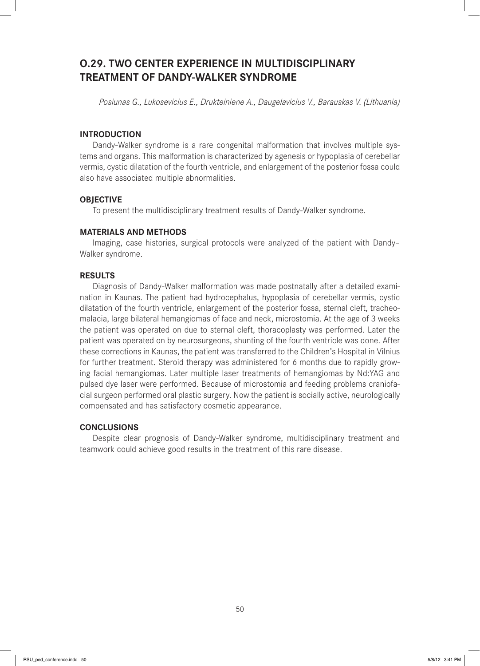# **O.29. TWO CENTER EXPERIENCE IN MULTIDISCIPLINARY TREATMENT OF DANDY-WALKER SYNDROME**

*Posiunas G., Lukosevicius E., Drukteiniene A., Daugelavicius V., Barauskas V. (Lithuania)*

## **INTRODUCTION**

Dandy-Walker syndrome is a rare congenital malformation that involves multiple systems and organs. This malformation is characterized by agenesis or hypoplasia of cerebellar vermis, cystic dilatation of the fourth ventricle, and enlargement of the posterior fossa could also have associated multiple abnormalities.

#### **OBJECTIVE**

To present the multidisciplinary treatment results of Dandy-Walker syndrome.

#### **MATERIALS AND METHODS**

Imaging, case histories, surgical protocols were analyzed of the patient with Dandy– Walker syndrome.

#### **RESULTS**

Diagnosis of Dandy-Walker malformation was made postnatally after a detailed examination in Kaunas. The patient had hydrocephalus, hypoplasia of cerebellar vermis, cystic dilatation of the fourth ventricle, enlargement of the posterior fossa, sternal cleft, tracheomalacia, large bilateral hemangiomas of face and neck, microstomia. At the age of 3 weeks the patient was operated on due to sternal cleft, thoracoplasty was performed. Later the patient was operated on by neurosurgeons, shunting of the fourth ventricle was done. After these corrections in Kaunas, the patient was transferred to the Children's Hospital in Vilnius for further treatment. Steroid therapy was administered for 6 months due to rapidly growing facial hemangiomas. Later multiple laser treatments of hemangiomas by Nd:YAG and pulsed dye laser were performed. Because of microstomia and feeding problems craniofacial surgeon performed oral plastic surgery. Now the patient is socially active, neurologically compensated and has satisfactory cosmetic appearance.

## **CONCLUSIONS**

Despite clear prognosis of Dandy-Walker syndrome, multidisciplinary treatment and teamwork could achieve good results in the treatment of this rare disease.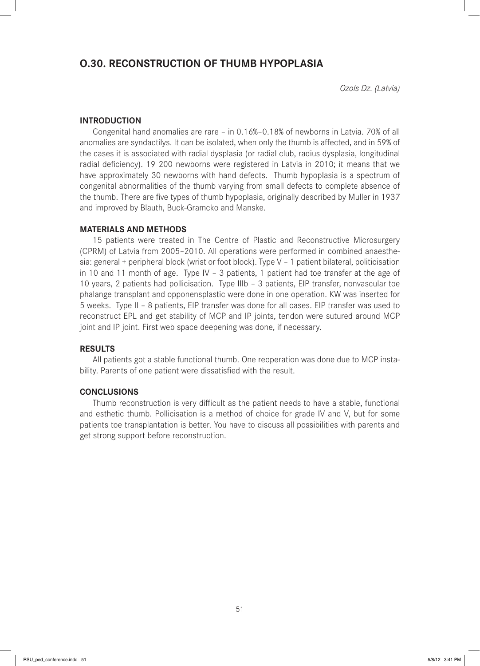## **O.30. RECONSTRUCTION OF THUMB HYPOPLASIA**

*Ozols Dz. (Latvia)*

## **INTRODUCTION**

Congenital hand anomalies are rare – in 0.16%–0.18% of newborns in Latvia. 70% of all anomalies are syndactilys. It can be isolated, when only the thumb is affected, and in 59% of the cases it is associated with radial dysplasia (or radial club, radius dysplasia, longitudinal radial deficiency). 19 200 newborns were registered in Latvia in 2010; it means that we have approximately 30 newborns with hand defects. Thumb hypoplasia is a spectrum of congenital abnormalities of the thumb varying from small defects to complete absence of the thumb. There are five types of thumb hypoplasia, originally described by Muller in 1937 and improved by Blauth, Buck-Gramcko and Manske.

## **MATERIALS AND METHODS**

15 patients were treated in The Centre of Plastic and Reconstructive Microsurgery (CPRM) of Latvia from 2005–2010. All operations were performed in combined anaesthesia: general + peripheral block (wrist or foot block). Type V – 1 patient bilateral, politicisation in 10 and 11 month of age. Type IV – 3 patients, 1 patient had toe transfer at the age of 10 years, 2 patients had pollicisation. Type IIIb – 3 patients, EIP transfer, nonvascular toe phalange transplant and opponensplastic were done in one operation. KW was inserted for 5 weeks. Type II – 8 patients, EIP transfer was done for all cases. EIP transfer was used to reconstruct EPL and get stability of MCP and IP joints, tendon were sutured around MCP joint and IP joint. First web space deepening was done, if necessary.

## **RESULTS**

All patients got a stable functional thumb. One reoperation was done due to MCP instability. Parents of one patient were dissatisfied with the result.

## **CONCLUSIONS**

Thumb reconstruction is very difficult as the patient needs to have a stable, functional and esthetic thumb. Pollicisation is a method of choice for grade IV and V, but for some patients toe transplantation is better. You have to discuss all possibilities with parents and get strong support before reconstruction.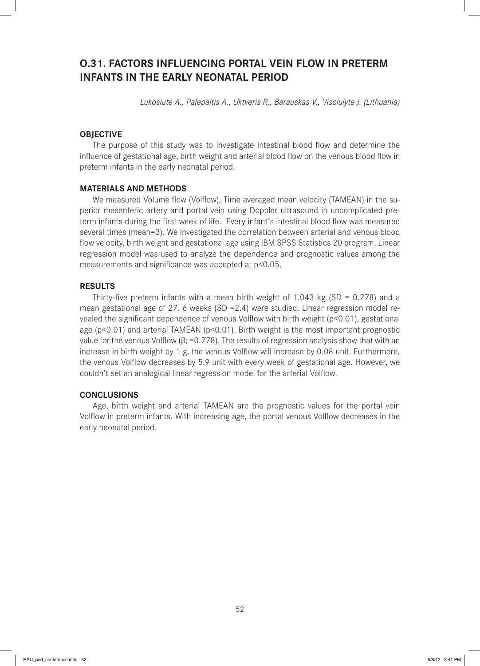## **O.31. FACTORS INFLUENCING PORTAL VEIN FLOW IN PRETERM INFANTS IN THE EARLY NEONATAL PERIOD**

*Lukosiute A., Palepaitis A., Uktveris R., Barauskas V., Visciulyte J. (Lithuania)*

## **OBJECTIVE**

The purpose of this study was to investigate intestinal blood flow and determine the influence of gestational age, birth weight and arterial blood flow on the venous blood flow in preterm infants in the early neonatal period.

#### **MATERIALS AND METHODS**

We measured Volume flow (Volflow), Time averaged mean velocity (TAMEAN) in the superior mesenteric artery and portal vein using Doppler ultrasound in uncomplicated preterm infants during the first week of life. Every infant's intestinal blood flow was measured several times (mean=3). We investigated the correlation between arterial and venous blood flow velocity, birth weight and gestational age using IBM SPSS Statistics 20 program. Linear regression model was used to analyze the dependence and prognostic values among the measurements and significance was accepted at  $p<0.05$ .

#### **RESULTS**

Thirty-five preterm infants with a mean birth weight of 1.043 kg (SD =  $0.278$ ) and a mean gestational age of 27. 6 weeks (SD = 2.4) were studied. Linear regression model revealed the significant dependence of venous Volflow with birth weight (p<0.01), gestational age (p<0.01) and arterial TAMEAN (p<0.01). Birth weight is the most important prognostic value for the venous Volflow ( $β$ ; =0.778). The results of regression analysis show that with an increase in birth weight by 1 g, the venous Volflow will increase by 0.08 unit. Furthermore, the venous Volflow decreases by 5.9 unit with every week of gestational age. However, we couldn't set an analogical linear regression model for the arterial Volflow.

#### **CONCLUSIONS**

Age, birth weight and arterial TAMEAN are the prognostic values for the portal vein Volflow in preterm infants. With increasing age, the portal venous Volflow decreases in the early neonatal period.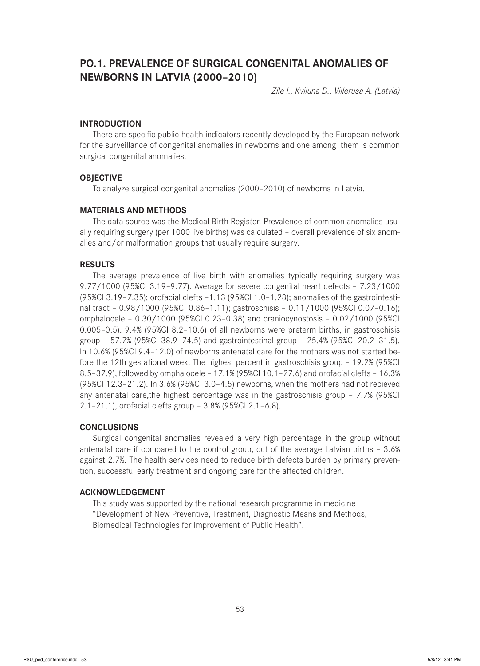## **PO.1. PREVALENCE OF SURGICAL CONGENITAL ANOMALIES OF NEWBORNS IN LATVIA (2000–2010)**

*Zile I., Kviluna D., Villerusa A. (Latvia)*

### **INTRODUCTION**

There are specific public health indicators recently developed by the European network for the surveillance of congenital anomalies in newborns and one among them is common surgical congenital anomalies.

### **OBJECTIVE**

To analyze surgical congenital anomalies (2000–2010) of newborns in Latvia.

#### **MATERIALS AND METHODS**

The data source was the Medical Birth Register. Prevalence of common anomalies usually requiring surgery (per 1000 live births) was calculated – overall prevalence of six anomalies and/or malformation groups that usually require surgery.

#### **RESULTS**

The average prevalence of live birth with anomalies typically requiring surgery was 9.77/1000 (95%CI 3.19–9.77). Average for severe congenital heart defects – 7.23/1000 (95%CI 3.19–7.35); orofacial clefts –1.13 (95%CI 1.0–1.28); anomalies of the gastrointestinal tract – 0.98/1000 (95%CI 0.86–1.11); gastroschisis – 0.11/1000 (95%CI 0.07–0.16); omphalocele – 0.30/1000 (95%CI 0.23–0.38) and craniocynostosis – 0.02/1000 (95%CI 0.005–0.5). 9.4% (95%CI 8.2–10.6) of all newborns were preterm births, in gastroschisis group – 57.7% (95%CI 38.9–74.5) and gastrointestinal group – 25.4% (95%CI 20.2–31.5). In 10.6% (95%CI 9.4–12.0) of newborns antenatal care for the mothers was not started before the 12th gestational week. The highest percent in gastroschisis group – 19.2% (95%CI 8.5–37.9), followed by omphalocele – 17.1% (95%CI 10.1–27.6) and orofacial clefts – 16.3% (95%CI 12.3–21.2). In 3.6% (95%CI 3.0–4.5) newborns, when the mothers had not recieved any antenatal care,the highest percentage was in the gastroschisis group – 7.7% (95%CI 2.1–21.1), orofacial clefts group – 3.8% (95%CI 2.1–6.8).

#### **CONCLUSIONS**

Surgical congenital anomalies revealed a very high percentage in the group without antenatal care if compared to the control group, out of the average Latvian births – 3.6% against 2.7%. The health services need to reduce birth defects burden by primary prevention, successful early treatment and ongoing care for the affected children.

#### **ACKNOWLEDGEMENT**

This study was supported by the national research programme in medicine "Development of New Preventive, Treatment, Diagnostic Means and Methods, Biomedical Technologies for Improvement of Public Health".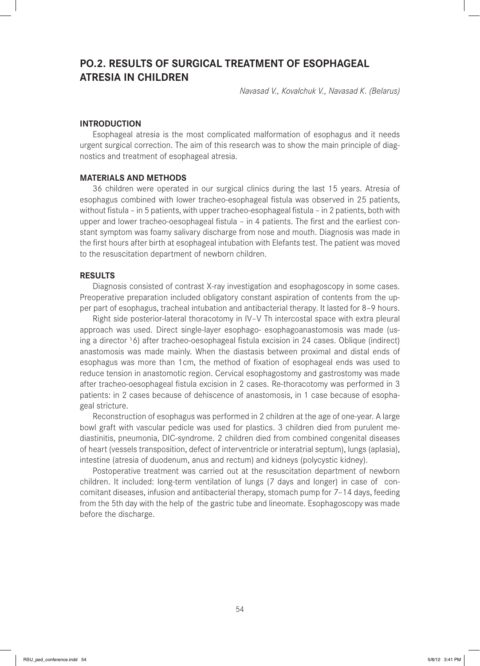## **PO.2. RESULTS OF SURGICAL TREATMENT OF ESOPHAGEAL ATRESIA IN CHILDREN**

*Navasad V., Kovalchuk V., Navasad K. (Belarus)* 

## **INTRODUCTION**

Esophageal atresia is the most complicated malformation of esophagus and it needs urgent surgical correction. The aim of this research was to show the main principle of diagnostics and treatment of esophageal atresia.

### **MATERIALS AND METHODS**

36 children were operated in our surgical clinics during the last 15 years. Atresia of esophagus combined with lower tracheo-esophageal fistula was observed in 25 patients, without fistula – in 5 patients, with upper tracheo-esophageal fistula – in 2 patients, both with upper and lower tracheo-oesophageal fistula  $-$  in 4 patients. The first and the earliest constant symptom was foamy salivary discharge from nose and mouth. Diagnosis was made in the first hours after birth at esophageal intubation with Elefants test. The patient was moved to the resuscitation department of newborn children.

#### **RESULTS**

Diagnosis consisted of contrast X-ray investigation and esophagoscopy in some cases. Preoperative preparation included obligatory constant aspiration of contents from the upper part of esophagus, tracheal intubation and antibacterial therapy. It lasted for 8–9 hours.

Right side posterior-lateral thoracotomy in IV–V Th intercostal space with extra pleural approach was used. Direct single-layer esophago- esophagoanastomosis was made (using a director <sup>1</sup>6) after tracheo-oesophageal fistula excision in 24 cases. Oblique (indirect) anastomosis was made mainly. When the diastasis between proximal and distal ends of esophagus was more than 1cm, the method of fixation of esophageal ends was used to reduce tension in anastomotic region. Cervical esophagostomy and gastrostomy was made after tracheo-oesophageal fistula excision in 2 cases. Re-thoracotomy was performed in 3 patients: in 2 cases because of dehiscence of anastomosis, in 1 case because of esophageal stricture.

Reconstruction of esophagus was performed in 2 children at the age of one-year. A large bowl graft with vascular pedicle was used for plastics. 3 children died from purulent mediastinitis, pneumonia, DIC-syndrome. 2 children died from combined congenital diseases of heart (vessels transposition, defect of interventricle or interatrial septum), lungs (aplasia), intestine (atresia of duodenum, anus and rectum) and kidneys (polycystic kidney).

Postoperative treatment was carried out at the resuscitation department of newborn children. It included: long-term ventilation of lungs (7 days and longer) in case of concomitant diseases, infusion and antibacterial therapy, stomach pump for 7–14 days, feeding from the 5th day with the help of the gastric tube and lineomate. Esophagoscopy was made before the discharge.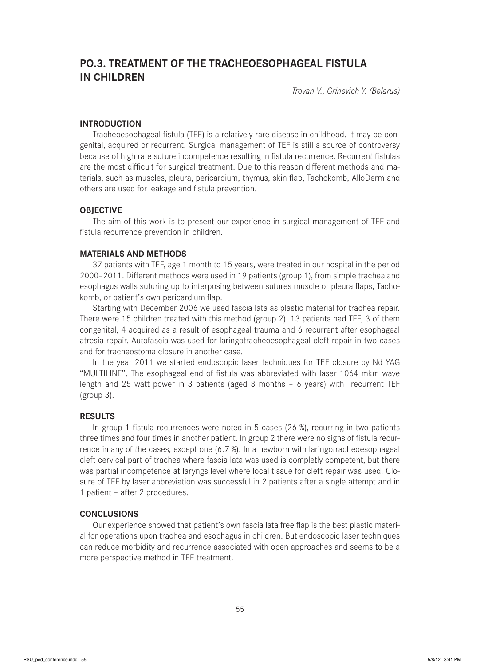# **PO.3. TREATMENT OF THE TRACHEOESOPHAGEAL FISTULA IN CHILDREN**

*Troyan V., Grinevich Y. (Belarus)*

## **INTRODUCTION**

Tracheoesophageal fistula (TEF) is a relatively rare disease in childhood. It may be congenital, acquired or recurrent. Surgical management of TEF is still a source of controversy because of high rate suture incompetence resulting in fistula recurrence. Recurrent fistulas are the most difficult for surgical treatment. Due to this reason different methods and materials, such as muscles, pleura, pericardium, thymus, skin flap, Tachokomb, AlloDerm and others are used for leakage and fistula prevention.

### **OBJECTIVE**

The aim of this work is to present our experience in surgical management of TEF and fistula recurrence prevention in children.

#### **MATERIALS AND METHODS**

37 patients with TEF, age 1 month to 15 years, were treated in our hospital in the period 2000-2011. Different methods were used in 19 patients (group 1), from simple trachea and esophagus walls suturing up to interposing between sutures muscle or pleura flaps, Tachokomb, or patient's own pericardium flap.

Starting with December 2006 we used fascia lata as plastic material for trachea repair. There were 15 children treated with this method (group 2). 13 patients had TEF, 3 of them congenital, 4 acquired as a result of esophageal trauma and 6 recurrent after esophageal atresia repair. Autofascia was used for laringotracheoesophageal cleft repair in two cases and for tracheostoma closure in another case.

In the year 2011 we started endoscopic laser techniques for TEF closure by Nd YAG "MULTILINE". The esophageal end of fistula was abbreviated with laser 1064 mkm wave length and 25 watt power in 3 patients (aged 8 months – 6 years) with recurrent TEF (group 3).

#### **RESULTS**

In group 1 fistula recurrences were noted in 5 cases (26 %), recurring in two patients three times and four times in another patient. In group 2 there were no signs of fistula recurrence in any of the cases, except one (6.7 %). In a newborn with laringotracheoesophageal cleft cervical part of trachea where fascia lata was used is completly competent, but there was partial incompetence at laryngs level where local tissue for cleft repair was used. Closure of TEF by laser abbreviation was successful in 2 patients after a single attempt and in 1 patient – after 2 procedures.

#### **CONCLUSIONS**

Our experience showed that patient's own fascia lata free flap is the best plastic material for operations upon trachea and esophagus in children. But endoscopic laser techniques can reduce morbidity and recurrence associated with open approaches and seems to be a more perspective method in TEF treatment.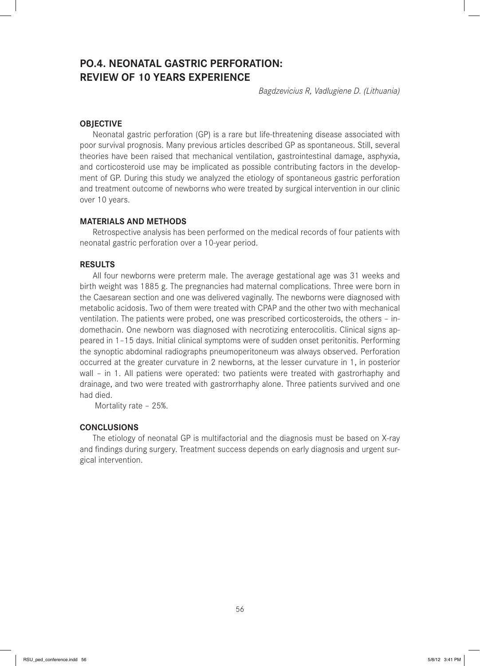# **PO.4. NEONATAL GASTRIC PERFORATION: REVIEW OF 10 YEARS EXPERIENCE**

*Bagdzevicius R, Vadlugiene D. (Lithuania)*

## **OBJECTIVE**

Neonatal gastric perforation (GP) is a rare but life-threatening disease associated with poor survival prognosis. Many previous articles described GP as spontaneous. Still, several theories have been raised that mechanical ventilation, gastrointestinal damage, asphyxia, and corticosteroid use may be implicated as possible contributing factors in the development of GP. During this study we analyzed the etiology of spontaneous gastric perforation and treatment outcome of newborns who were treated by surgical intervention in our clinic over 10 years.

## **MATERIALS AND METHODS**

Retrospective analysis has been performed on the medical records of four patients with neonatal gastric perforation over a 10-year period.

#### **RESULTS**

All four newborns were preterm male. The average gestational age was 31 weeks and birth weight was 1885 g. The pregnancies had maternal complications. Three were born in the Caesarean section and one was delivered vaginally. The newborns were diagnosed with metabolic acidosis. Two of them were treated with CPAP and the other two with mechanical ventilation. The patients were probed, one was prescribed corticosteroids, the others – indomethacin. One newborn was diagnosed with necrotizing enterocolitis. Clinical signs appeared in 1–15 days. Initial clinical symptoms were of sudden onset peritonitis. Performing the synoptic abdominal radiographs pneumoperitoneum was always observed. Perforation occurred at the greater curvature in 2 newborns, at the lesser curvature in 1, in posterior wall – in 1. All patiens were operated: two patients were treated with gastrorhaphy and drainage, and two were treated with gastrorrhaphy alone. Three patients survived and one had died.

Mortality rate – 25%.

## **CONCLUSIONS**

The etiology of neonatal GP is multifactorial and the diagnosis must be based on X-ray and findings during surgery. Treatment success depends on early diagnosis and urgent surgical intervention.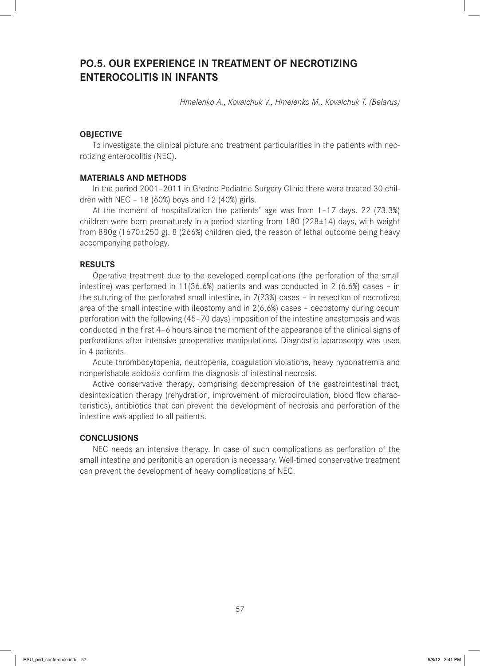## **PO.5. OUR EXPERIENCE IN TREATMENT OF NECROTIZING ENTEROCOLITIS IN INFANTS**

*Hmelenko A., Kovalchuk V., Hmelenko M., Kovalchuk T. (Belarus)*

## **OBJECTIVE**

To investigate the clinical picture and treatment particularities in the patients with necrotizing enterocolitis (NEC).

#### **MATERIALS AND METHODS**

In the period 2001–2011 in Grodno Pediatric Surgery Clinic there were treated 30 children with NEC – 18 (60%) boys and 12 (40%) girls.

At the moment of hospitalization the patients' age was from 1–17 days. 22 (73.3%) children were born prematurely in a period starting from 180 ( $228\pm14$ ) days, with weight from 880g (1670±250 g). 8 (266%) children died, the reason of lethal outcome being heavy accompanying pathology.

#### **RESULTS**

Operative treatment due to the developed complications (the perforation of the small intestine) was perfomed in 11(36.6%) patients and was conducted in 2 (6.6%) cases – in the suturing of the perforated small intestine, in 7(23%) cases – in resection of necrotized area of the small intestine with ileostomy and in 2(6.6%) cases – cecostomy during cecum perforation with the following (45–70 days) imposition of the intestine anastomosis and was conducted in the first 4-6 hours since the moment of the appearance of the clinical signs of perforations after intensive preoperative manipulations. Diagnostic laparoscopy was used in 4 patients.

Acute thrombocytopenia, neutropenia, coagulation violations, heavy hyponatremia and nonperishable acidosis confirm the diagnosis of intestinal necrosis.

Active conservative therapy, comprising decompression of the gastrointestinal tract, desintoxication therapy (rehydration, improvement of microcirculation, blood flow characteristics), antibiotics that can prevent the development of necrosis and perforation of the intestine was applied to all patients.

#### **CONCLUSIONS**

NEC needs an intensive therapy. In case of such complications as perforation of the small intestine and peritonitis an operation is necessary. Well-timed conservative treatment can prevent the development of heavy complications of NEC.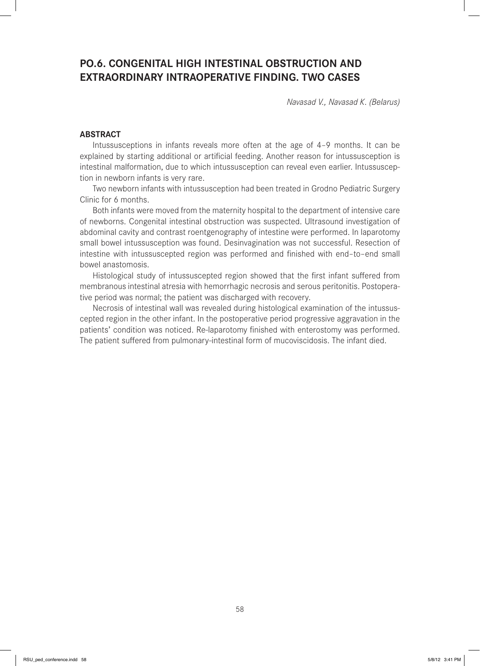## **PO.6. CONGENITAL HIGH INTESTINAL OBSTRUCTION AND EXTRAORDINARY INTRAOPERATIVE FINDING. TWO CASES**

*Navasad V., Navasad K. (Belarus)* 

## **ABSTRACT**

Intussusceptions in infants reveals more often at the age of 4–9 months. It can be explained by starting additional or artificial feeding. Another reason for intussusception is intestinal malformation, due to which intussusception can reveal even earlier. Intussusception in newborn infants is very rare.

Two newborn infants with intussusception had been treated in Grodno Pediatric Surgery Clinic for 6 months.

Both infants were moved from the maternity hospital to the department of intensive care of newborns. Congenital intestinal obstruction was suspected. Ultrasound investigation of abdominal cavity and contrast roentgenography of intestine were performed. In laparotomy small bowel intussusception was found. Desinvagination was not successful. Resection of intestine with intussuscepted region was performed and finished with end–to–end small bowel anastomosis.

Histological study of intussuscepted region showed that the first infant suffered from membranous intestinal atresia with hemorrhagic necrosis and serous peritonitis. Postoperative period was normal; the patient was discharged with recovery.

Necrosis of intestinal wall was revealed during histological examination of the intussuscepted region in the other infant. In the postoperative period progressive aggravation in the patients' condition was noticed. Re-laparotomy finished with enterostomy was performed. The patient suffered from pulmonary-intestinal form of mucoviscidosis. The infant died.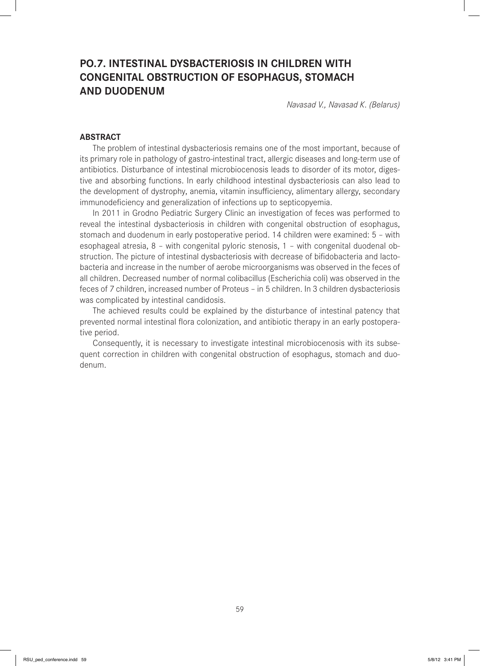# **PO.7. INTESTINAL DYSBACTERIOSIS IN CHILDREN WITH CONGENITAL OBSTRUCTION OF ESOPHAGUS, STOMACH AND DUODENUM**

*Navasad V., Navasad K. (Belarus)*

#### **ABSTRACT**

The problem of intestinal dysbacteriosis remains one of the most important, because of its primary role in pathology of gastro-intestinal tract, allergic diseases and long-term use of antibiotics. Disturbance of intestinal microbiocenosis leads to disorder of its motor, digestive and absorbing functions. In early childhood intestinal dysbacteriosis can also lead to the development of dystrophy, anemia, vitamin insufficiency, alimentary allergy, secondary immunodeficiency and generalization of infections up to septicopyemia.

In 2011 in Grodno Pediatric Surgery Clinic an investigation of feces was performed to reveal the intestinal dysbacteriosis in children with congenital obstruction of esophagus, stomach and duodenum in early postoperative period. 14 children were examined: 5 – with esophageal atresia, 8 – with congenital pyloric stenosis, 1 – with congenital duodenal obstruction. The picture of intestinal dysbacteriosis with decrease of bifidobacteria and lactobacteria and increase in the number of aerobe microorganisms was observed in the feces of all children. Decreased number of normal colibacillus (Escherichia coli) was observed in the feces of 7 children, increased number of Proteus – in 5 children. In 3 children dysbacteriosis was complicated by intestinal candidosis.

The achieved results could be explained by the disturbance of intestinal patency that prevented normal intestinal flora colonization, and antibiotic therapy in an early postoperative period.

Consequently, it is necessary to investigate intestinal microbiocenosis with its subsequent correction in children with congenital obstruction of esophagus, stomach and duodenum.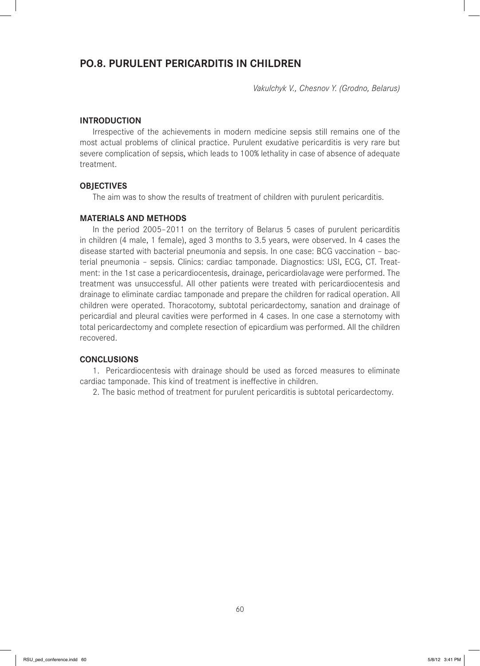## **PO.8. PURULENT PERICARDITIS IN CHILDREN**

*Vakulchyk V., Chesnov Y. (Grodno, Belarus)*

#### **INTRODUCTION**

Irrespective of the achievements in modern medicine sepsis still remains one of the most actual problems of clinical practice. Purulent exudative pericarditis is very rare but severe complication of sepsis, which leads to 100% lethality in case of absence of adequate treatment.

#### **OBJECTIVES**

The aim was to show the results of treatment of children with purulent pericarditis.

#### **MATERIALS AND METHODS**

In the period 2005–2011 on the territory of Belarus 5 cases of purulent pericarditis in children (4 male, 1 female), aged 3 months to 3.5 years, were observed. In 4 cases the disease started with bacterial pneumonia and sepsis. In one case: BCG vaccination – bacterial pneumonia – sepsis. Clinics: cardiac tamponade. Diagnostics: USI, ECG, CT. Treatment: in the 1st case a pericardiocentesis, drainage, pericardiolavage were performed. The treatment was unsuccessful. All other patients were treated with pericardiocentesis and drainage to eliminate cardiac tamponade and prepare the children for radical operation. All children were operated. Thoracotomy, subtotal pericardectomy, sanation and drainage of pericardial and pleural cavities were performed in 4 cases. In one case a sternotomy with total pericardectomy and complete resection of epicardium was performed. All the children recovered.

#### **CONCLUSIONS**

1. Pericardiocentesis with drainage should be used as forced measures to eliminate cardiac tamponade. This kind of treatment is ineffective in children.

2. The basic method of treatment for purulent pericarditis is subtotal pericardectomy.

60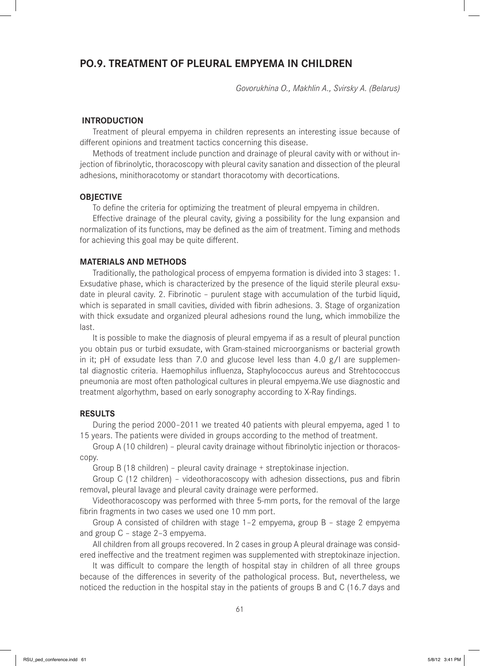## **PO.9. TREATMENT OF PLEURAL EMPYEMA IN CHILDREN**

*Govorukhina O., Makhlin A., Svirsky A. (Belarus)*

#### **INTRODUCTION**

Treatment of pleural empyema in children represents an interesting issue because of different opinions and treatment tactics concerning this disease.

Methods of treatment include punction and drainage of pleural cavity with or without injection of fibrinolytic, thoracoscopy with pleural cavity sanation and dissection of the pleural adhesions, minithoracotomy or standart thoracotomy with decortications.

## **OBJECTIVE**

To define the criteria for optimizing the treatment of pleural empyema in children.

Effective drainage of the pleural cavity, giving a possibility for the lung expansion and normalization of its functions, may be defined as the aim of treatment. Timing and methods for achieving this goal may be quite different.

#### **MATERIALS AND METHODS**

Traditionally, the pathological process of empyema formation is divided into 3 stages: 1. Exsudative phase, which is characterized by the presence of the liquid sterile pleural exsudate in pleural cavity. 2. Fibrinotic – purulent stage with accumulation of the turbid liquid, which is separated in small cavities, divided with fibrin adhesions. 3. Stage of organization with thick exsudate and organized pleural adhesions round the lung, which immobilize the last.

It is possible to make the diagnosis of pleural empyema if as a result of pleural punction you obtain pus or turbid exsudate, with Gram-stained microorganisms or bacterial growth in it; pH of exsudate less than 7.0 and glucose level less than 4.0  $g/l$  are supplemental diagnostic criteria. Haemophilus influenza, Staphylococcus aureus and Strehtococcus pneumonia are most often pathological cultures in pleural empyema.We use diagnostic and treatment algorhythm, based on early sonography according to X-Ray findings.

#### **RESULTS**

During the period 2000–2011 we treated 40 patients with pleural empyema, aged 1 to 15 years. The patients were divided in groups according to the method of treatment.

Group A (10 children) - pleural cavity drainage without fibrinolytic injection or thoracoscopy.

Group B (18 children) – pleural cavity drainage + streptokinase injection.

Group C  $(12 \text{ children})$  – videothoracoscopy with adhesion dissections, pus and fibrin removal, pleural lavage and pleural cavity drainage were performed.

Videothoracoscopy was performed with three 5-mm ports, for the removal of the large fibrin fragments in two cases we used one 10 mm port.

Group A consisted of children with stage 1–2 empyema, group B – stage 2 empyema and group C – stage 2–3 empyema.

All children from all groups recovered. In 2 cases in group A pleural drainage was considered ineffective and the treatment regimen was supplemented with streptokinaze injection.

It was difficult to compare the length of hospital stay in children of all three groups because of the differences in severity of the pathological process. But, nevertheless, we noticed the reduction in the hospital stay in the patients of groups B and C (16.7 days and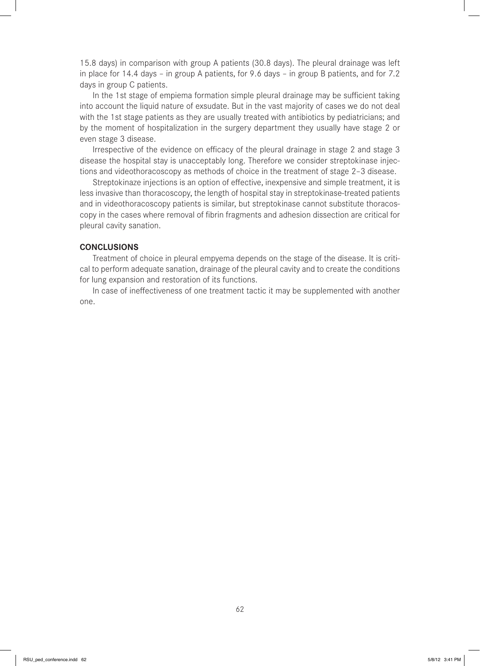15.8 days) in comparison with group A patients (30.8 days). The pleural drainage was left in place for 14.4 days – in group A patients, for 9.6 days – in group B patients, and for 7.2 days in group C patients.

In the 1st stage of empiema formation simple pleural drainage may be sufficient taking into account the liquid nature of exsudate. But in the vast majority of cases we do not deal with the 1st stage patients as they are usually treated with antibiotics by pediatricians; and by the moment of hospitalization in the surgery department they usually have stage 2 or even stage 3 disease.

Irrespective of the evidence on efficacy of the pleural drainage in stage 2 and stage 3 disease the hospital stay is unacceptably long. Therefore we consider streptokinase injections and videothoracoscopy as methods of choice in the treatment of stage 2–3 disease.

Streptokinaze injections is an option of effective, inexpensive and simple treatment, it is less invasive than thoracoscopy, the length of hospital stay in streptokinase-treated patients and in videothoracoscopy patients is similar, but streptokinase cannot substitute thoracoscopy in the cases where removal of fibrin fragments and adhesion dissection are critical for pleural cavity sanation.

#### **CONCLUSIONS**

Treatment of choice in pleural empyema depends on the stage of the disease. It is critical to perform adequate sanation, drainage of the pleural cavity and to create the conditions for lung expansion and restoration of its functions.

In case of ineffectiveness of one treatment tactic it may be supplemented with another one.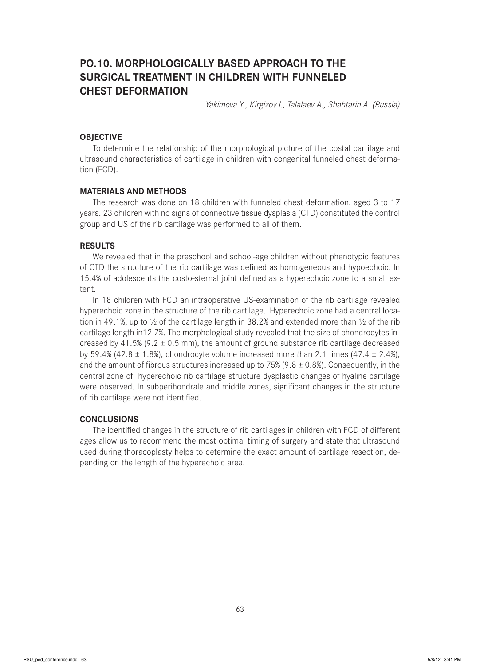# **PO.10. MORPHOLOGICALLY BASED APPROACH TO THE SURGICAL TREATMENT IN CHILDREN WITH FUNNELED CHEST DEFORMATION**

*Yakimova Y., Kirgizov I., Talalaev A., Shahtarin A. (Russia)*

### **OBJECTIVE**

To determine the relationship of the morphological picture of the costal cartilage and ultrasound characteristics of cartilage in children with congenital funneled chest deformation (FCD).

#### **MATERIALS AND METHODS**

The research was done on 18 children with funneled chest deformation, aged 3 to 17 years. 23 children with no signs of connective tissue dysplasia (CTD) constituted the control group and US of the rib cartilage was performed to all of them.

#### **RESULTS**

We revealed that in the preschool and school-age children without phenotypic features of CTD the structure of the rib cartilage was defined as homogeneous and hypoechoic. In 15.4% of adolescents the costo-sternal joint defined as a hyperechoic zone to a small extent.

In 18 children with FCD an intraoperative US-examination of the rib cartilage revealed hyperechoic zone in the structure of the rib cartilage. Hyperechoic zone had a central location in 49.1%, up to  $\frac{1}{2}$  of the cartilage length in 38.2% and extended more than  $\frac{1}{2}$  of the rib cartilage length in12 7%. The morphological study revealed that the size of chondrocytes increased by 41.5% (9.2  $\pm$  0.5 mm), the amount of ground substance rib cartilage decreased by 59.4% (42.8  $\pm$  1.8%), chondrocyte volume increased more than 2.1 times (47.4  $\pm$  2.4%), and the amount of fibrous structures increased up to 75% (9.8  $\pm$  0.8%). Consequently, in the central zone of hyperechoic rib cartilage structure dysplastic changes of hyaline cartilage were observed. In subperihondrale and middle zones, significant changes in the structure of rib cartilage were not identified.

## **CONCLUSIONS**

The identified changes in the structure of rib cartilages in children with FCD of different ages allow us to recommend the most optimal timing of surgery and state that ultrasound used during thoracoplasty helps to determine the exact amount of cartilage resection, depending on the length of the hyperechoic area.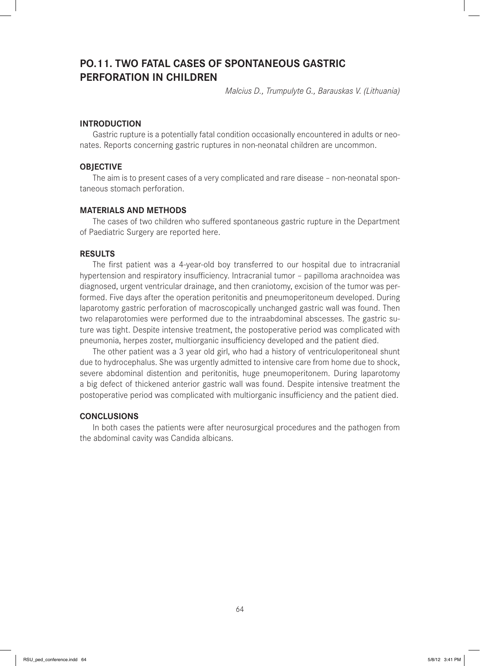## **PO.11. TWO FATAL CASES OF SPONTANEOUS GASTRIC PERFORATION IN CHILDREN**

*Malcius D., Trumpulyte G., Barauskas V. (Lithuania)* 

#### **INTRODUCTION**

Gastric rupture is a potentially fatal condition occasionally encountered in adults or neonates. Reports concerning gastric ruptures in non-neonatal children are uncommon.

## **OBJECTIVE**

The aim is to present cases of a very complicated and rare disease – non-neonatal spontaneous stomach perforation.

#### **MATERIALS AND METHODS**

The cases of two children who suffered spontaneous gastric rupture in the Department of Paediatric Surgery are reported here.

#### **RESULTS**

The first patient was a 4-year-old boy transferred to our hospital due to intracranial hypertension and respiratory insufficiency. Intracranial tumor - papilloma arachnoidea was diagnosed, urgent ventricular drainage, and then craniotomy, excision of the tumor was performed. Five days after the operation peritonitis and pneumoperitoneum developed. During laparotomy gastric perforation of macroscopically unchanged gastric wall was found. Then two relaparotomies were performed due to the intraabdominal abscesses. The gastric suture was tight. Despite intensive treatment, the postoperative period was complicated with pneumonia, herpes zoster, multiorganic insufficiency developed and the patient died.

The other patient was a 3 year old girl, who had a history of ventriculoperitoneal shunt due to hydrocephalus. She was urgently admitted to intensive care from home due to shock, severe abdominal distention and peritonitis, huge pneumoperitonem. During laparotomy a big defect of thickened anterior gastric wall was found. Despite intensive treatment the postoperative period was complicated with multiorganic insufficiency and the patient died.

## **CONCLUSIONS**

In both cases the patients were after neurosurgical procedures and the pathogen from the abdominal cavity was Candida albicans.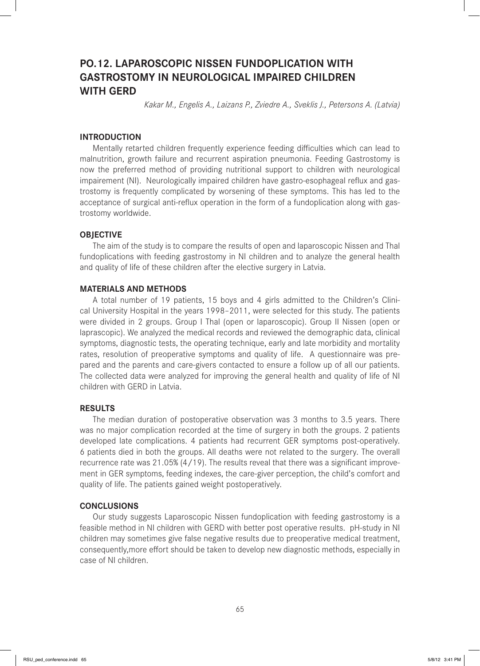# **PO.12. LAPAROSCOPIC NISSEN FUNDOPLICATION WITH GASTROSTOMY IN NEUROLOGICAL IMPAIRED CHILDREN WITH GERD**

*Kakar M., Engelis A., Laizans P., Zviedre A., Sveklis J., Petersons A. (Latvia)*

## **INTRODUCTION**

Mentally retarted children frequently experience feeding difficulties which can lead to malnutrition, growth failure and recurrent aspiration pneumonia. Feeding Gastrostomy is now the preferred method of providing nutritional support to children with neurological impairement (NI). Neurologically impaired children have gastro-esophageal reflux and gastrostomy is frequently complicated by worsening of these symptoms. This has led to the acceptance of surgical anti-reflux operation in the form of a fundoplication along with gastrostomy worldwide.

## **OBJECTIVE**

The aim of the study is to compare the results of open and laparoscopic Nissen and Thal fundoplications with feeding gastrostomy in NI children and to analyze the general health and quality of life of these children after the elective surgery in Latvia.

## **MATERIALS AND METHODS**

A total number of 19 patients, 15 boys and 4 girls admitted to the Children's Clinical University Hospital in the years 1998–2011, were selected for this study. The patients were divided in 2 groups. Group I Thal (open or laparoscopic). Group II Nissen (open or laprascopic). We analyzed the medical records and reviewed the demographic data, clinical symptoms, diagnostic tests, the operating technique, early and late morbidity and mortality rates, resolution of preoperative symptoms and quality of life. A questionnaire was prepared and the parents and care-givers contacted to ensure a follow up of all our patients. The collected data were analyzed for improving the general health and quality of life of NI children with GERD in Latvia.

## **RESULTS**

The median duration of postoperative observation was 3 months to 3.5 years. There was no major complication recorded at the time of surgery in both the groups. 2 patients developed late complications. 4 patients had recurrent GER symptoms post-operatively. 6 patients died in both the groups. All deaths were not related to the surgery. The overall recurrence rate was  $21.05\%$  (4/19). The results reveal that there was a significant improvement in GER symptoms, feeding indexes, the care-giver perception, the child's comfort and quality of life. The patients gained weight postoperatively.

## **CONCLUSIONS**

Our study suggests Laparoscopic Nissen fundoplication with feeding gastrostomy is a feasible method in NI children with GERD with better post operative results. pH-study in NI children may sometimes give false negative results due to preoperative medical treatment, consequently, more effort should be taken to develop new diagnostic methods, especially in case of NI children.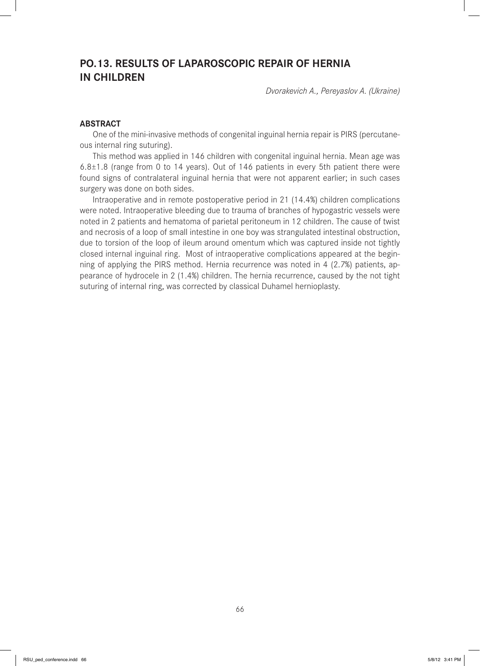# **PO.13. RESULTS OF LAPAROSCOPIC REPAIR OF HERNIA IN CHILDREN**

*Dvorakevich A., Pereyaslov A. (Ukraine)*

### **ABSTRACT**

One of the mini-invasive methods of congenital inguinal hernia repair is PIRS (percutaneous internal ring suturing).

This method was applied in 146 children with congenital inguinal hernia. Mean age was  $6.8\pm1.8$  (range from 0 to 14 years). Out of 146 patients in every 5th patient there were found signs of contralateral inguinal hernia that were not apparent earlier; in such cases surgery was done on both sides.

Intraoperative and in remote postoperative period in 21 (14.4%) children complications were noted. Intraoperative bleeding due to trauma of branches of hypogastric vessels were noted in 2 patients and hematoma of parietal peritoneum in 12 children. The cause of twist and necrosis of a loop of small intestine in one boy was strangulated intestinal obstruction, due to torsion of the loop of ileum around omentum which was captured inside not tightly closed internal inguinal ring. Most of intraoperative complications appeared at the beginning of applying the PIRS method. Hernia recurrence was noted in 4 (2.7%) patients, appearance of hydrocele in 2 (1.4%) children. The hernia recurrence, caused by the not tight suturing of internal ring, was corrected by classical Duhamel hernioplasty.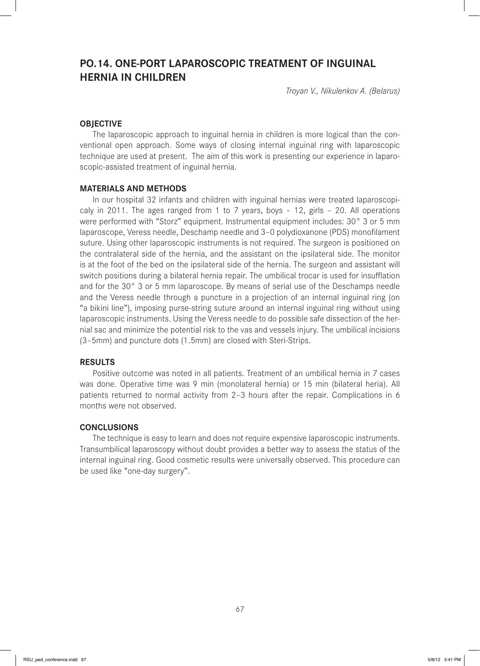# **PO.14. ONE-PORT LAPAROSCOPIC TREATMENT OF INGUINAL HERNIA IN CHILDREN**

*Troyan V., Nikulenkov A. (Belarus)*

## **OBJECTIVE**

The laparoscopic approach to inguinal hernia in children is more logical than the conventional open approach. Some ways of closing internal inguinal ring with laparoscopic technique are used at present. The aim of this work is presenting our experience in laparoscopic-assisted treatment of inguinal hernia.

#### **MATERIALS AND METHODS**

In our hospital 32 infants and children with inguinal hernias were treated laparoscopicaly in 2011. The ages ranged from 1 to 7 years, boys – 12, girls – 20. All operations were performed with "Storz" equipment. Instrumental equipment includes: 30° 3 or 5 mm laparoscope, Veress needle, Deschamp needle and 3-0 polydioxanone (PDS) monofilament suture. Using other laparoscopic instruments is not required. The surgeon is positioned on the contralateral side of the hernia, and the assistant on the ipsilateral side. The monitor is at the foot of the bed on the ipsilateral side of the hernia. The surgeon and assistant will switch positions during a bilateral hernia repair. The umbilical trocar is used for insufflation and for the 30° 3 or 5 mm laparoscope. By means of serial use of the Deschamps needle and the Veress needle through a puncture in a projection of an internal inguinal ring (on "a bikini line"), imposing purse-string suture around an internal inguinal ring without using laparoscopic instruments. Using the Veress needle to do possible safe dissection of the hernial sac and minimize the potential risk to the vas and vessels injury. The umbilical incisions (3–5mm) and puncture dots (1.5mm) are closed with Steri-Strips.

## **RESULTS**

Positive outcome was noted in all patients. Treatment of an umbilical hernia in 7 cases was done. Operative time was 9 min (monolateral hernia) or 15 min (bilateral heria). All patients returned to normal activity from 2–3 hours after the repair. Complications in 6 months were not observed.

## **CONCLUSIONS**

The technique is easy to learn and does not require expensive laparoscopic instruments. Transumbilical laparoscopy without doubt provides a better way to assess the status of the internal inguinal ring. Good cosmetic results were universally observed. This procedure can be used like "one-day surgery".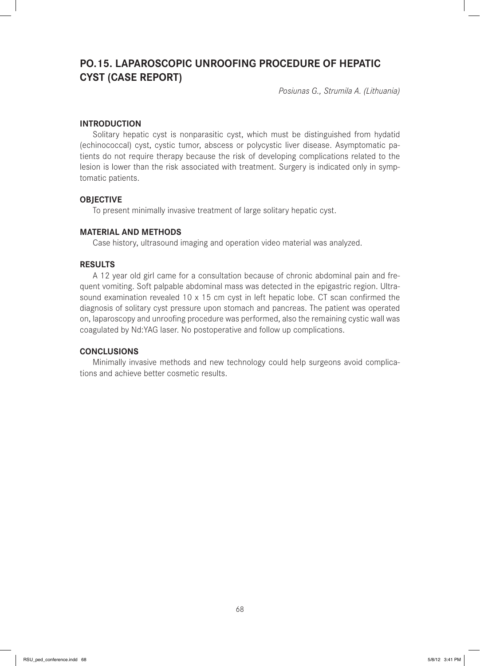# **PO.15. LAPAROSCOPIC UNROOFING PROCEDURE OF HEPATIC CYST (CASE REPORT)**

*Posiunas G., Strumila A. (Lithuania)*

## **INTRODUCTION**

Solitary hepatic cyst is nonparasitic cyst, which must be distinguished from hydatid (echinococcal) cyst, cystic tumor, abscess or polycystic liver disease. Asymptomatic patients do not require therapy because the risk of developing complications related to the lesion is lower than the risk associated with treatment. Surgery is indicated only in symptomatic patients.

### **OBJECTIVE**

To present minimally invasive treatment of large solitary hepatic cyst.

#### **MATERIAL AND METHODS**

Case history, ultrasound imaging and operation video material was analyzed.

## **RESULTS**

A 12 year old girl came for a consultation because of chronic abdominal pain and frequent vomiting. Soft palpable abdominal mass was detected in the epigastric region. Ultrasound examination revealed  $10 \times 15$  cm cyst in left hepatic lobe. CT scan confirmed the diagnosis of solitary cyst pressure upon stomach and pancreas. The patient was operated on, laparoscopy and unroofing procedure was performed, also the remaining cystic wall was coagulated by Nd:YAG laser. No postoperative and follow up complications.

#### **CONCLUSIONS**

Minimally invasive methods and new technology could help surgeons avoid complications and achieve better cosmetic results.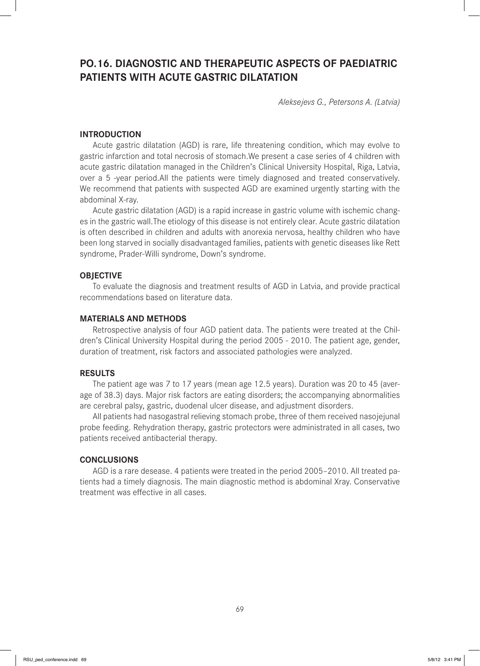# **PO.16. DIAGNOSTIC AND THERAPEUTIC ASPECTS OF PAEDIATRIC PATIENTS WITH ACUTE GASTRIC DILATATION**

*Aleksejevs G., Petersons A. (Latvia)*

## **INTRODUCTION**

Acute gastric dilatation (AGD) is rare, life threatening condition, which may evolve to gastric infarction and total necrosis of stomach.We present a case series of 4 children with acute gastric dilatation managed in the Children's Clinical University Hospital, Riga, Latvia, over a 5 -year period.All the patients were timely diagnosed and treated conservatively. We recommend that patients with suspected AGD are examined urgently starting with the abdominal X-ray.

Acute gastric dilatation (AGD) is a rapid increase in gastric volume with ischemic changes in the gastric wall.The etiology of this disease is not entirely clear. Acute gastric dilatation is often described in children and adults with anorexia nervosa, healthy children who have been long starved in socially disadvantaged families, patients with genetic diseases like Rett syndrome, Prader-Willi syndrome, Down's syndrome.

#### **OBJECTIVE**

To evaluate the diagnosis and treatment results of AGD in Latvia, and provide practical recommendations based on literature data.

## **MATERIALS AND METHODS**

Retrospective analysis of four AGD patient data. The patients were treated at the Children's Clinical University Hospital during the period 2005 - 2010. The patient age, gender, duration of treatment, risk factors and associated pathologies were analyzed.

### **RESULTS**

The patient age was 7 to 17 years (mean age 12.5 years). Duration was 20 to 45 (average of 38.3) days. Major risk factors are eating disorders; the accompanying abnormalities are cerebral palsy, gastric, duodenal ulcer disease, and adjustment disorders.

All patients had nasogastral relieving stomach probe, three of them received nasojejunal probe feeding. Rehydration therapy, gastric protectors were administrated in all cases, two patients received antibacterial therapy.

#### **CONCLUSIONS**

AGD is a rare desease. 4 patients were treated in the period 2005–2010. All treated patients had a timely diagnosis. The main diagnostic method is abdominal Xray. Conservative treatment was effective in all cases.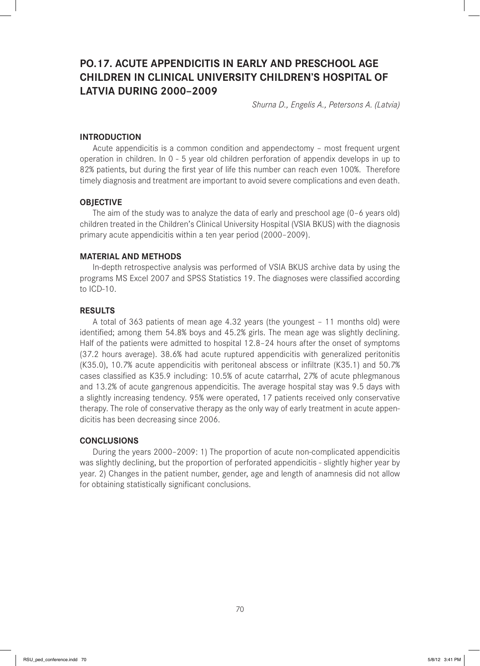# **PO.17. ACUTE APPENDICITIS IN EARLY AND PRESCHOOL AGE CHILDREN IN CLINICAL UNIVERSITY CHILDREN'S HOSPITAL OF LATVIA DURING 2000–2009**

*Shurna D., Engelis A., Petersons A. (Latvia)*

#### **INTRODUCTION**

Acute appendicitis is a common condition and appendectomy – most frequent urgent operation in children. In 0 - 5 year old children perforation of appendix develops in up to 82% patients, but during the first year of life this number can reach even 100%. Therefore timely diagnosis and treatment are important to avoid severe complications and even death.

### **OBJECTIVE**

The aim of the study was to analyze the data of early and preschool age (0–6 years old) children treated in the Children's Clinical University Hospital (VSIA BKUS) with the diagnosis primary acute appendicitis within a ten year period (2000–2009).

#### **MATERIAL AND METHODS**

In-depth retrospective analysis was performed of VSIA BKUS archive data by using the programs MS Excel 2007 and SPSS Statistics 19. The diagnoses were classified according to ICD-10.

### **RESULTS**

A total of 363 patients of mean age 4.32 years (the youngest – 11 months old) were identified; among them 54.8% boys and 45.2% girls. The mean age was slightly declining. Half of the patients were admitted to hospital 12.8–24 hours after the onset of symptoms (37.2 hours average). 38.6% had acute ruptured appendicitis with generalized peritonitis (K35.0), 10.7% acute appendicitis with peritoneal abscess or infiltrate (K35.1) and 50.7% cases classified as K35.9 including: 10.5% of acute catarrhal, 27% of acute phlegmanous and 13.2% of acute gangrenous appendicitis. The average hospital stay was 9.5 days with a slightly increasing tendency. 95% were operated, 17 patients received only conservative therapy. The role of conservative therapy as the only way of early treatment in acute appendicitis has been decreasing since 2006.

#### **CONCLUSIONS**

During the years 2000–2009: 1) The proportion of acute non-complicated appendicitis was slightly declining, but the proportion of perforated appendicitis - slightly higher year by year. 2) Changes in the patient number, gender, age and length of anamnesis did not allow for obtaining statistically significant conclusions.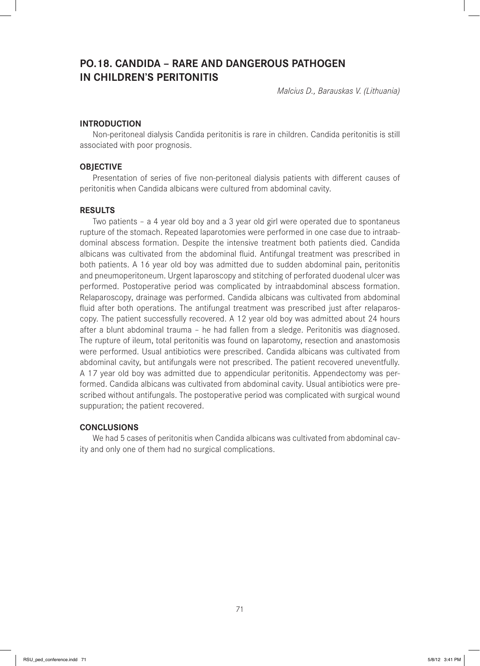## **PO.18. CANDIDA – RARE AND DANGEROUS PATHOGEN IN CHILDREN'S PERITONITIS**

*Malcius D., Barauskas V. (Lithuania)* 

## **INTRODUCTION**

Non-peritoneal dialysis Candida peritonitis is rare in children. Candida peritonitis is still associated with poor prognosis.

## **OBJECTIVE**

Presentation of series of five non-peritoneal dialysis patients with different causes of peritonitis when Candida albicans were cultured from abdominal cavity.

#### **RESULTS**

Two patients – a 4 year old boy and a 3 year old girl were operated due to spontaneus rupture of the stomach. Repeated laparotomies were performed in one case due to intraabdominal abscess formation. Despite the intensive treatment both patients died. Candida albicans was cultivated from the abdominal fluid. Antifungal treatment was prescribed in both patients. A 16 year old boy was admitted due to sudden abdominal pain, peritonitis and pneumoperitoneum. Urgent laparoscopy and stitching of perforated duodenal ulcer was performed. Postoperative period was complicated by intraabdominal abscess formation. Relaparoscopy, drainage was performed. Candida albicans was cultivated from abdominal fluid after both operations. The antifungal treatment was prescribed just after relaparoscopy. The patient successfully recovered. A 12 year old boy was admitted about 24 hours after a blunt abdominal trauma – he had fallen from a sledge. Peritonitis was diagnosed. The rupture of ileum, total peritonitis was found on laparotomy, resection and anastomosis were performed. Usual antibiotics were prescribed. Candida albicans was cultivated from abdominal cavity, but antifungals were not prescribed. The patient recovered uneventfully. A 17 year old boy was admitted due to appendicular peritonitis. Appendectomy was performed. Candida albicans was cultivated from abdominal cavity. Usual antibiotics were prescribed without antifungals. The postoperative period was complicated with surgical wound suppuration; the patient recovered.

## **CONCLUSIONS**

We had 5 cases of peritonitis when Candida albicans was cultivated from abdominal cavity and only one of them had no surgical complications.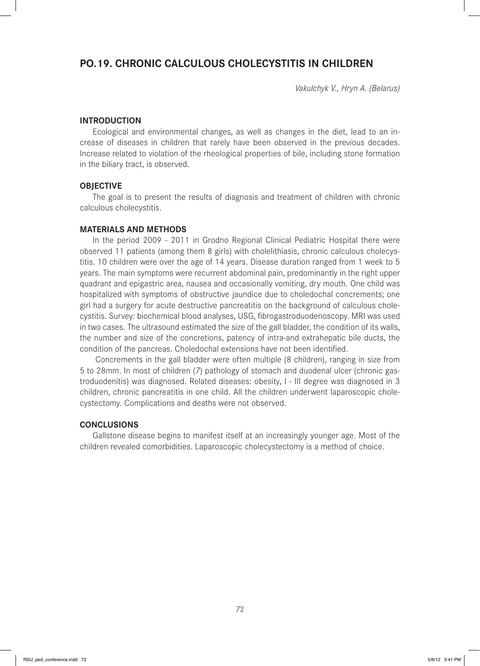## **PO.19. CHRONIC CALCULOUS CHOLECYSTITIS IN CHILDREN**

*Vakulchyk V., Hryn A. (Belarus)*

#### **INTRODUCTION**

Ecological and environmental changes, as well as changes in the diet, lead to an increase of diseases in children that rarely have been observed in the previous decades. Increase related to violation of the rheological properties of bile, including stone formation in the biliary tract, is observed.

#### **OBJECTIVE**

The goal is to present the results of diagnosis and treatment of children with chronic calculous cholecystitis.

## **MATERIALS AND METHODS**

In the period 2009 - 2011 in Grodno Regional Clinical Pediatric Hospital there were observed 11 patients (among them 8 girls) with cholelithiasis, chronic calculous cholecystitis. 10 children were over the age of 14 years. Disease duration ranged from 1 week to 5 years. The main symptoms were recurrent abdominal pain, predominantly in the right upper quadrant and epigastric area, nausea and occasionally vomiting, dry mouth. One child was hospitalized with symptoms of obstructive jaundice due to choledochal concrements; one girl had a surgery for acute destructive pancreatitis on the background of calculous cholecystitis. Survey: biochemical blood analyses, USG, fibrogastroduodenoscopy. MRI was used in two cases. The ultrasound estimated the size of the gall bladder, the condition of its walls, the number and size of the concretions, patency of intra-and extrahepatic bile ducts, the condition of the pancreas. Choledochal extensions have not been identified.

 Concrements in the gall bladder were often multiple (8 children), ranging in size from 5 to 28mm. In most of children (7) pathology of stomach and duodenal ulcer (chronic gastroduodenitis) was diagnosed. Related diseases: obesity, I - III degree was diagnosed in 3 children, chronic pancreatitis in one child. All the children underwent laparoscopic cholecystectomy. Complications and deaths were not observed.

## **CONCLUSIONS**

Gallstone disease begins to manifest itself at an increasingly younger age. Most of the children revealed comorbidities. Laparoscopic cholecystectomy is a method of choice.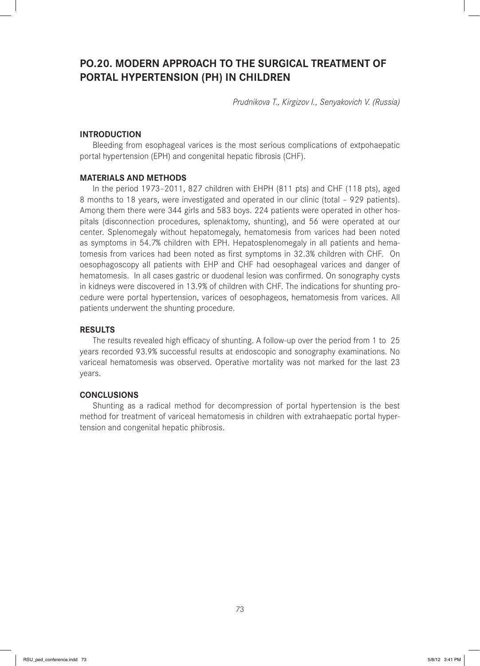# **PO.20. MODERN APPROACH TO THE SURGICAL TREATMENT OF PORTAL HYPERTENSION (PH) IN CHILDREN**

*Prudnikova T., Kirgizov I., Senyakovich V. (Russia)*

## **INTRODUCTION**

Bleeding from esophageal varices is the most serious complications of extpohaepatic portal hypertension (EPH) and congenital hepatic fibrosis (CHF).

#### **MATERIALS AND METHODS**

In the period 1973–2011, 827 children with EHPH (811 pts) and CHF (118 pts), aged 8 months to 18 years, were investigated and operated in our clinic (total – 929 patients). Among them there were 344 girls and 583 boys. 224 patients were operated in other hospitals (disconnection procedures, splenaktomy, shunting), and 56 were operated at our center. Splenomegaly without hepatomegaly, hematomesis from varices had been noted as symptoms in 54.7% children with EPH. Hepatosplenomegaly in all patients and hematomesis from varices had been noted as first symptoms in 32.3% children with CHF. On oesophagoscopy all patients with EHP and CHF had oesophageal varices and danger of hematomesis. In all cases gastric or duodenal lesion was confirmed. On sonography cysts in kidneys were discovered in 13.9% of children with CHF. The indications for shunting procedure were portal hypertension, varices of oesophageos, hematomesis from varices. All patients underwent the shunting procedure.

### **RESULTS**

The results revealed high efficacy of shunting. A follow-up over the period from 1 to 25 years recorded 93.9% successful results at endoscopic and sonography examinations. No variceal hematomesis was observed. Operative mortality was not marked for the last 23 years.

#### **CONCLUSIONS**

Shunting as a radical method for decompression of portal hypertension is the best method for treatment of variceal hematomesis in children with extrahaepatic portal hypertension and congenital hepatic phibrosis.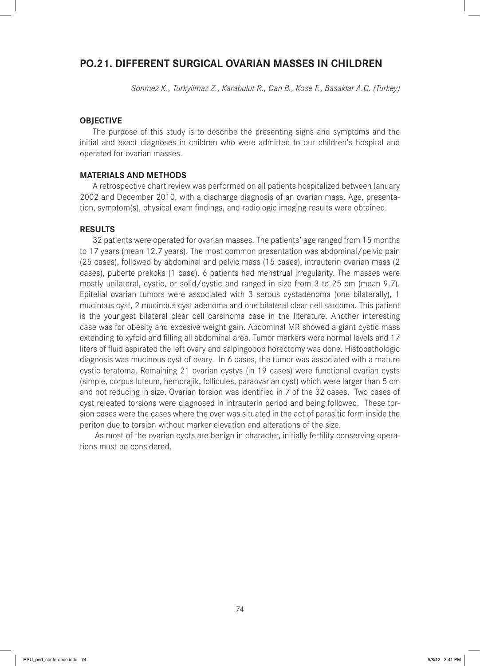## **PO.21. DIFFERENT SURGICAL OVARIAN MASSES IN CHILDREN**

*Sonmez K., Turkyilmaz Z., Karabulut R., Can B., Kose F., Basaklar A.C. (Turkey)* 

#### **OBJECTIVE**

The purpose of this study is to describe the presenting signs and symptoms and the initial and exact diagnoses in children who were admitted to our children's hospital and operated for ovarian masses.

#### **MATERIALS AND METHODS**

A retrospective chart review was performed on all patients hospitalized between January 2002 and December 2010, with a discharge diagnosis of an ovarian mass. Age, presentation, symptom(s), physical exam findings, and radiologic imaging results were obtained.

## **RESULTS**

32 patients were operated for ovarian masses. The patients' age ranged from 15 months to 17 years (mean 12.7 years). The most common presentation was abdominal/pelvic pain (25 cases), followed by abdominal and pelvic mass (15 cases), intrauterin ovarian mass (2 cases), puberte prekoks (1 case). 6 patients had menstrual irregularity. The masses were mostly unilateral, cystic, or solid/cystic and ranged in size from 3 to 25 cm (mean 9.7). Epitelial ovarian tumors were associated with 3 serous cystadenoma (one bilaterally), 1 mucinous cyst, 2 mucinous cyst adenoma and one bilateral clear cell sarcoma. This patient is the youngest bilateral clear cell carsinoma case in the literature. Another interesting case was for obesity and excesive weight gain. Abdominal MR showed a giant cystic mass extending to xyfoid and filling all abdominal area. Tumor markers were normal levels and 17 liters of fluid aspirated the left ovary and salpingooop horectomy was done. Histopathologic diagnosis was mucinous cyst of ovary. In 6 cases, the tumor was associated with a mature cystic teratoma. Remaining 21 ovarian cystys (in 19 cases) were functional ovarian cysts (simple, corpus luteum, hemorajik, follicules, paraovarian cyst) which were larger than 5 cm and not reducing in size. Ovarian torsion was identified in 7 of the 32 cases. Two cases of cyst releated torsions were diagnosed in intrauterin period and being followed. These torsion cases were the cases where the over was situated in the act of parasitic form inside the periton due to torsion without marker elevation and alterations of the size.

 As most of the ovarian cycts are benign in character, initially fertility conserving operations must be considered.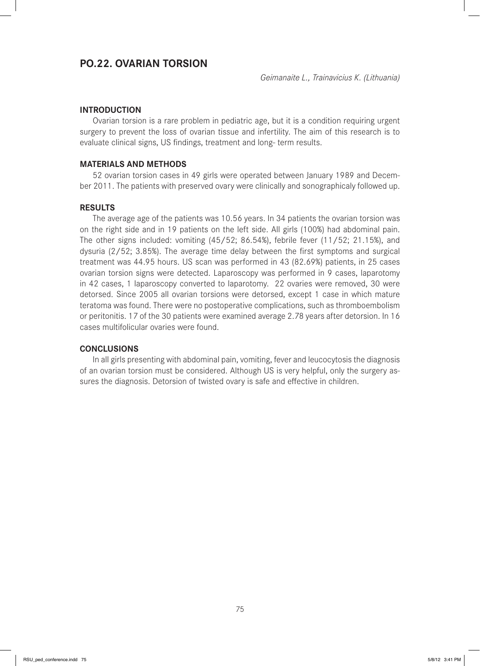## **PO.22. OVARIAN TORSION**

## **INTRODUCTION**

Ovarian torsion is a rare problem in pediatric age, but it is a condition requiring urgent surgery to prevent the loss of ovarian tissue and infertility. The aim of this research is to evaluate clinical signs, US findings, treatment and long-term results.

### **MATERIALS AND METHODS**

52 ovarian torsion cases in 49 girls were operated between January 1989 and December 2011. The patients with preserved ovary were clinically and sonographicaly followed up.

## **RESULTS**

The average age of the patients was 10.56 years. In 34 patients the ovarian torsion was on the right side and in 19 patients on the left side. All girls (100%) had abdominal pain. The other signs included: vomiting (45/52; 86.54%), febrile fever (11/52; 21.15%), and dysuria  $(2/52; 3.85%)$ . The average time delay between the first symptoms and surgical treatment was 44.95 hours. US scan was performed in 43 (82.69%) patients, in 25 cases ovarian torsion signs were detected. Laparoscopy was performed in 9 cases, laparotomy in 42 cases, 1 laparoscopy converted to laparotomy. 22 ovaries were removed, 30 were detorsed. Since 2005 all ovarian torsions were detorsed, except 1 case in which mature teratoma was found. There were no postoperative complications, such as thromboembolism or peritonitis. 17 of the 30 patients were examined average 2.78 years after detorsion. In 16 cases multifolicular ovaries were found.

#### **CONCLUSIONS**

In all girls presenting with abdominal pain, vomiting, fever and leucocytosis the diagnosis of an ovarian torsion must be considered. Although US is very helpful, only the surgery assures the diagnosis. Detorsion of twisted ovary is safe and effective in children.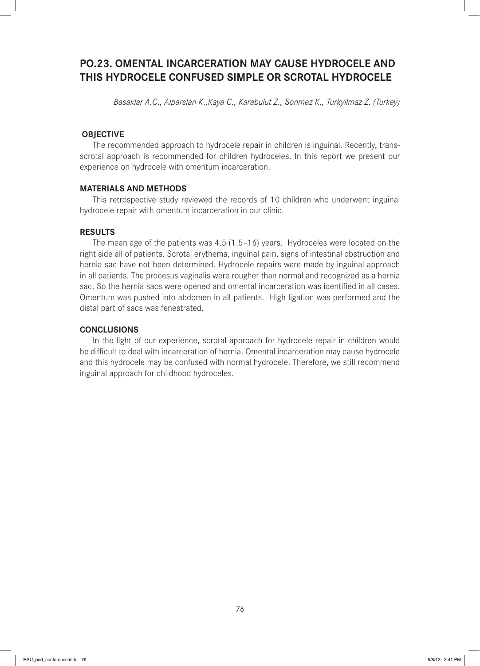# **PO.23. OMENTAL INCARCERATION MAY CAUSE HYDROCELE AND THIS HYDROCELE CONFUSED SIMPLE OR SCROTAL HYDROCELE**

*Basaklar A.C., Alparslan K.,Kaya C., Karabulut Z., Sonmez K., Turkyilmaz Z. (Turkey)*

## **OBJECTIVE**

The recommended approach to hydrocele repair in children is inguinal. Recently, transscrotal approach is recommended for children hydroceles. In this report we present our experience on hydrocele with omentum incarceration.

#### **MATERIALS AND METHODS**

This retrospective study reviewed the records of 10 children who underwent inguinal hydrocele repair with omentum incarceration in our clinic.

### **RESULTS**

The mean age of the patients was 4.5 (1.5–16) years. Hydroceles were located on the right side all of patients. Scrotal erythema, inguinal pain, signs of intestinal obstruction and hernia sac have not been determined. Hydrocele repairs were made by inguinal approach in all patients. The procesus vaginalis were rougher than normal and recognized as a hernia sac. So the hernia sacs were opened and omental incarceration was identified in all cases. Omentum was pushed into abdomen in all patients. High ligation was performed and the distal part of sacs was fenestrated.

### **CONCLUSIONS**

In the light of our experience, scrotal approach for hydrocele repair in children would be difficult to deal with incarceration of hernia. Omental incarceration may cause hydrocele and this hydrocele may be confused with normal hydrocele. Therefore, we still recommend inguinal approach for childhood hydroceles.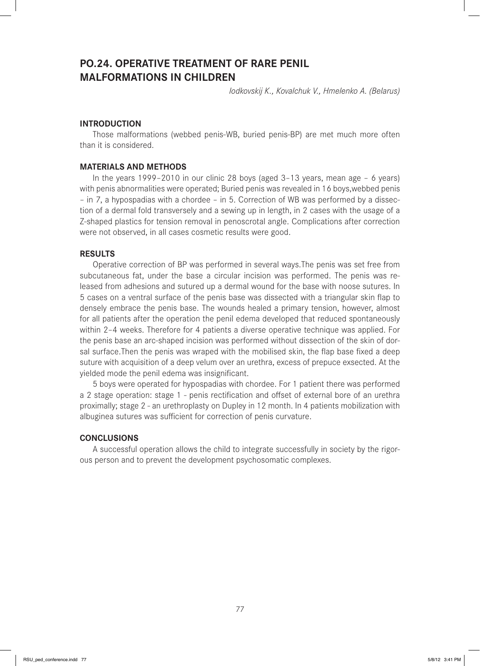## **PO.24. OPERATIVE TREATMENT OF RARE PENIL MALFORMATIONS IN CHILDREN**

*Iodkovskij K., Kovalchuk V., Hmelenko A. (Belarus)*

### **INTRODUCTION**

Those malformations (webbed penis-WB, buried penis-BP) are met much more often than it is considered.

## **MATERIALS AND METHODS**

In the years 1999–2010 in our clinic 28 boys (aged 3–13 years, mean age – 6 years) with penis abnormalities were operated; Buried penis was revealed in 16 boys,webbed penis – in 7, a hypospadias with a chordee – in 5. Correction of WB was performed by a dissection of a dermal fold transversely and a sewing up in length, in 2 cases with the usage of a Z-shaped plastics for tension removal in penoscrotal angle. Complications after correction were not observed, in all cases cosmetic results were good.

#### **RESULTS**

Operative correction of BP was performed in several ways.The penis was set free from subcutaneous fat, under the base a circular incision was performed. The penis was released from adhesions and sutured up a dermal wound for the base with noose sutures. In 5 cases on a ventral surface of the penis base was dissected with a triangular skin flap to densely embrace the penis base. The wounds healed a primary tension, however, almost for all patients after the operation the penil edema developed that reduced spontaneously within 2–4 weeks. Therefore for 4 patients a diverse operative technique was applied. For the penis base an arc-shaped incision was performed without dissection of the skin of dorsal surface. Then the penis was wraped with the mobilised skin, the flap base fixed a deep suture with acquisition of a deep velum over an urethra, excess of prepuce exsected. At the yielded mode the penil edema was insignificant.

5 boys were operated for hypospadias with chordee. For 1 patient there was performed a 2 stage operation: stage 1 - penis rectification and offset of external bore of an urethra proximally; stage 2 - an urethroplasty on Dupley in 12 month. In 4 patients mobilization with albuginea sutures was sufficient for correction of penis curvature.

### **CONCLUSIONS**

A successful operation allows the child to integrate successfully in society by the rigorous person and to prevent the development psychosomatic complexes.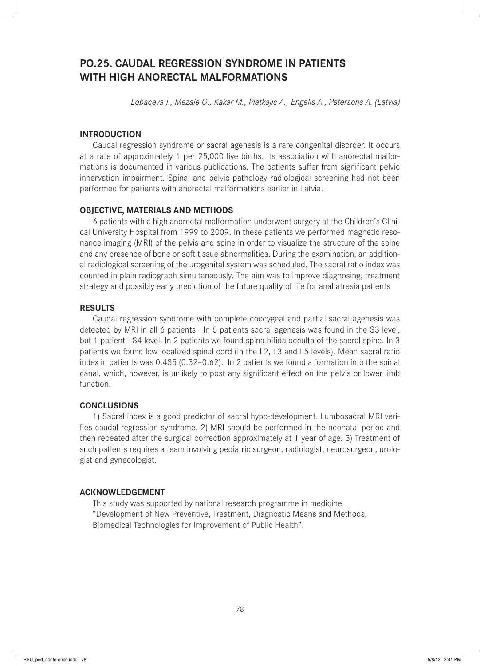# **PO.25. CAUDAL REGRESSION SYNDROME IN PATIENTS WITH HIGH ANORECTAL MALFORMATIONS**

*Lobaceva J., Mezale O., Kakar M., Platkajis A., Engelis A., Petersons A. (Latvia)*

## **INTRODUCTION**

Caudal regression syndrome or sacral agenesis is a rare congenital disorder. It occurs at a rate of approximately 1 per 25,000 live births. Its association with anorectal malformations is documented in various publications. The patients suffer from significant pelvic innervation impairment. Spinal and pelvic pathology radiological screening had not been performed for patients with anorectal malformations earlier in Latvia.

### **OBJECTIVE, MATERIALS AND METHODS**

6 patients with a high anorectal malformation underwent surgery at the Children's Clinical University Hospital from 1999 to 2009. In these patients we performed magnetic resonance imaging (MRI) of the pelvis and spine in order to visualize the structure of the spine and any presence of bone or soft tissue abnormalities. During the examination, an additional radiological screening of the urogenital system was scheduled. The sacral ratio index was counted in plain radiograph simultaneously. The aim was to improve diagnosing, treatment strategy and possibly early prediction of the future quality of life for anal atresia patients

### **RESULTS**

Caudal regression syndrome with complete coccygeal and partial sacral agenesis was detected by MRI in all 6 patients. In 5 patients sacral agenesis was found in the S3 level, but 1 patient - S4 level. In 2 patients we found spina bifida occulta of the sacral spine. In 3 patients we found low localized spinal cord (in the L2, L3 and L5 levels). Mean sacral ratio index in patients was 0.435 (0.32–0.62). In 2 patients we found a formation into the spinal canal, which, however, is unlikely to post any significant effect on the pelvis or lower limb function.

### **CONCLUSIONS**

1) Sacral index is a good predictor of sacral hypo-development. Lumbosacral MRI verifies caudal regression syndrome. 2) MRI should be performed in the neonatal period and then repeated after the surgical correction approximately at 1 year of age. 3) Treatment of such patients requires a team involving pediatric surgeon, radiologist, neurosurgeon, urologist and gynecologist.

#### **ACKNOWLEDGEMENT**

This study was supported by national research programme in medicine "Development of New Preventive, Treatment, Diagnostic Means and Methods, Biomedical Technologies for Improvement of Public Health".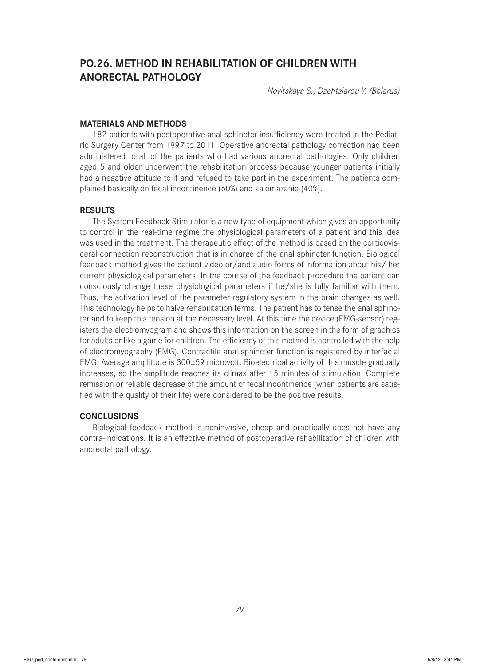# **PO.26. METHOD IN REHABILITATION OF CHILDREN WITH ANORECTAL PATHOLOGY**

*Novitskaya S., Dzehtsiarou Y. (Belarus)*

### **MATERIALS AND METHODS**

182 patients with postoperative anal sphincter insufficiency were treated in the Pediatric Surgery Center from 1997 to 2011. Operative anorectal pathology correction had been administered to all of the patients who had various anorectal pathologies. Only children aged 5 and older underwent the rehabilitation process because younger patients initially had a negative attitude to it and refused to take part in the experiment. The patients complained basically on fecal incontinence (60%) and kalomazanie (40%).

### **RESULTS**

The System Feedback Stimulator is a new type of equipment which gives an opportunity to control in the real-time regime the physiological parameters of a patient and this idea was used in the treatment. The therapeutic effect of the method is based on the corticovisceral connection reconstruction that is in charge of the anal sphincter function. Biological feedback method gives the patient video or/and audio forms of information about his/ her current physiological parameters. In the course of the feedback procedure the patient can consciously change these physiological parameters if he/she is fully familiar with them. Thus, the activation level of the parameter regulatory system in the brain changes as well. This technology helps to halve rehabilitation terms. The patient has to tense the anal sphincter and to keep this tension at the necessary level. At this time the device (EMG-sensor) registers the electromyogram and shows this information on the screen in the form of graphics for adults or like a game for children. The efficiency of this method is controlled with the help of electromyography (EMG). Contractile anal sphincter function is registered by interfacial EMG. Average amplitude is 300±59 microvolt. Bioelectrical activity of this muscle gradually increases, so the amplitude reaches its climax after 15 minutes of stimulation. Complete remission or reliable decrease of the amount of fecal incontinence (when patients are satisfied with the quality of their life) were considered to be the positive results.

## **CONCLUSIONS**

Biological feedback method is noninvasive, cheap and practically does not have any contra-indications. It is an effective method of postoperative rehabilitation of children with anorectal pathology.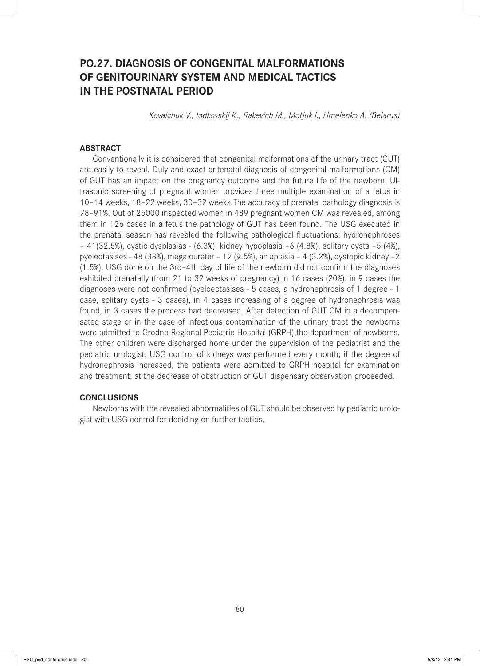# **PO.27. DIAGNOSIS OF CONGENITAL MALFORMATIONS OF GENITOURINARY SYSTEM AND MEDICAL TACTICS IN THE POSTNATAL PERIOD**

*Kovalchuk V., Iodkovskij K., Rakevich M., Motjuk I., Hmelenko A. (Belarus)*

#### **ABSTRACT**

Conventionally it is considered that congenital malformations of the urinary tract (GUT) are easily to reveal. Duly and exact antenatal diagnosis of congenital malformations (CM) of GUT has an impact on the pregnancy outcome and the future life of the newborn. Ultrasonic screening of pregnant women provides three multiple examination of a fetus in 10–14 weeks, 18–22 weeks, 30–32 weeks.The accuracy of prenatal pathology diagnosis is 78–91%. Out of 25000 inspected women in 489 pregnant women CM was revealed, among them in 126 cases in a fetus the pathology of GUT has been found. The USG executed in the prenatal season has revealed the following pathological fluctuations: hydronephroses – 41(32.5%), cystic dysplasias - (6.3%), kidney hypoplasia –6 (4.8%), solitary cysts –5 (4%), pyelectasises - 48 (38%), megaloureter – 12 (9.5%), an aplasia – 4 (3.2%), dystopic kidney –2  $(1.5%)$ . USG done on the 3rd-4th day of life of the newborn did not confirm the diagnoses exhibited prenatally (from 21 to 32 weeks of pregnancy) in 16 cases (20%): in 9 cases the diagnoses were not confirmed (pyeloectasises - 5 cases, a hydronephrosis of 1 degree - 1 case, solitary cysts - 3 cases), in 4 cases increasing of a degree of hydronephrosis was found, in 3 cases the process had decreased. After detection of GUT CM in a decompensated stage or in the case of infectious contamination of the urinary tract the newborns were admitted to Grodno Regional Pediatric Hospital (GRPH),the department of newborns. The other children were discharged home under the supervision of the pediatrist and the pediatric urologist. USG control of kidneys was performed every month; if the degree of hydronephrosis increased, the patients were admitted to GRPH hospital for examination and treatment; at the decrease of obstruction of GUT dispensary observation proceeded.

#### **CONCLUSIONS**

Newborns with the revealed abnormalities of GUT should be observed by pediatric urologist with USG control for deciding on further tactics.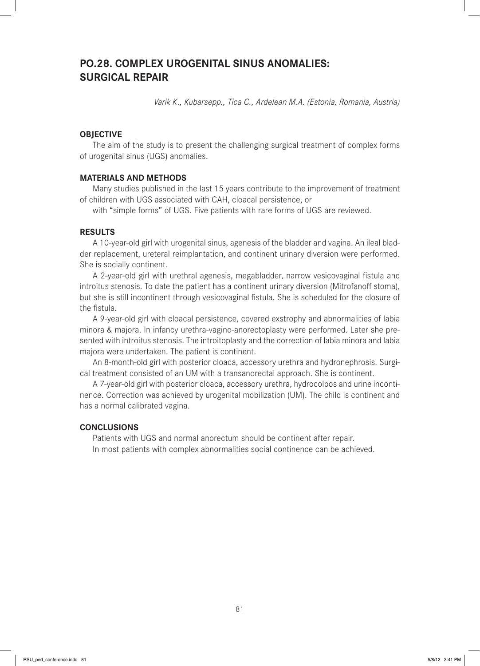## **PO.28. COMPLEX UROGENITAL SINUS ANOMALIES: SURGICAL REPAIR**

*Varik K., Kubarsepp., Tica C., Ardelean M.A. (Estonia, Romania, Austria)* 

## **OBJECTIVE**

The aim of the study is to present the challenging surgical treatment of complex forms of urogenital sinus (UGS) anomalies.

#### **MATERIALS AND METHODS**

Many studies published in the last 15 years contribute to the improvement of treatment of children with UGS associated with CAH, cloacal persistence, or

with "simple forms" of UGS. Five patients with rare forms of UGS are reviewed.

#### **RESULTS**

A 10-year-old girl with urogenital sinus, agenesis of the bladder and vagina. An ileal bladder replacement, ureteral reimplantation, and continent urinary diversion were performed. She is socially continent.

A 2-year-old girl with urethral agenesis, megabladder, narrow vesicovaginal fistula and introitus stenosis. To date the patient has a continent urinary diversion (Mitrofanoff stoma), but she is still incontinent through vesicovaginal fistula. She is scheduled for the closure of the fistula.

A 9-year-old girl with cloacal persistence, covered exstrophy and abnormalities of labia minora & majora. In infancy urethra-vagino-anorectoplasty were performed. Later she presented with introitus stenosis. The introitoplasty and the correction of labia minora and labia majora were undertaken. The patient is continent.

An 8-month-old girl with posterior cloaca, accessory urethra and hydronephrosis. Surgical treatment consisted of an UM with a transanorectal approach. She is continent.

A 7-year-old girl with posterior cloaca, accessory urethra, hydrocolpos and urine incontinence. Correction was achieved by urogenital mobilization (UM). The child is continent and has a normal calibrated vagina.

## **CONCLUSIONS**

Patients with UGS and normal anorectum should be continent after repair. In most patients with complex abnormalities social continence can be achieved.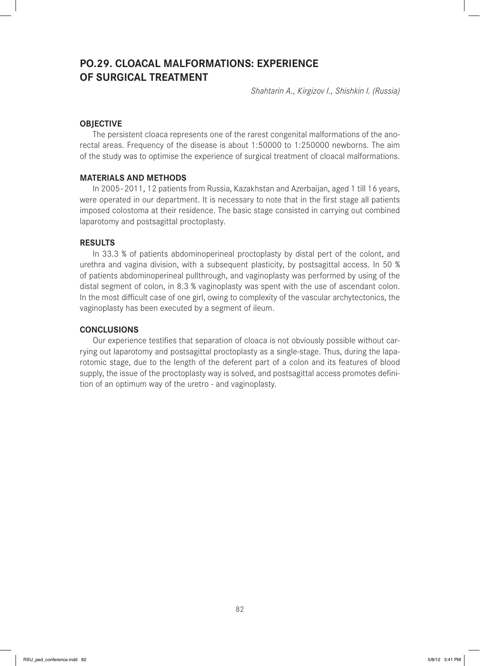# **PO.29. CLOACAL MALFORMATIONS: EXPERIENCE OF SURGICAL TREATMENT**

*Shahtarin A., Kirgizov I., Shishkin I. (Russia)*

## **OBJECTIVE**

The persistent cloaca represents one of the rarest congenital malformations of the anorectal areas. Frequency of the disease is about 1:50000 to 1:250000 newborns. The aim of the study was to optimise the experience of surgical treatment of cloacal malformations.

#### **MATERIALS AND METHODS**

In 2005–2011, 12 patients from Russia, Kazakhstan and Azerbaijan, aged 1 till 16 years, were operated in our department. It is necessary to note that in the first stage all patients imposed colostoma at their residence. The basic stage consisted in carrying out combined laparotomy and postsagittal proctoplasty.

### **RESULTS**

In 33.3 % of patients abdominoperineal proctoplasty by distal pert of the colont, and urethra and vagina division, with a subsequent plasticity, by postsagittal access. In 50 % of patients abdominoperineal pullthrough, and vaginoplasty was performed by using of the distal segment of colon, in 8.3 % vaginoplasty was spent with the use of ascendant colon. In the most difficult case of one girl, owing to complexity of the vascular archytectonics, the vaginoplasty has been executed by a segment of ileum.

## **CONCLUSIONS**

Our experience testifies that separation of cloaca is not obviously possible without carrying out laparotomy and postsagittal proctoplasty as a single-stage. Thus, during the laparotomic stage, due to the length of the deferent part of a colon and its features of blood supply, the issue of the proctoplasty way is solved, and postsagittal access promotes definition of an optimum way of the uretro - and vaginoplasty.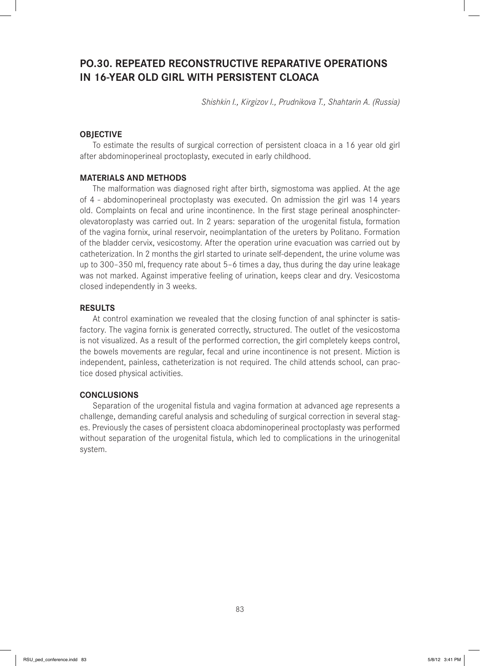# **PO.30. REPEATED RECONSTRUCTIVE REPARATIVE OPERATIONS IN 16-YEAR OLD GIRL WITH PERSISTENT CLOACA**

*Shishkin I., Kirgizov I., Prudnikova T., Shahtarin A. (Russia)*

## **OBJECTIVE**

To estimate the results of surgical correction of persistent cloaca in a 16 year old girl after abdominoperineal proctoplasty, executed in early childhood.

#### **MATERIALS AND METHODS**

The malformation was diagnosed right after birth, sigmostoma was applied. At the age of 4 - abdominoperineal proctoplasty was executed. On admission the girl was 14 years old. Complaints on fecal and urine incontinence. In the first stage perineal anosphincterolevatoroplasty was carried out. In 2 years: separation of the urogenital fistula, formation of the vagina fornix, urinal reservoir, neoimplantation of the ureters by Politano. Formation of the bladder cervix, vesicostomy. After the operation urine evacuation was carried out by catheterization. In 2 months the girl started to urinate self-dependent, the urine volume was up to 300–350 ml, frequency rate about 5–6 times a day, thus during the day urine leakage was not marked. Against imperative feeling of urination, keeps clear and dry. Vesicostoma closed independently in 3 weeks.

#### **RESULTS**

At control examination we revealed that the closing function of anal sphincter is satisfactory. The vagina fornix is generated correctly, structured. The outlet of the vesicostoma is not visualized. As a result of the performed correction, the girl completely keeps control, the bowels movements are regular, fecal and urine incontinence is not present. Miction is independent, painless, catheterization is not required. The child attends school, can practice dosed physical activities.

#### **CONCLUSIONS**

Separation of the urogenital fistula and vagina formation at advanced age represents a challenge, demanding careful analysis and scheduling of surgical correction in several stages. Previously the cases of persistent cloaca abdominoperineal proctoplasty was performed without separation of the urogenital fistula, which led to complications in the urinogenital system.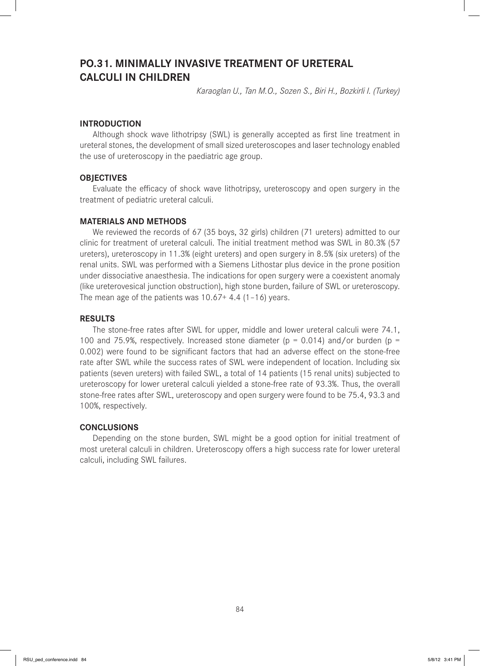## **PO.31. MINIMALLY INVASIVE TREATMENT OF URETERAL CALCULI IN CHILDREN**

*Karaoglan U., Tan M.O., Sozen S., Biri H., Bozkirli I. (Turkey)*

### **INTRODUCTION**

Although shock wave lithotripsy (SWL) is generally accepted as first line treatment in ureteral stones, the development of small sized ureteroscopes and laser technology enabled the use of ureteroscopy in the paediatric age group.

#### **OBJECTIVES**

Evaluate the efficacy of shock wave lithotripsy, ureteroscopy and open surgery in the treatment of pediatric ureteral calculi.

### **MATERIALS AND METHODS**

We reviewed the records of 67 (35 boys, 32 girls) children (71 ureters) admitted to our clinic for treatment of ureteral calculi. The initial treatment method was SWL in 80.3% (57 ureters), ureteroscopy in 11.3% (eight ureters) and open surgery in 8.5% (six ureters) of the renal units. SWL was performed with a Siemens Lithostar plus device in the prone position under dissociative anaesthesia. The indications for open surgery were a coexistent anomaly (like ureterovesical junction obstruction), high stone burden, failure of SWL or ureteroscopy. The mean age of the patients was  $10.67+4.4$  (1-16) years.

#### **RESULTS**

The stone-free rates after SWL for upper, middle and lower ureteral calculi were 74.1, 100 and 75.9%, respectively. Increased stone diameter ( $p = 0.014$ ) and/or burden ( $p =$ 0.002) were found to be significant factors that had an adverse effect on the stone-free rate after SWL while the success rates of SWL were independent of location. Including six patients (seven ureters) with failed SWL, a total of 14 patients (15 renal units) subjected to ureteroscopy for lower ureteral calculi yielded a stone-free rate of 93.3%. Thus, the overall stone-free rates after SWL, ureteroscopy and open surgery were found to be 75.4, 93.3 and 100%, respectively.

## **CONCLUSIONS**

Depending on the stone burden, SWL might be a good option for initial treatment of most ureteral calculi in children. Ureteroscopy offers a high success rate for lower ureteral calculi, including SWL failures.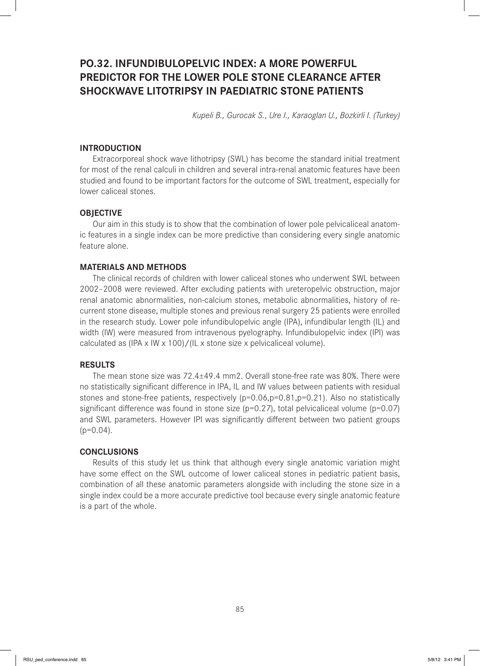# **PO.32. INFUNDIBULOPELVIC INDEX: A MORE POWERFUL PREDICTOR FOR THE LOWER POLE STONE CLEARANCE AFTER SHOCKWAVE LITOTRIPSY IN PAEDIATRIC STONE PATIENTS**

*Kupeli B., Gurocak S., Ure I., Karaoglan U., Bozkirli I. (Turkey)*

#### **INTRODUCTION**

Extracorporeal shock wave lithotripsy (SWL) has become the standard initial treatment for most of the renal calculi in children and several intra-renal anatomic features have been studied and found to be important factors for the outcome of SWL treatment, especially for lower caliceal stones.

#### **OBJECTIVE**

Our aim in this study is to show that the combination of lower pole pelvicaliceal anatomic features in a single index can be more predictive than considering every single anatomic feature alone.

## **MATERIALS AND METHODS**

The clinical records of children with lower caliceal stones who underwent SWL between 2002–2008 were reviewed. After excluding patients with ureteropelvic obstruction, major renal anatomic abnormalities, non-calcium stones, metabolic abnormalities, history of recurrent stone disease, multiple stones and previous renal surgery 25 patients were enrolled in the research study. Lower pole infundibulopelvic angle (IPA), infundibular length (IL) and width (IW) were measured from intravenous pyelography. Infundibulopelvic index (IPI) was calculated as (IPA x IW x 100)/(IL x stone size x pelvicaliceal volume).

## **RESULTS**

The mean stone size was 72.4±49.4 mm2. Overall stone-free rate was 80%. There were no statistically significant difference in IPA, IL and IW values between patients with residual stones and stone-free patients, respectively (p=0.06,p=0.81,p=0.21). Also no statistically significant difference was found in stone size ( $p=0.27$ ), total pelvicaliceal volume ( $p=0.07$ ) and SWL parameters. However IPI was significantly different between two patient groups  $(p=0.04)$ .

## **CONCLUSIONS**

Results of this study let us think that although every single anatomic variation might have some effect on the SWL outcome of lower caliceal stones in pediatric patient basis, combination of all these anatomic parameters alongside with including the stone size in a single index could be a more accurate predictive tool because every single anatomic feature is a part of the whole.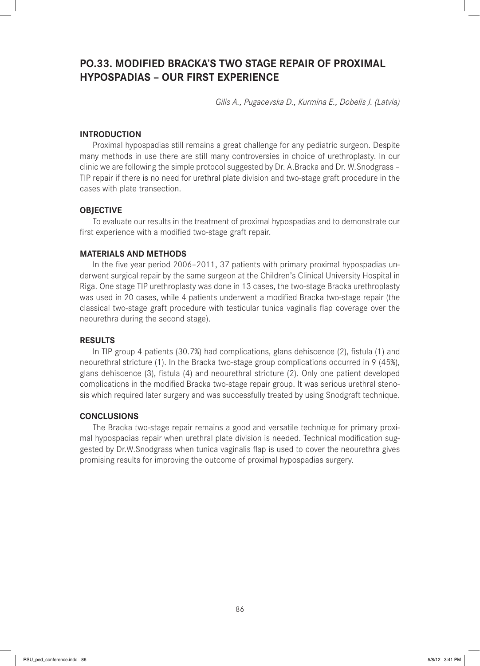# **PO.33. MODIFIED BRACKA'S TWO STAGE REPAIR OF PROXIMAL HYPOSPADIAS – OUR FIRST EXPERIENCE**

*Gilis A., Pugacevska D., Kurmina E., Dobelis J. (Latvia)*

## **INTRODUCTION**

Proximal hypospadias still remains a great challenge for any pediatric surgeon. Despite many methods in use there are still many controversies in choice of urethroplasty. In our clinic we are following the simple protocol suggested by Dr. A.Bracka and Dr. W.Snodgrass – TIP repair if there is no need for urethral plate division and two-stage graft procedure in the cases with plate transection.

### **OBJECTIVE**

To evaluate our results in the treatment of proximal hypospadias and to demonstrate our first experience with a modified two-stage graft repair.

#### **MATERIALS AND METHODS**

In the five year period 2006-2011, 37 patients with primary proximal hypospadias underwent surgical repair by the same surgeon at the Children's Clinical University Hospital in Riga. One stage TIP urethroplasty was done in 13 cases, the two-stage Bracka urethroplasty was used in 20 cases, while 4 patients underwent a modified Bracka two-stage repair (the classical two-stage graft procedure with testicular tunica vaginalis flap coverage over the neourethra during the second stage).

#### **RESULTS**

In TIP group 4 patients  $(30.7%)$  had complications, glans dehiscence  $(2)$ , fistula  $(1)$  and neourethral stricture (1). In the Bracka two-stage group complications occurred in 9 (45%), glans dehiscence (3), fistula (4) and neourethral stricture (2). Only one patient developed complications in the modified Bracka two-stage repair group. It was serious urethral stenosis which required later surgery and was successfully treated by using Snodgraft technique.

## **CONCLUSIONS**

The Bracka two-stage repair remains a good and versatile technique for primary proximal hypospadias repair when urethral plate division is needed. Technical modification suggested by Dr.W.Snodgrass when tunica vaginalis flap is used to cover the neourethra gives promising results for improving the outcome of proximal hypospadias surgery.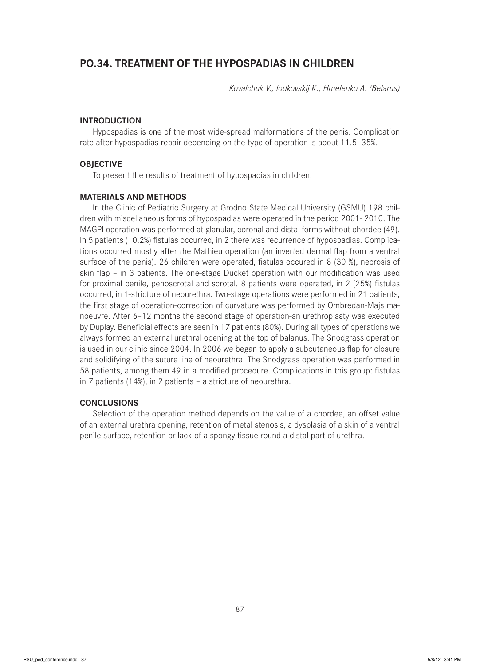## **PO.34. TREATMENT OF THE HYPOSPADIAS IN CHILDREN**

*Kovalchuk V., Iodkovskij K., Hmelenko A. (Belarus)*

#### **INTRODUCTION**

Hypospadias is one of the most wide-spread malformations of the penis. Complication rate after hypospadias repair depending on the type of operation is about 11.5–35%.

#### **OBJECTIVE**

To present the results of treatment of hypospadias in children.

#### **MATERIALS AND METHODS**

In the Clinic of Pediatric Surgery at Grodno State Medical University (GSMU) 198 children with miscellaneous forms of hypospadias were operated in the period 2001- 2010. The MAGPI operation was performed at glanular, coronal and distal forms without chordee (49). In 5 patients (10.2%) fistulas occurred, in 2 there was recurrence of hypospadias. Complications occurred mostly after the Mathieu operation (an inverted dermal flap from a ventral surface of the penis). 26 children were operated, fistulas occured in 8 (30 %), necrosis of skin flap – in 3 patients. The one-stage Ducket operation with our modification was used for proximal penile, penoscrotal and scrotal. 8 patients were operated, in 2 (25%) fistulas occurred, in 1-stricture of neourethra. Two-stage operations were performed in 21 patients, the first stage of operation-correction of curvature was performed by Ombredan-Majs manoeuvre. After 6–12 months the second stage of operation-an urethroplasty was executed by Duplay. Beneficial effects are seen in 17 patients (80%). During all types of operations we always formed an external urethral opening at the top of balanus. The Snodgrass operation is used in our clinic since 2004. In 2006 we began to apply a subcutaneous flap for closure and solidifying of the suture line of neourethra. The Snodgrass operation was performed in 58 patients, among them 49 in a modified procedure. Complications in this group: fistulas in 7 patients (14%), in 2 patients – a stricture of neourethra.

#### **CONCLUSIONS**

Selection of the operation method depends on the value of a chordee, an offset value of an external urethra opening, retention of metal stenosis, a dysplasia of a skin of a ventral penile surface, retention or lack of a spongy tissue round a distal part of urethra.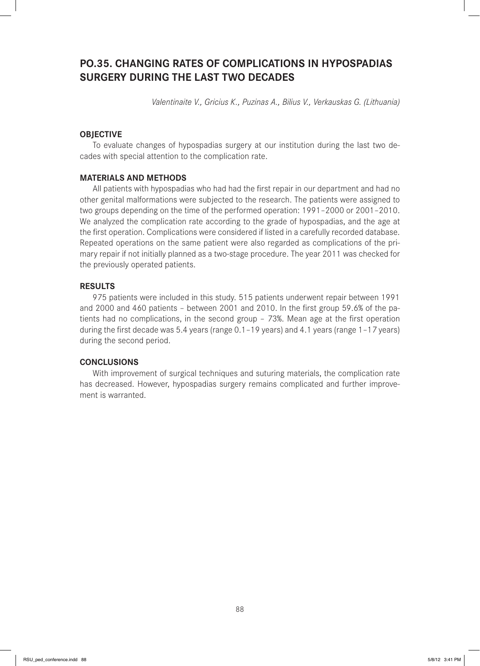# **PO.35. CHANGING RATES OF COMPLICATIONS IN HYPOSPADIAS SURGERY DURING THE LAST TWO DECADES**

*Valentinaite V., Gricius K., Puzinas A., Bilius V., Verkauskas G. (Lithuania)*

## **OBJECTIVE**

To evaluate changes of hypospadias surgery at our institution during the last two decades with special attention to the complication rate.

#### **MATERIALS AND METHODS**

All patients with hypospadias who had had the first repair in our department and had no other genital malformations were subjected to the research. The patients were assigned to two groups depending on the time of the performed operation: 1991–2000 or 2001–2010. We analyzed the complication rate according to the grade of hypospadias, and the age at the first operation. Complications were considered if listed in a carefully recorded database. Repeated operations on the same patient were also regarded as complications of the primary repair if not initially planned as a two-stage procedure. The year 2011 was checked for the previously operated patients.

#### **RESULTS**

975 patients were included in this study. 515 patients underwent repair between 1991 and 2000 and 460 patients - between 2001 and 2010. In the first group 59.6% of the patients had no complications, in the second group  $-73%$ . Mean age at the first operation during the first decade was 5.4 years (range  $0.1-19$  years) and 4.1 years (range  $1-17$  years) during the second period.

## **CONCLUSIONS**

With improvement of surgical techniques and suturing materials, the complication rate has decreased. However, hypospadias surgery remains complicated and further improvement is warranted.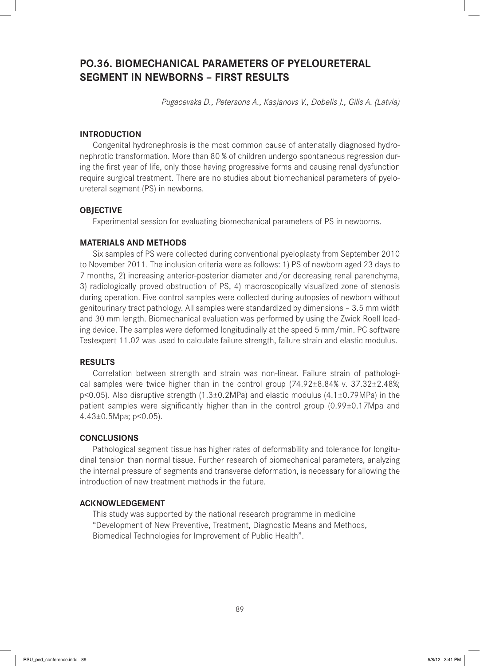# **PO.36. BIOMECHANICAL PARAMETERS OF PYELOURETERAL SEGMENT IN NEWBORNS – FIRST RESULTS**

*Pugacevska D., Petersons A., Kasjanovs V., Dobelis J., Gilis A. (Latvia)*

## **INTRODUCTION**

Congenital hydronephrosis is the most common cause of antenatally diagnosed hydronephrotic transformation. More than 80 % of children undergo spontaneous regression during the first year of life, only those having progressive forms and causing renal dysfunction require surgical treatment. There are no studies about biomechanical parameters of pyeloureteral segment (PS) in newborns.

### **OBJECTIVE**

Experimental session for evaluating biomechanical parameters of PS in newborns.

### **MATERIALS AND METHODS**

Six samples of PS were collected during conventional pyeloplasty from September 2010 to November 2011. The inclusion criteria were as follows: 1) PS of newborn aged 23 days to 7 months, 2) increasing anterior-posterior diameter and/or decreasing renal parenchyma, 3) radiologically proved obstruction of PS, 4) macroscopically visualized zone of stenosis during operation. Five control samples were collected during autopsies of newborn without genitourinary tract pathology. All samples were standardized by dimensions – 3.5 mm width and 30 mm length. Biomechanical evaluation was performed by using the Zwick Roell loading device. The samples were deformed longitudinally at the speed 5 mm/min. PC software Testexpert 11.02 was used to calculate failure strength, failure strain and elastic modulus.

## **RESULTS**

Correlation between strength and strain was non-linear. Failure strain of pathological samples were twice higher than in the control group (74.92±8.84% v. 37.32±2.48%; p<0.05). Also disruptive strength (1.3±0.2MPa) and elastic modulus (4.1±0.79MPa) in the patient samples were significantly higher than in the control group  $(0.99\pm0.17)$  Mpa and 4.43±0.5Mpa; p<0.05).

### **CONCLUSIONS**

Pathological segment tissue has higher rates of deformability and tolerance for longitudinal tension than normal tissue. Further research of biomechanical parameters, analyzing the internal pressure of segments and transverse deformation, is necessary for allowing the introduction of new treatment methods in the future.

### **ACKNOWLEDGEMENT**

This study was supported by the national research programme in medicine "Development of New Preventive, Treatment, Diagnostic Means and Methods, Biomedical Technologies for Improvement of Public Health".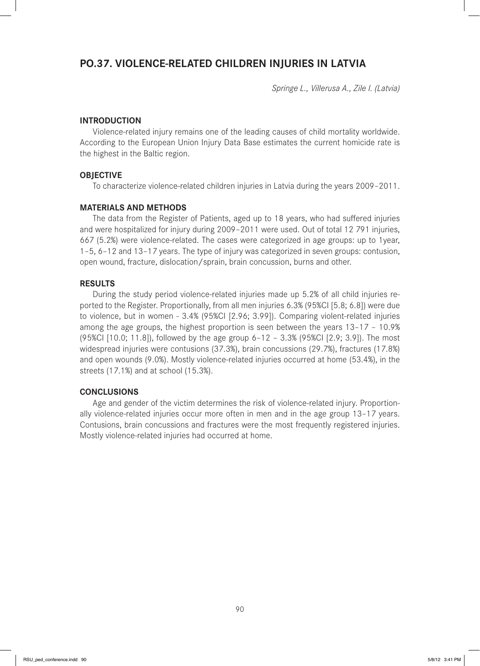## **PO.37. VIOLENCE-RELATED CHILDREN INJURIES IN LATVIA**

*Springe L., Villerusa A., Zile I. (Latvia)*

### **INTRODUCTION**

Violence-related injury remains one of the leading causes of child mortality worldwide. According to the European Union Injury Data Base estimates the current homicide rate is the highest in the Baltic region.

#### **OBJECTIVE**

To characterize violence-related children injuries in Latvia during the years 2009–2011.

## **MATERIALS AND METHODS**

The data from the Register of Patients, aged up to 18 years, who had suffered injuries and were hospitalized for injury during 2009–2011 were used. Out of total 12 791 injuries, 667 (5.2%) were violence-related. The cases were categorized in age groups: up to 1year, 1–5, 6–12 and 13–17 years. The type of injury was categorized in seven groups: contusion, open wound, fracture, dislocation/sprain, brain concussion, burns and other.

#### **RESULTS**

During the study period violence-related injuries made up 5.2% of all child injuries reported to the Register. Proportionally, from all men injuries 6.3% (95%CI [5.8; 6.8]) were due to violence, but in women - 3.4% (95%CI [2.96; 3.99]). Comparing violent-related injuries among the age groups, the highest proportion is seen between the years 13–17 – 10.9% (95%CI [10.0; 11.8]), followed by the age group 6–12 – 3.3% (95%CI [2.9; 3.9]). The most widespread injuries were contusions (37.3%), brain concussions (29.7%), fractures (17.8%) and open wounds (9.0%). Mostly violence-related injuries occurred at home (53.4%), in the streets (17.1%) and at school (15.3%).

#### **CONCLUSIONS**

Age and gender of the victim determines the risk of violence-related injury. Proportionally violence-related injuries occur more often in men and in the age group 13–17 years. Contusions, brain concussions and fractures were the most frequently registered injuries. Mostly violence-related injuries had occurred at home.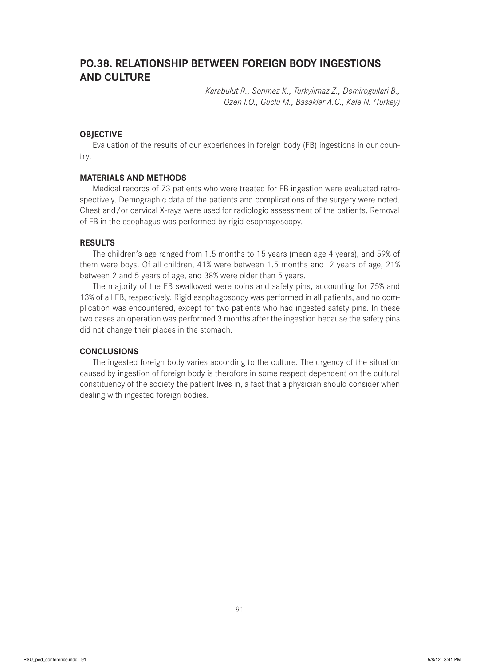## **PO.38. RELATIONSHIP BETWEEN FOREIGN BODY INGESTIONS AND CULTURE**

*Karabulut R., Sonmez K., Turkyilmaz Z., Demirogullari B., Ozen I.O., Guclu M., Basaklar A.C., Kale N. (Turkey)*

## **OBJECTIVE**

Evaluation of the results of our experiences in foreign body (FB) ingestions in our country.

#### **MATERIALS AND METHODS**

Medical records of 73 patients who were treated for FB ingestion were evaluated retrospectively. Demographic data of the patients and complications of the surgery were noted. Chest and/or cervical X-rays were used for radiologic assessment of the patients. Removal of FB in the esophagus was performed by rigid esophagoscopy.

### **RESULTS**

The children's age ranged from 1.5 months to 15 years (mean age 4 years), and 59% of them were boys. Of all children, 41% were between 1.5 months and 2 years of age, 21% between 2 and 5 years of age, and 38% were older than 5 years.

The majority of the FB swallowed were coins and safety pins, accounting for 75% and 13% of all FB, respectively. Rigid esophagoscopy was performed in all patients, and no complication was encountered, except for two patients who had ingested safety pins. In these two cases an operation was performed 3 months after the ingestion because the safety pins did not change their places in the stomach.

### **CONCLUSIONS**

The ingested foreign body varies according to the culture. The urgency of the situation caused by ingestion of foreign body is therofore in some respect dependent on the cultural constituency of the society the patient lives in, a fact that a physician should consider when dealing with ingested foreign bodies.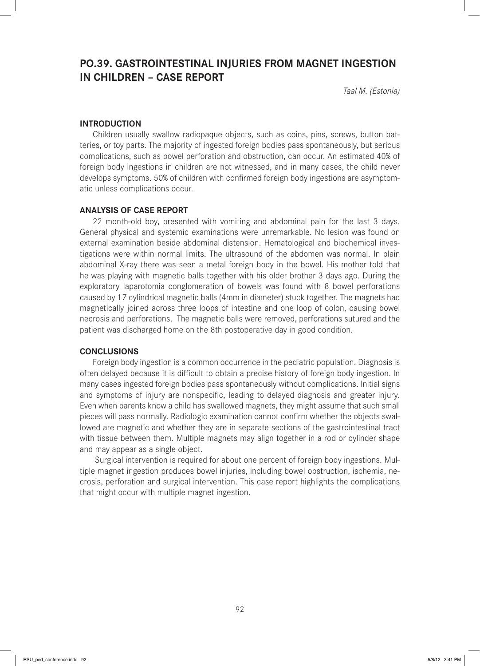## **PO.39. GASTROINTESTINAL INJURIES FROM MAGNET INGESTION IN CHILDREN – CASE REPORT**

*Taal M. (Estonia)*

### **INTRODUCTION**

Children usually swallow radiopaque objects, such as coins, pins, screws, button batteries, or toy parts. The majority of ingested foreign bodies pass spontaneously, but serious complications, such as bowel perforation and obstruction, can occur. An estimated 40% of foreign body ingestions in children are not witnessed, and in many cases, the child never develops symptoms. 50% of children with confirmed foreign body ingestions are asymptomatic unless complications occur.

#### **ANALYSIS OF CASE REPORT**

22 month-old boy, presented with vomiting and abdominal pain for the last 3 days. General physical and systemic examinations were unremarkable. No lesion was found on external examination beside abdominal distension. Hematological and biochemical investigations were within normal limits. The ultrasound of the abdomen was normal. In plain abdominal X-ray there was seen a metal foreign body in the bowel. His mother told that he was playing with magnetic balls together with his older brother 3 days ago. During the exploratory laparotomia conglomeration of bowels was found with 8 bowel perforations caused by 17 cylindrical magnetic balls (4mm in diameter) stuck together. The magnets had magnetically joined across three loops of intestine and one loop of colon, causing bowel necrosis and perforations. The magnetic balls were removed, perforations sutured and the patient was discharged home on the 8th postoperative day in good condition.

#### **CONCLUSIONS**

Foreign body ingestion is a common occurrence in the pediatric population. Diagnosis is often delayed because it is difficult to obtain a precise history of foreign body ingestion. In many cases ingested foreign bodies pass spontaneously without complications. Initial signs and symptoms of injury are nonspecific, leading to delayed diagnosis and greater injury. Even when parents know a child has swallowed magnets, they might assume that such small pieces will pass normally. Radiologic examination cannot confirm whether the objects swallowed are magnetic and whether they are in separate sections of the gastrointestinal tract with tissue between them. Multiple magnets may align together in a rod or cylinder shape and may appear as a single object.

 Surgical intervention is required for about one percent of foreign body ingestions. Multiple magnet ingestion produces bowel injuries, including bowel obstruction, ischemia, necrosis, perforation and surgical intervention. This case report highlights the complications that might occur with multiple magnet ingestion.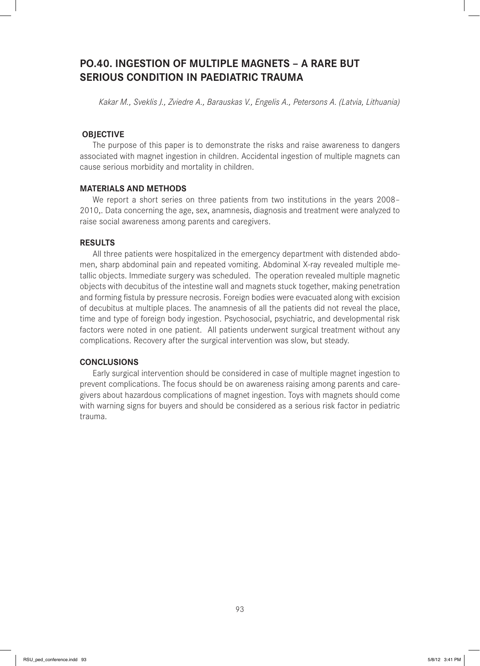# **PO.40. INGESTION OF MULTIPLE MAGNETS – A RARE BUT SERIOUS CONDITION IN PAEDIATRIC TRAUMA**

*Kakar M., Sveklis J., Zviedre A., Barauskas V., Engelis A., Petersons A. (Latvia, Lithuania)*

## **OBJECTIVE**

The purpose of this paper is to demonstrate the risks and raise awareness to dangers associated with magnet ingestion in children. Accidental ingestion of multiple magnets can cause serious morbidity and mortality in children.

#### **MATERIALS AND METHODS**

We report a short series on three patients from two institutions in the years 2008– 2010,. Data concerning the age, sex, anamnesis, diagnosis and treatment were analyzed to raise social awareness among parents and caregivers.

### **RESULTS**

All three patients were hospitalized in the emergency department with distended abdomen, sharp abdominal pain and repeated vomiting. Abdominal X-ray revealed multiple metallic objects. Immediate surgery was scheduled. The operation revealed multiple magnetic objects with decubitus of the intestine wall and magnets stuck together, making penetration and forming fistula by pressure necrosis. Foreign bodies were evacuated along with excision of decubitus at multiple places. The anamnesis of all the patients did not reveal the place, time and type of foreign body ingestion. Psychosocial, psychiatric, and developmental risk factors were noted in one patient. All patients underwent surgical treatment without any complications. Recovery after the surgical intervention was slow, but steady.

## **CONCLUSIONS**

Early surgical intervention should be considered in case of multiple magnet ingestion to prevent complications. The focus should be on awareness raising among parents and caregivers about hazardous complications of magnet ingestion. Toys with magnets should come with warning signs for buyers and should be considered as a serious risk factor in pediatric trauma.

93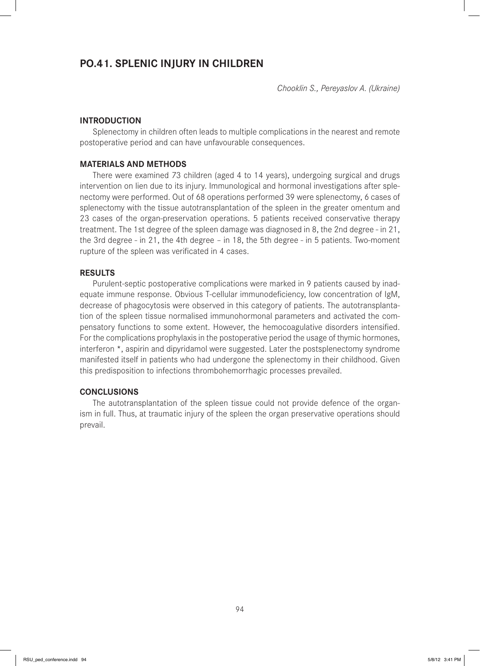## **PO.41. SPLENIC INJURY IN CHILDREN**

*Chooklin S., Pereyaslov A. (Ukraine)*

#### **INTRODUCTION**

Splenectomy in children often leads to multiple complications in the nearest and remote postoperative period and can have unfavourable consequences.

### **MATERIALS AND METHODS**

There were examined 73 children (aged 4 to 14 years), undergoing surgical and drugs intervention on lien due to its injury. Immunological and hormonal investigations after splenectomy were performed. Out of 68 operations performed 39 were splenectomy, 6 cases of splenectomy with the tissue autotransplantation of the spleen in the greater omentum and 23 cases of the organ-preservation operations. 5 patients received conservative therapy treatment. The 1st degree of the spleen damage was diagnosed in 8, the 2nd degree - in 21, the 3rd degree - in 21, the 4th degree – in 18, the 5th degree - in 5 patients. Two-moment rupture of the spleen was verificated in 4 cases.

#### **RESULTS**

Purulent-septic postoperative complications were marked in 9 patients caused by inadequate immune response. Obvious T-cellular immunodeficiency, low concentration of IgM, decrease of phagocytosis were observed in this category of patients. The autotransplantation of the spleen tissue normalised immunohormonal parameters and activated the compensatory functions to some extent. However, the hemocoagulative disorders intensified. For the complications prophylaxis in the postoperative period the usage of thymic hormones, interferon \*, aspirin and dipyridamol were suggested. Later the postsplenectomy syndrome manifested itself in patients who had undergone the splenectomy in their childhood. Given this predisposition to infections thrombohemorrhagic processes prevailed.

## **CONCLUSIONS**

The autotransplantation of the spleen tissue could not provide defence of the organism in full. Thus, at traumatic injury of the spleen the organ preservative operations should prevail.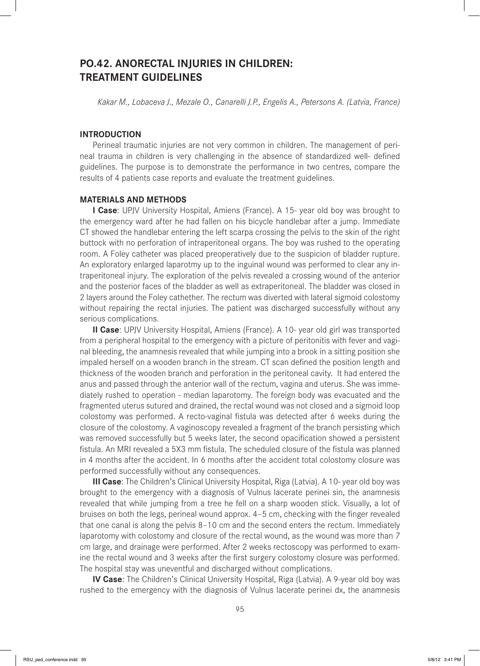## **PO.42. ANORECTAL INJURIES IN CHILDREN: TREATMENT GUIDELINES**

*Kakar M., Lobaceva J., Mezale O., Canarelli J.P., Engelis A., Petersons A. (Latvia, France)* 

## **INTRODUCTION**

Perineal traumatic injuries are not very common in children. The management of perineal trauma in children is very challenging in the absence of standardized well- defined guidelines. The purpose is to demonstrate the performance in two centres, compare the results of 4 patients case reports and evaluate the treatment guidelines.

### **MATERIALS AND METHODS**

**I Case**: UPJV University Hospital, Amiens (France). A 15- year old boy was brought to the emergency ward after he had fallen on his bicycle handlebar after a jump. Immediate CT showed the handlebar entering the left scarpa crossing the pelvis to the skin of the right buttock with no perforation of intraperitoneal organs. The boy was rushed to the operating room. A Foley catheter was placed preoperatively due to the suspicion of bladder rupture. An exploratory enlarged laparotmy up to the inguinal wound was performed to clear any intraperitoneal injury. The exploration of the pelvis revealed a crossing wound of the anterior and the posterior faces of the bladder as well as extraperitoneal. The bladder was closed in 2 layers around the Foley cathether. The rectum was diverted with lateral sigmoid colostomy without repairing the rectal injuries. The patient was discharged successfully without any serious complications.

**II Case**: UPJV University Hospital, Amiens (France). A 10- year old girl was transported from a peripheral hospital to the emergency with a picture of peritonitis with fever and vaginal bleeding, the anamnesis revealed that while jumping into a brook in a sitting position she impaled herself on a wooden branch in the stream. CT scan defined the position length and thickness of the wooden branch and perforation in the peritoneal cavity. It had entered the anus and passed through the anterior wall of the rectum, vagina and uterus. She was immediately rushed to operation - median laparotomy. The foreign body was evacuated and the fragmented uterus sutured and drained, the rectal wound was not closed and a sigmoid loop colostomy was performed. A recto-vaginal fistula was detected after 6 weeks during the closure of the colostomy. A vaginoscopy revealed a fragment of the branch persisting which was removed successfully but 5 weeks later, the second opacification showed a persistent fistula. An MRI revealed a 5X3 mm fistula. The scheduled closure of the fistula was planned in 4 months after the accident. In 6 months after the accident total colostomy closure was performed successfully without any consequences.

**III Case**: The Children's Clinical University Hospital, Riga (Latvia). A 10- year old boy was brought to the emergency with a diagnosis of Vulnus lacerate perinei sin, the anamnesis revealed that while jumping from a tree he fell on a sharp wooden stick. Visually, a lot of bruises on both the legs, perineal wound approx. 4-5 cm, checking with the finger revealed that one canal is along the pelvis 8–10 cm and the second enters the rectum. Immediately laparotomy with colostomy and closure of the rectal wound, as the wound was more than 7 cm large, and drainage were performed. After 2 weeks rectoscopy was performed to examine the rectal wound and 3 weeks after the first surgery colostomy closure was performed. The hospital stay was uneventful and discharged without complications.

**IV Case**: The Children's Clinical University Hospital, Riga (Latvia). A 9-year old boy was rushed to the emergency with the diagnosis of Vulnus lacerate perinei dx, the anamnesis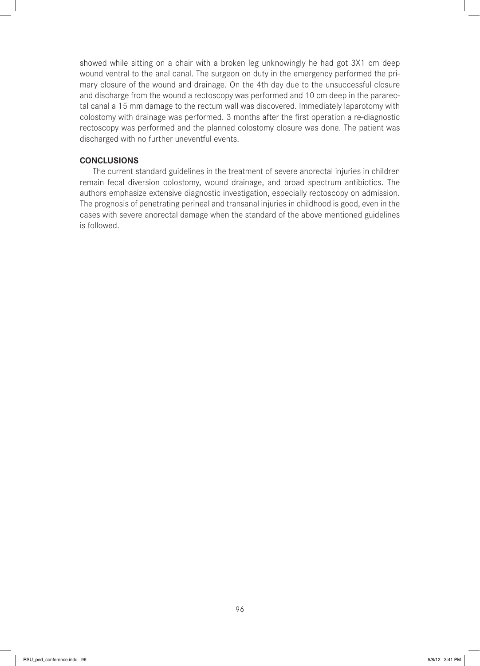showed while sitting on a chair with a broken leg unknowingly he had got 3X1 cm deep wound ventral to the anal canal. The surgeon on duty in the emergency performed the primary closure of the wound and drainage. On the 4th day due to the unsuccessful closure and discharge from the wound a rectoscopy was performed and 10 cm deep in the pararectal canal a 15 mm damage to the rectum wall was discovered. Immediately laparotomy with colostomy with drainage was performed. 3 months after the first operation a re-diagnostic rectoscopy was performed and the planned colostomy closure was done. The patient was discharged with no further uneventful events.

### **CONCLUSIONS**

The current standard guidelines in the treatment of severe anorectal injuries in children remain fecal diversion colostomy, wound drainage, and broad spectrum antibiotics. The authors emphasize extensive diagnostic investigation, especially rectoscopy on admission. The prognosis of penetrating perineal and transanal injuries in childhood is good, even in the cases with severe anorectal damage when the standard of the above mentioned guidelines is followed.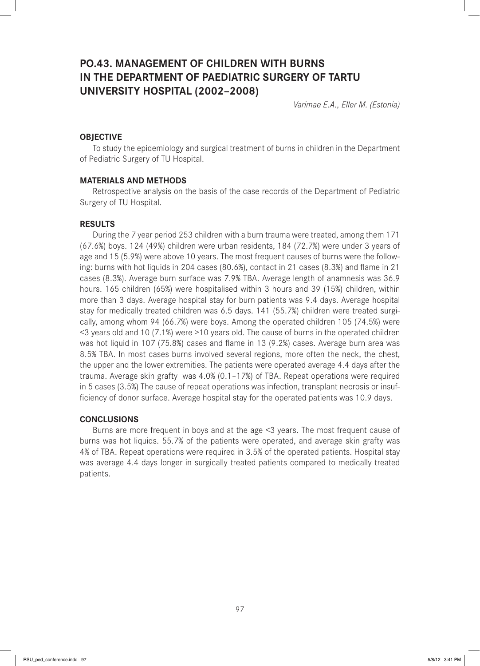# **PO.43. MANAGEMENT OF CHILDREN WITH BURNS IN THE DEPARTMENT OF PAEDIATRIC SURGERY OF TARTU UNIVERSITY HOSPITAL (2002–2008)**

*Varimae E.A., Eller M. (Estonia)*

## **OBJECTIVE**

To study the epidemiology and surgical treatment of burns in children in the Department of Pediatric Surgery of TU Hospital.

### **MATERIALS AND METHODS**

Retrospective analysis on the basis of the case records of the Department of Pediatric Surgery of TU Hospital.

#### **RESULTS**

During the 7 year period 253 children with a burn trauma were treated, among them 171 (67.6%) boys. 124 (49%) children were urban residents, 184 (72.7%) were under 3 years of age and 15 (5.9%) were above 10 years. The most frequent causes of burns were the following: burns with hot liquids in 204 cases (80.6%), contact in 21 cases (8.3%) and flame in 21 cases (8.3%). Average burn surface was 7.9% TBA. Average length of anamnesis was 36.9 hours. 165 children (65%) were hospitalised within 3 hours and 39 (15%) children, within more than 3 days. Average hospital stay for burn patients was 9.4 days. Average hospital stay for medically treated children was 6.5 days. 141 (55.7%) children were treated surgically, among whom 94 (66.7%) were boys. Among the operated children 105 (74.5%) were <3 years old and 10 (7.1%) were >10 years old. The cause of burns in the operated children was hot liquid in 107 (75.8%) cases and flame in 13 (9.2%) cases. Average burn area was 8.5% TBA. In most cases burns involved several regions, more often the neck, the chest, the upper and the lower extremities. The patients were operated average 4.4 days after the trauma. Average skin grafty was 4.0% (0.1–17%) of TBA. Repeat operations were required in 5 cases (3.5%) The cause of repeat operations was infection, transplant necrosis or insufficiency of donor surface. Average hospital stay for the operated patients was 10.9 days.

### **CONCLUSIONS**

Burns are more frequent in boys and at the age <3 years. The most frequent cause of burns was hot liquids. 55.7% of the patients were operated, and average skin grafty was 4% of TBA. Repeat operations were required in 3.5% of the operated patients. Hospital stay was average 4.4 days longer in surgically treated patients compared to medically treated patients.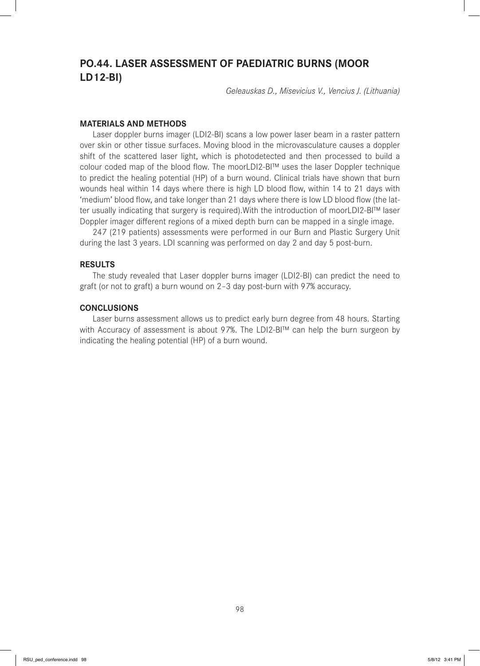# **PO.44. LASER ASSESSMENT OF PAEDIATRIC BURNS (MOOR LD12-BI)**

*Geleauskas D., Misevicius V., Vencius J. (Lithuania)*

#### **MATERIALS AND METHODS**

Laser doppler burns imager (LDI2-BI) scans a low power laser beam in a raster pattern over skin or other tissue surfaces. Moving blood in the microvasculature causes a doppler shift of the scattered laser light, which is photodetected and then processed to build a colour coded map of the blood flow. The moorLDI2-BI™ uses the laser Doppler technique to predict the healing potential (HP) of a burn wound. Clinical trials have shown that burn wounds heal within 14 days where there is high LD blood flow, within 14 to 21 days with 'medium' blood flow, and take longer than 21 days where there is low LD blood flow (the latter usually indicating that surgery is required). With the introduction of moorLDI2-BI™ laser Doppler imager different regions of a mixed depth burn can be mapped in a single image.

247 (219 patients) assessments were performed in our Burn and Plastic Surgery Unit during the last 3 years. LDI scanning was performed on day 2 and day 5 post-burn.

#### **RESULTS**

The study revealed that Laser doppler burns imager (LDI2-BI) can predict the need to graft (or not to graft) a burn wound on 2–3 day post-burn with 97% accuracy.

#### **CONCLUSIONS**

Laser burns assessment allows us to predict early burn degree from 48 hours. Starting with Accuracy of assessment is about 97%. The LDI2-BI™ can help the burn surgeon by indicating the healing potential (HP) of a burn wound.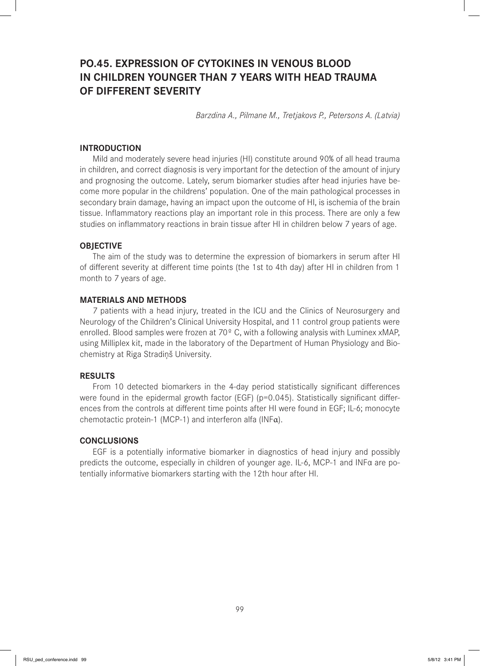# **PO.45. EXPRESSION OF CYTOKINES IN VENOUS BLOOD IN CHILDREN YOUNGER THAN 7 YEARS WITH HEAD TRAUMA OF DIFFERENT SEVERITY**

*Barzdina A., Pilmane M., Tretjakovs P., Petersons A. (Latvia)*

#### **INTRODUCTION**

Mild and moderately severe head injuries (HI) constitute around 90% of all head trauma in children, and correct diagnosis is very important for the detection of the amount of injury and prognosing the outcome. Lately, serum biomarker studies after head injuries have become more popular in the childrens' population. One of the main pathological processes in secondary brain damage, having an impact upon the outcome of HI, is ischemia of the brain tissue. Inflammatory reactions play an important role in this process. There are only a few studies on inflammatory reactions in brain tissue after HI in children below 7 years of age.

#### **OBJECTIVE**

The aim of the study was to determine the expression of biomarkers in serum after HI of different severity at different time points (the 1st to 4th day) after HI in children from 1 month to 7 years of age.

#### **MATERIALS AND METHODS**

7 patients with a head injury, treated in the ICU and the Clinics of Neurosurgery and Neurology of the Children's Clinical University Hospital, and 11 control group patients were enrolled. Blood samples were frozen at 70º C, with a following analysis with Luminex xMAP, using Milliplex kit, made in the laboratory of the Department of Human Physiology and Biochemistry at Riga Stradiņš University.

#### **RESULTS**

From 10 detected biomarkers in the 4-day period statistically significant differences were found in the epidermal growth factor (EGF) ( $p=0.045$ ). Statistically significant differences from the controls at different time points after HI were found in EGF; IL-6; monocyte chemotactic protein-1 (MCP-1) and interferon alfa (INFα).

#### **CONCLUSIONS**

EGF is a potentially informative biomarker in diagnostics of head injury and possibly predicts the outcome, especially in children of younger age. IL-6, MCP-1 and INFα are potentially informative biomarkers starting with the 12th hour after HI.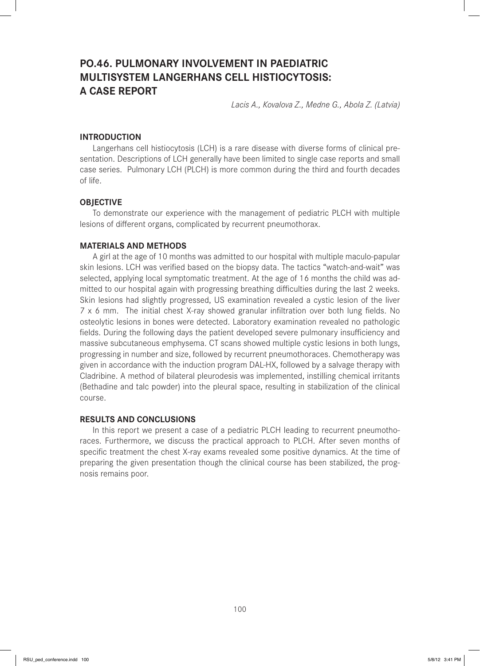# **PO.46. PULMONARY INVOLVEMENT IN PAEDIATRIC MULTISYSTEM LANGERHANS CELL HISTIOCYTOSIS: A CASE REPORT**

*Lacis A., Kovalova Z., Medne G., Abola Z. (Latvia)*

### **INTRODUCTION**

Langerhans cell histiocytosis (LCH) is a rare disease with diverse forms of clinical presentation. Descriptions of LCH generally have been limited to single case reports and small case series. Pulmonary LCH (PLCH) is more common during the third and fourth decades of life.

### **OBJECTIVE**

To demonstrate our experience with the management of pediatric PLCH with multiple lesions of different organs, complicated by recurrent pneumothorax.

#### **MATERIALS AND METHODS**

A girl at the age of 10 months was admitted to our hospital with multiple maculo-papular skin lesions. LCH was verified based on the biopsy data. The tactics "watch-and-wait" was selected, applying local symptomatic treatment. At the age of 16 months the child was admitted to our hospital again with progressing breathing difficulties during the last 2 weeks. Skin lesions had slightly progressed, US examination revealed a cystic lesion of the liver  $7 \times 6$  mm. The initial chest X-ray showed granular infiltration over both lung fields. No osteolytic lesions in bones were detected. Laboratory examination revealed no pathologic fields. During the following days the patient developed severe pulmonary insufficiency and massive subcutaneous emphysema. CT scans showed multiple cystic lesions in both lungs, progressing in number and size, followed by recurrent pneumothoraces. Chemotherapy was given in accordance with the induction program DAL-HX, followed by a salvage therapy with Cladribine. A method of bilateral pleurodesis was implemented, instilling chemical irritants (Bethadine and talc powder) into the pleural space, resulting in stabilization of the clinical course.

## **RESULTS AND CONCLUSIONS**

In this report we present a case of a pediatric PLCH leading to recurrent pneumothoraces. Furthermore, we discuss the practical approach to PLCH. After seven months of specific treatment the chest X-ray exams revealed some positive dynamics. At the time of preparing the given presentation though the clinical course has been stabilized, the prognosis remains poor.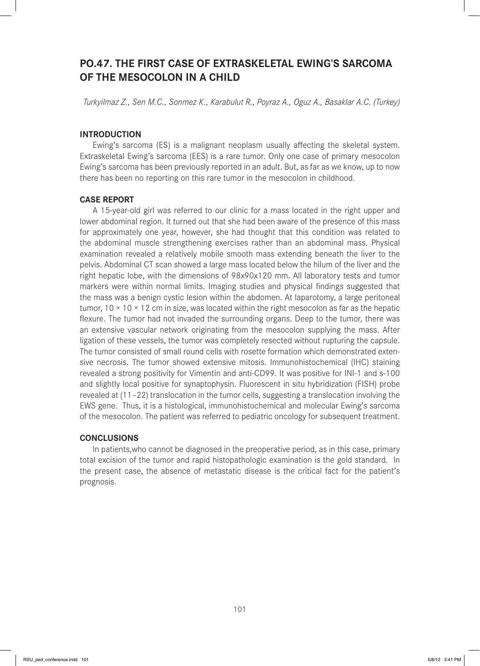# **PO.47. THE FIRST CASE OF EXTRASKELETAL EWING'S SARCOMA OF THE MESOCOLON IN A CHILD**

*Turkyilmaz Z., Sen M.C., Sonmez K., Karabulut R., Poyraz A., Oguz A., Basaklar A.C. (Turkey)*

## **INTRODUCTION**

Ewing's sarcoma (ES) is a malignant neoplasm usually affecting the skeletal system. Extraskeletal Ewing's sarcoma (EES) is a rare tumor. Only one case of primary mesocolon Ewing's sarcoma has been previously reported in an adult. But, as far as we know, up to now there has been no reporting on this rare tumor in the mesocolon in childhood.

### **CASE REPORT**

A 15-year-old girl was referred to our clinic for a mass located in the right upper and lower abdominal region. It turned out that she had been aware of the presence of this mass for approximately one year, however, she had thought that this condition was related to the abdominal muscle strengthening exercises rather than an abdominal mass. Physical examination revealed a relatively mobile smooth mass extending beneath the liver to the pelvis. Abdominal CT scan showed a large mass located below the hilum of the liver and the right hepatic lobe, with the dimensions of 98x90x120 mm. All laboratory tests and tumor markers were within normal limits. Imaging studies and physical findings suggested that the mass was a benign cystic lesion within the abdomen. At laparotomy, a large peritoneal tumor,  $10 \times 10 \times 12$  cm in size, was located within the right mesocolon as far as the hepatic flexure. The tumor had not invaded the surrounding organs. Deep to the tumor, there was an extensive vascular network originating from the mesocolon supplying the mass. After ligation of these vessels, the tumor was completely resected without rupturing the capsule. The tumor consisted of small round cells with rosette formation which demonstrated extensive necrosis. The tumor showed extensive mitosis. Immunohistochemical (IHC) staining revealed a strong positivity for Vimentin and anti-CD99. It was positive for INI-1 and s-100 and slightly local positive for synaptophysin. Fluorescent in situ hybridization (FISH) probe revealed at (11–22) translocation in the tumor cells, suggesting a translocation involving the EWS gene. Thus, it is a histological, immunohistochemical and molecular Ewing's sarcoma of the mesocolon. The patient was referred to pediatric oncology for subsequent treatment.

#### **CONCLUSIONS**

In patients,who cannot be diagnosed in the preoperative period, as in this case, primary total excision of the tumor and rapid histopathologic examination is the gold standard. In the present case, the absence of metastatic disease is the critical fact for the patient's prognosis.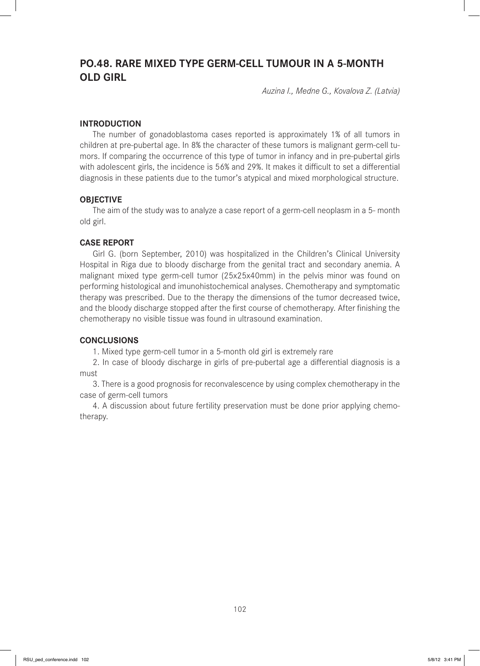# **PO.48. RARE MIXED TYPE GERM-CELL TUMOUR IN A 5-MONTH OLD GIRL**

*Auzina I., Medne G., Kovalova Z. (Latvia)*

### **INTRODUCTION**

The number of gonadoblastoma cases reported is approximately 1% of all tumors in children at pre-pubertal age. In 8% the character of these tumors is malignant germ-cell tumors. If comparing the occurrence of this type of tumor in infancy and in pre-pubertal girls with adolescent girls, the incidence is 56% and 29%. It makes it difficult to set a differential diagnosis in these patients due to the tumor's atypical and mixed morphological structure.

#### **OBJECTIVE**

The aim of the study was to analyze a case report of a germ-cell neoplasm in a 5- month old girl.

### **CASE REPORT**

Girl G. (born September, 2010) was hospitalized in the Children's Clinical University Hospital in Riga due to bloody discharge from the genital tract and secondary anemia. A malignant mixed type germ-cell tumor (25x25x40mm) in the pelvis minor was found on performing histological and imunohistochemical analyses. Chemotherapy and symptomatic therapy was prescribed. Due to the therapy the dimensions of the tumor decreased twice, and the bloody discharge stopped after the first course of chemotherapy. After finishing the chemotherapy no visible tissue was found in ultrasound examination.

#### **CONCLUSIONS**

1. Mixed type germ-cell tumor in a 5-month old girl is extremely rare

2. In case of bloody discharge in girls of pre-pubertal age a differential diagnosis is a must

3. There is a good prognosis for reconvalescence by using complex chemotherapy in the case of germ-cell tumors

4. A discussion about future fertility preservation must be done prior applying chemotherapy.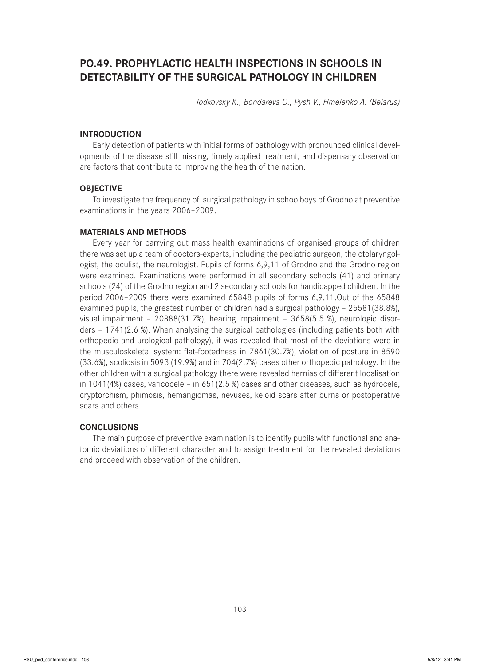# **PO.49. PROPHYLACTIC HEALTH INSPECTIONS IN SCHOOLS IN DETECTABILITY OF THE SURGICAL PATHOLOGY IN CHILDREN**

*Iodkovsky K., Bondareva O., Pysh V., Hmelenko A. (Belarus)*

## **INTRODUCTION**

Early detection of patients with initial forms of pathology with pronounced clinical developments of the disease still missing, timely applied treatment, and dispensary observation are factors that contribute to improving the health of the nation.

#### **OBJECTIVE**

To investigate the frequency of surgical pathology in schoolboys of Grodno at preventive examinations in the years 2006–2009.

### **MATERIALS AND METHODS**

Every year for carrying out mass health examinations of organised groups of children there was set up a team of doctors-experts, including the pediatric surgeon, the otolaryngologist, the oculist, the neurologist. Pupils of forms 6,9,11 of Grodno and the Grodno region were examined. Examinations were performed in all secondary schools (41) and primary schools (24) of the Grodno region and 2 secondary schools for handicapped children. In the period 2006–2009 there were examined 65848 pupils of forms 6,9,11.Out of the 65848 examined pupils, the greatest number of children had a surgical pathology – 25581(38.8%), visual impairment – 20888(31.7%), hearing impairment – 3658(5.5 %), neurologic disorders – 1741(2.6 %). When analysing the surgical pathologies (including patients both with orthopedic and urological pathology), it was revealed that most of the deviations were in the musculoskeletal system: flat-footedness in 7861(30.7%), violation of posture in 8590 (33.6%), scoliosis in 5093 (19.9%) and in 704(2.7%) cases other orthopedic pathology. In the other children with a surgical pathology there were revealed hernias of different localisation in 1041(4%) cases, varicocele – in 651(2.5 %) cases and other diseases, such as hydrocele, cryptorchism, phimosis, hemangiomas, nevuses, keloid scars after burns or postoperative scars and others.

### **CONCLUSIONS**

The main purpose of preventive examination is to identify pupils with functional and anatomic deviations of different character and to assign treatment for the revealed deviations and proceed with observation of the children.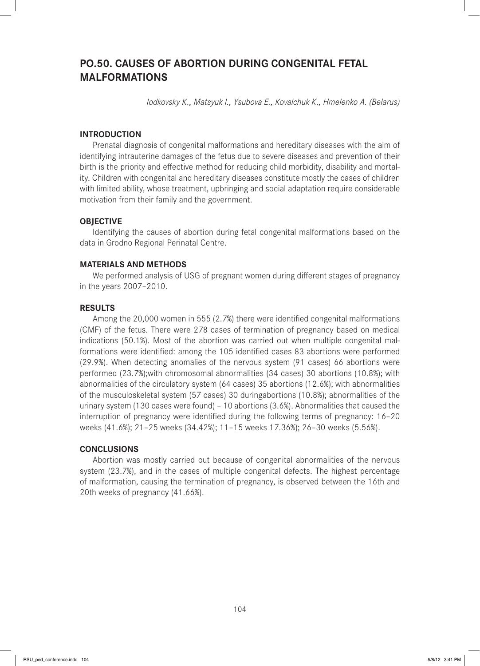# **PO.50. CAUSES OF ABORTION DURING CONGENITAL FETAL MALFORMATIONS**

*Iodkovsky K., Matsyuk I., Ysubova E., Kovalchuk K., Hmelenko A. (Belarus)*

## **INTRODUCTION**

Prenatal diagnosis of congenital malformations and hereditary diseases with the aim of identifying intrauterine damages of the fetus due to severe diseases and prevention of their birth is the priority and effective method for reducing child morbidity, disability and mortality. Children with congenital and hereditary diseases constitute mostly the cases of children with limited ability, whose treatment, upbringing and social adaptation require considerable motivation from their family and the government.

## **OBJECTIVE**

Identifying the causes of abortion during fetal congenital malformations based on the data in Grodno Regional Perinatal Centre.

### **MATERIALS AND METHODS**

We performed analysis of USG of pregnant women during different stages of pregnancy in the years 2007–2010.

### **RESULTS**

Among the  $20,000$  women in 555  $(2.7%)$  there were identified congenital malformations (CMF) of the fetus. There were 278 cases of termination of pregnancy based on medical indications (50.1%). Most of the abortion was carried out when multiple congenital malformations were identified: among the 105 identified cases 83 abortions were performed (29.9%). When detecting anomalies of the nervous system (91 cases) 66 abortions were performed (23.7%);with chromosomal abnormalities (34 cases) 30 abortions (10.8%); with abnormalities of the circulatory system (64 cases) 35 abortions (12.6%); with abnormalities of the musculoskeletal system (57 cases) 30 duringabortions (10.8%); abnormalities of the urinary system (130 cases were found) – 10 abortions (3.6%). Abnormalities that caused the interruption of pregnancy were identified during the following terms of pregnancy: 16-20 weeks (41.6%); 21–25 weeks (34.42%); 11–15 weeks 17.36%); 26–30 weeks (5.56%).

## **CONCLUSIONS**

Abortion was mostly carried out because of congenital abnormalities of the nervous system (23.7%), and in the cases of multiple congenital defects. The highest percentage of malformation, causing the termination of pregnancy, is observed between the 16th and 20th weeks of pregnancy (41.66%).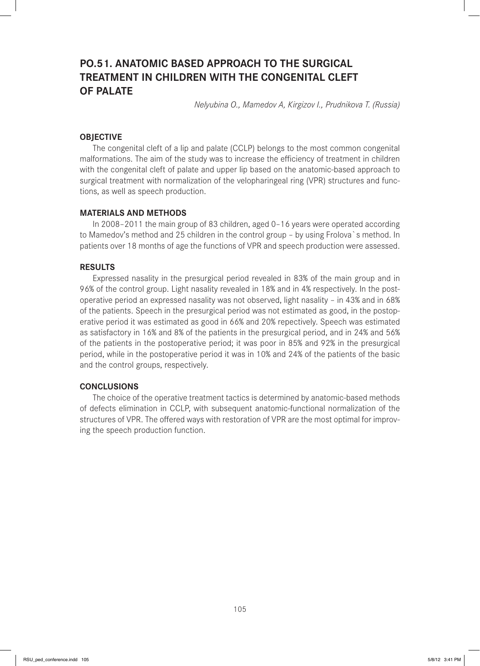# **PO.51. ANATOMIC BASED APPROACH TO THE SURGICAL TREATMENT IN CHILDREN WITH THE CONGENITAL CLEFT OF PALATE**

*Nelyubina O., Mamedov A, Kirgizov I., Prudnikova T. (Russia)*

## **OBJECTIVE**

The congenital cleft of a lip and palate (CCLP) belongs to the most common congenital malformations. The aim of the study was to increase the efficiency of treatment in children with the congenital cleft of palate and upper lip based on the anatomic-based approach to surgical treatment with normalization of the velopharingeal ring (VPR) structures and functions, as well as speech production.

#### **MATERIALS AND METHODS**

In 2008–2011 the main group of 83 children, aged 0–16 years were operated according to Mamedov's method and 25 children in the control group – by using Frolova`s method. In patients over 18 months of age the functions of VPR and speech production were assessed.

#### **RESULTS**

Expressed nasality in the presurgical period revealed in 83% of the main group and in 96% of the control group. Light nasality revealed in 18% and in 4% respectively. In the postoperative period an expressed nasality was not observed, light nasality – in 43% and in 68% of the patients. Speech in the presurgical period was not estimated as good, in the postoperative period it was estimated as good in 66% and 20% repectively. Speech was estimated as satisfactory in 16% and 8% of the patients in the presurgical period, and in 24% and 56% of the patients in the postoperative period; it was poor in 85% and 92% in the presurgical period, while in the postoperative period it was in 10% and 24% of the patients of the basic and the control groups, respectively.

## **CONCLUSIONS**

The choice of the operative treatment tactics is determined by anatomic-based methods of defects elimination in CCLP, with subsequent anatomic-functional normalization of the structures of VPR. The offered ways with restoration of VPR are the most optimal for improving the speech production function.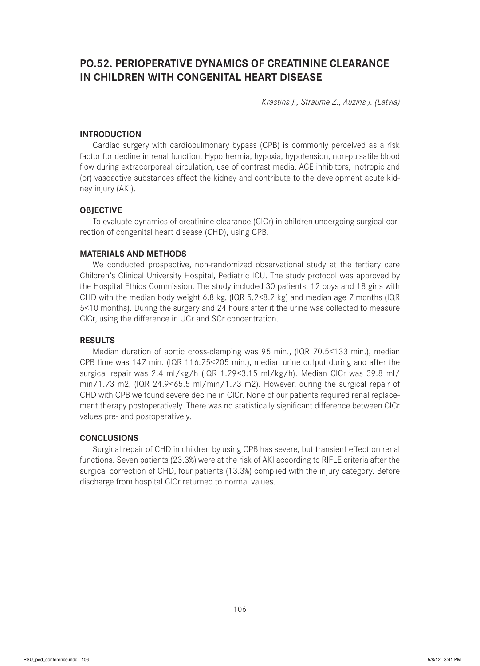# **PO.52. PERIOPERATIVE DYNAMICS OF CREATININE CLEARANCE IN CHILDREN WITH CONGENITAL HEART DISEASE**

*Krastins J., Straume Z., Auzins J. (Latvia)*

## **INTRODUCTION**

Cardiac surgery with cardiopulmonary bypass (CPB) is commonly perceived as a risk factor for decline in renal function. Hypothermia, hypoxia, hypotension, non-pulsatile blood flow during extracorporeal circulation, use of contrast media, ACE inhibitors, inotropic and (or) vasoactive substances affect the kidney and contribute to the development acute kidney injury (AKI).

#### **OBJECTIVE**

To evaluate dynamics of creatinine clearance (ClCr) in children undergoing surgical correction of congenital heart disease (CHD), using CPB.

#### **MATERIALS AND METHODS**

We conducted prospective, non-randomized observational study at the tertiary care Children's Clinical University Hospital, Pediatric ICU. The study protocol was approved by the Hospital Ethics Commission. The study included 30 patients, 12 boys and 18 girls with CHD with the median body weight 6.8 kg, (IQR 5.2<8.2 kg) and median age 7 months (IQR 5<10 months). During the surgery and 24 hours after it the urine was collected to measure CICr, using the difference in UCr and SCr concentration.

#### **RESULTS**

Median duration of aortic cross-clamping was 95 min., (IQR 70.5<133 min.), median CPB time was 147 min. (IQR 116.75<205 min.), median urine output during and after the surgical repair was 2.4 ml/kg/h (IQR 1.29<3.15 ml/kg/h). Median ClCr was 39.8 ml/ min/1.73 m2, (IQR 24.9<65.5 ml/min/1.73 m2). However, during the surgical repair of CHD with CPB we found severe decline in ClCr. None of our patients required renal replacement therapy postoperatively. There was no statistically significant difference between CICr values pre- and postoperatively.

#### **CONCLUSIONS**

Surgical repair of CHD in children by using CPB has severe, but transient effect on renal functions. Seven patients (23.3%) were at the risk of AKI according to RIFLE criteria after the surgical correction of CHD, four patients (13.3%) complied with the injury category. Before discharge from hospital ClCr returned to normal values.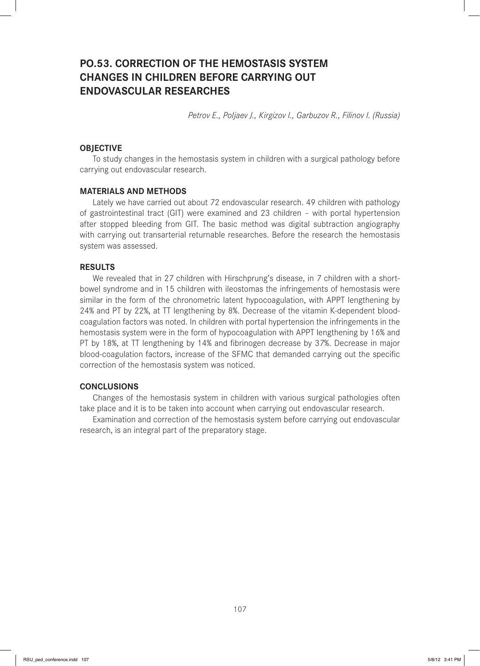# **PO.53. CORRECTION OF THE HEMOSTASIS SYSTEM CHANGES IN CHILDREN BEFORE CARRYING OUT ENDOVASCULAR RESEARCHES**

*Petrov E., Poljaev J., Kirgizov I., Garbuzov R., Filinov I. (Russia)*

#### **OBJECTIVE**

To study changes in the hemostasis system in children with a surgical pathology before carrying out endovascular research.

#### **MATERIALS AND METHODS**

Lately we have carried out about 72 endovascular research. 49 children with pathology of gastrointestinal tract (GIT) were examined and 23 children – with portal hypertension after stopped bleeding from GIT. The basic method was digital subtraction angiography with carrying out transarterial returnable researches. Before the research the hemostasis system was assessed.

#### **RESULTS**

We revealed that in 27 children with Hirschprung's disease, in 7 children with a shortbowel syndrome and in 15 children with ileostomas the infringements of hemostasis were similar in the form of the chronometric latent hypocoagulation, with APPT lengthening by 24% and PT by 22%, at TT lengthening by 8%. Decrease of the vitamin K-dependent bloodcoagulation factors was noted. In children with portal hypertension the infringements in the hemostasis system were in the form of hypocoagulation with APPT lengthening by 16% and PT by 18%, at TT lengthening by 14% and fibrinogen decrease by 37%. Decrease in major blood-coagulation factors, increase of the SFMC that demanded carrying out the specific correction of the hemostasis system was noticed.

### **CONCLUSIONS**

Changes of the hemostasis system in children with various surgical pathologies often take place and it is to be taken into account when carrying out endovascular research.

Examination and correction of the hemostasis system before carrying out endovascular research, is an integral part of the preparatory stage.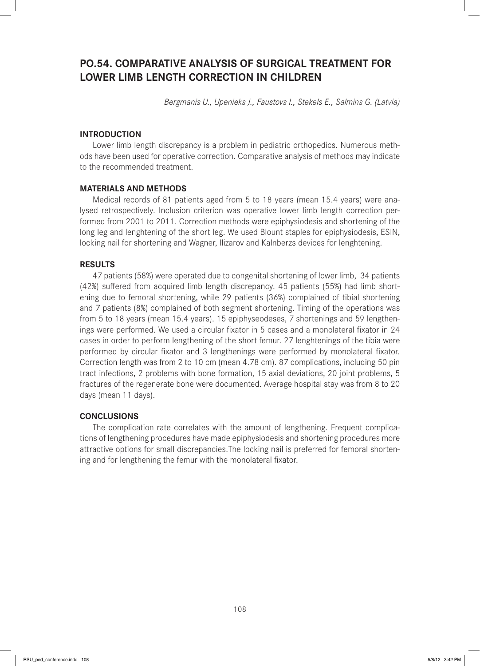# **PO.54. COMPARATIVE ANALYSIS OF SURGICAL TREATMENT FOR LOWER LIMB LENGTH CORRECTION IN CHILDREN**

*Bergmanis U., Upenieks J., Faustovs I., Stekels E., Salmins G. (Latvia)*

## **INTRODUCTION**

Lower limb length discrepancy is a problem in pediatric orthopedics. Numerous methods have been used for operative correction. Comparative analysis of methods may indicate to the recommended treatment.

#### **MATERIALS AND METHODS**

Medical records of 81 patients aged from 5 to 18 years (mean 15.4 years) were analysed retrospectively. Inclusion criterion was operative lower limb length correction performed from 2001 to 2011. Correction methods were epiphysiodesis and shortening of the long leg and lenghtening of the short leg. We used Blount staples for epiphysiodesis, ESIN, locking nail for shortening and Wagner, Ilizarov and Kalnberzs devices for lenghtening.

#### **RESULTS**

47 patients (58%) were operated due to congenital shortening of lower limb, 34 patients (42%) suffered from acquired limb length discrepancy. 45 patients (55%) had limb shortening due to femoral shortening, while 29 patients (36%) complained of tibial shortening and 7 patients (8%) complained of both segment shortening. Timing of the operations was from 5 to 18 years (mean 15.4 years). 15 epiphyseodeses, 7 shortenings and 59 lengthenings were performed. We used a circular fixator in 5 cases and a monolateral fixator in 24 cases in order to perform lengthening of the short femur. 27 lenghtenings of the tibia were performed by circular fixator and 3 lengthenings were performed by monolateral fixator. Correction length was from 2 to 10 cm (mean 4.78 cm). 87 complications, including 50 pin tract infections, 2 problems with bone formation, 15 axial deviations, 20 joint problems, 5 fractures of the regenerate bone were documented. Average hospital stay was from 8 to 20 days (mean 11 days).

## **CONCLUSIONS**

The complication rate correlates with the amount of lengthening. Frequent complications of lengthening procedures have made epiphysiodesis and shortening procedures more attractive options for small discrepancies.The locking nail is preferred for femoral shortening and for lengthening the femur with the monolateral fixator.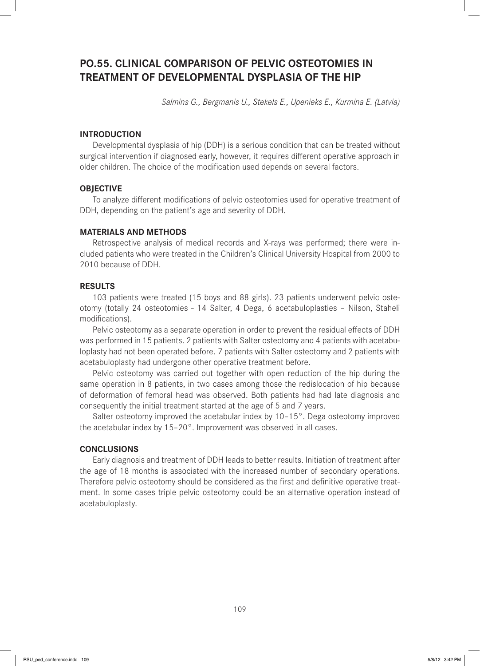# **PO.55. CLINICAL COMPARISON OF PELVIC OSTEOTOMIES IN TREATMENT OF DEVELOPMENTAL DYSPLASIA OF THE HIP**

*Salmins G., Bergmanis U., Stekels E., Upenieks E., Kurmina E. (Latvia)*

## **INTRODUCTION**

Developmental dysplasia of hip (DDH) is a serious condition that can be treated without surgical intervention if diagnosed early, however, it requires different operative approach in older children. The choice of the modification used depends on several factors.

## **OBJECTIVE**

To analyze different modifications of pelvic osteotomies used for operative treatment of DDH, depending on the patient's age and severity of DDH.

## **MATERIALS AND METHODS**

Retrospective analysis of medical records and X-rays was performed; there were included patients who were treated in the Children's Clinical University Hospital from 2000 to 2010 because of DDH.

### **RESULTS**

103 patients were treated (15 boys and 88 girls). 23 patients underwent pelvic osteotomy (totally 24 osteotomies - 14 Salter, 4 Dega, 6 acetabuloplasties – Nilson, Staheli modifications).

Pelvic osteotomy as a separate operation in order to prevent the residual effects of DDH was performed in 15 patients. 2 patients with Salter osteotomy and 4 patients with acetabuloplasty had not been operated before. 7 patients with Salter osteotomy and 2 patients with acetabuloplasty had undergone other operative treatment before.

Pelvic osteotomy was carried out together with open reduction of the hip during the same operation in 8 patients, in two cases among those the redislocation of hip because of deformation of femoral head was observed. Both patients had had late diagnosis and consequently the initial treatment started at the age of 5 and 7 years.

Salter osteotomy improved the acetabular index by 10–15°. Dega osteotomy improved the acetabular index by 15–20°. Improvement was observed in all cases.

### **CONCLUSIONS**

Early diagnosis and treatment of DDH leads to better results. Initiation of treatment after the age of 18 months is associated with the increased number of secondary operations. Therefore pelvic osteotomy should be considered as the first and definitive operative treatment. In some cases triple pelvic osteotomy could be an alternative operation instead of acetabuloplasty.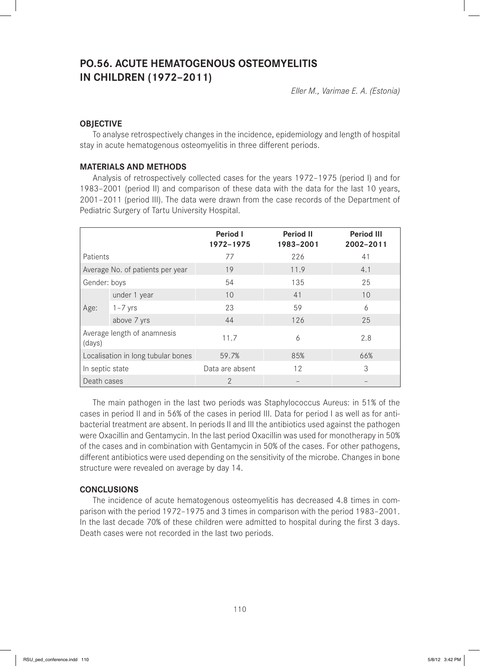# **PO.56. ACUTE HEMATOGENOUS OSTEOMYELITIS IN CHILDREN (1972–2011)**

*Eller M., Varimae E. A. (Estonia)*

# **OBJECTIVE**

To analyse retrospectively changes in the incidence, epidemiology and length of hospital stay in acute hematogenous osteomyelitis in three different periods.

## **MATERIALS AND METHODS**

Analysis of retrospectively collected cases for the years 1972–1975 (period I) and for 1983–2001 (period II) and comparison of these data with the data for the last 10 years, 2001–2011 (period III). The data were drawn from the case records of the Department of Pediatric Surgery of Tartu University Hospital.

|                                       |              | <b>Period I</b><br>1972-1975 | <b>Period II</b><br>1983-2001 | <b>Period III</b><br>2002-2011 |
|---------------------------------------|--------------|------------------------------|-------------------------------|--------------------------------|
| Patients                              |              | 77                           | 226                           | 41                             |
| Average No. of patients per year      |              | 19                           | 11.9                          | 4.1                            |
| Gender: boys                          |              | 54                           | 135                           | 25                             |
| Age:                                  | under 1 year | 10                           | 41                            | 10                             |
|                                       | $1 - 7$ yrs  | 23                           | 59                            | 6                              |
|                                       | above 7 yrs  | 44                           | 126                           | 25                             |
| Average length of anamnesis<br>(days) |              | 11.7                         | 6                             | 2.8                            |
| Localisation in long tubular bones    |              | 59.7%                        | 85%                           | 66%                            |
| In septic state                       |              | Data are absent              | 12                            | 3                              |
| Death cases                           |              | $\mathcal{P}$                |                               |                                |

The main pathogen in the last two periods was Staphylococcus Aureus: in 51% of the cases in period II and in 56% of the cases in period III. Data for period I as well as for antibacterial treatment are absent. In periods II and III the antibiotics used against the pathogen were Oxacillin and Gentamycin. In the last period Oxacillin was used for monotherapy in 50% of the cases and in combination with Gentamycin in 50% of the cases. For other pathogens, different antibiotics were used depending on the sensitivity of the microbe. Changes in bone structure were revealed on average by day 14.

# **CONCLUSIONS**

The incidence of acute hematogenous osteomyelitis has decreased 4.8 times in comparison with the period 1972–1975 and 3 times in comparison with the period 1983–2001. In the last decade 70% of these children were admitted to hospital during the first 3 days. Death cases were not recorded in the last two periods.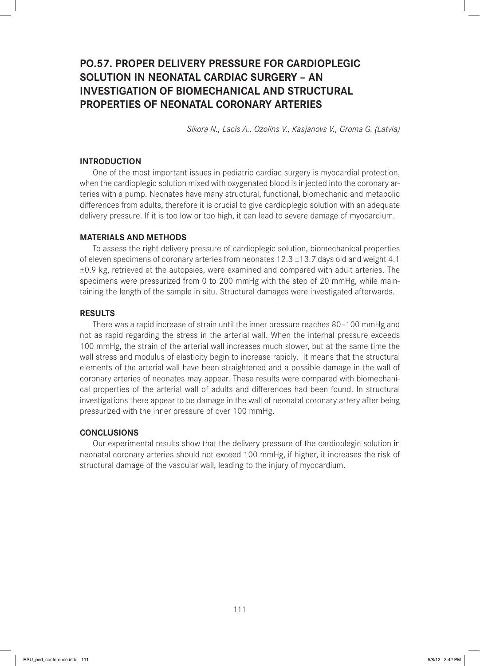# **PO.57. PROPER DELIVERY PRESSURE FOR CARDIOPLEGIC SOLUTION IN NEONATAL CARDIAC SURGERY – AN INVESTIGATION OF BIOMECHANICAL AND STRUCTURAL PROPERTIES OF NEONATAL CORONARY ARTERIES**

*Sikora N., Lacis A., Ozolins V., Kasjanovs V., Groma G. (Latvia)*

## **INTRODUCTION**

One of the most important issues in pediatric cardiac surgery is myocardial protection, when the cardioplegic solution mixed with oxygenated blood is injected into the coronary arteries with a pump. Neonates have many structural, functional, biomechanic and metabolic differences from adults, therefore it is crucial to give cardioplegic solution with an adequate delivery pressure. If it is too low or too high, it can lead to severe damage of myocardium.

### **MATERIALS AND METHODS**

To assess the right delivery pressure of cardioplegic solution, biomechanical properties of eleven specimens of coronary arteries from neonates  $12.3 \pm 13.7$  days old and weight 4.1  $\pm 0.9$  kg, retrieved at the autopsies, were examined and compared with adult arteries. The specimens were pressurized from 0 to 200 mmHg with the step of 20 mmHg, while maintaining the length of the sample in situ. Structural damages were investigated afterwards.

#### **RESULTS**

There was a rapid increase of strain until the inner pressure reaches 80–100 mmHg and not as rapid regarding the stress in the arterial wall. When the internal pressure exceeds 100 mmHg, the strain of the arterial wall increases much slower, but at the same time the wall stress and modulus of elasticity begin to increase rapidly. It means that the structural elements of the arterial wall have been straightened and a possible damage in the wall of coronary arteries of neonates may appear. These results were compared with biomechanical properties of the arterial wall of adults and differences had been found. In structural investigations there appear to be damage in the wall of neonatal coronary artery after being pressurized with the inner pressure of over 100 mmHg.

#### **CONCLUSIONS**

Our experimental results show that the delivery pressure of the cardioplegic solution in neonatal coronary arteries should not exceed 100 mmHg, if higher, it increases the risk of structural damage of the vascular wall, leading to the injury of myocardium.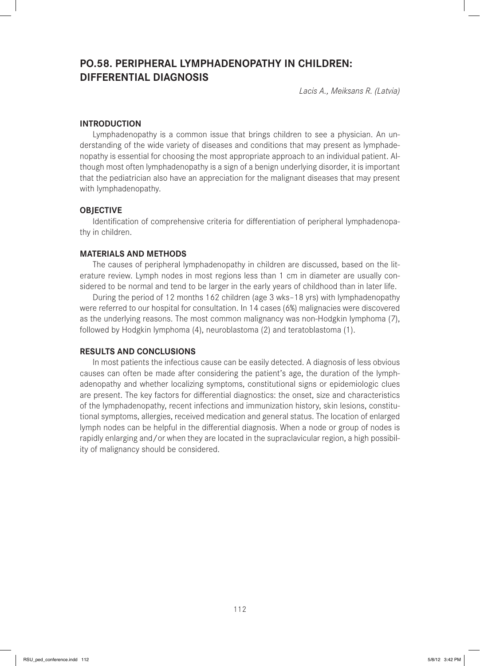# **PO.58. PERIPHERAL LYMPHADENOPATHY IN CHILDREN: DIFFERENTIAL DIAGNOSIS**

*Lacis A., Meiksans R. (Latvia)*

### **INTRODUCTION**

Lymphadenopathy is a common issue that brings children to see a physician. An understanding of the wide variety of diseases and conditions that may present as lymphadenopathy is essential for choosing the most appropriate approach to an individual patient. Although most often lymphadenopathy is a sign of a benign underlying disorder, it is important that the pediatrician also have an appreciation for the malignant diseases that may present with lymphadenopathy.

### **OBJECTIVE**

Identification of comprehensive criteria for differentiation of peripheral lymphadenopathy in children.

#### **MATERIALS AND METHODS**

The causes of peripheral lymphadenopathy in children are discussed, based on the literature review. Lymph nodes in most regions less than 1 cm in diameter are usually considered to be normal and tend to be larger in the early years of childhood than in later life.

During the period of 12 months 162 children (age 3 wks–18 yrs) with lymphadenopathy were referred to our hospital for consultation. In 14 cases (6%) malignacies were discovered as the underlying reasons. The most common malignancy was non-Hodgkin lymphoma (7), followed by Hodgkin lymphoma (4), neuroblastoma (2) and teratoblastoma (1).

### **RESULTS AND CONCLUSIONS**

In most patients the infectious cause can be easily detected. A diagnosis of less obvious causes can often be made after considering the patient's age, the duration of the lymphadenopathy and whether localizing symptoms, constitutional signs or epidemiologic clues are present. The key factors for differential diagnostics: the onset, size and characteristics of the lymphadenopathy, recent infections and immunization history, skin lesions, constitutional symptoms, allergies, received medication and general status. The location of enlarged lymph nodes can be helpful in the differential diagnosis. When a node or group of nodes is rapidly enlarging and/or when they are located in the supraclavicular region, a high possibility of malignancy should be considered.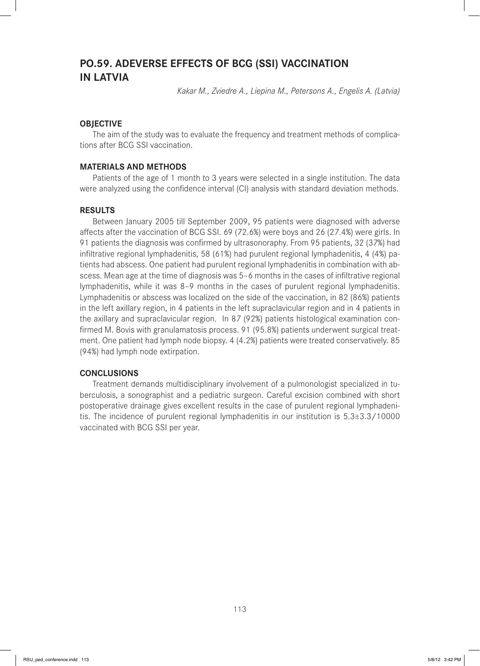# **PO.59. ADEVERSE EFFECTS OF BCG (SSI) VACCINATION IN LATVIA**

*Kakar M., Zviedre A., Liepina M., Petersons A., Engelis A. (Latvia)*

## **OBJECTIVE**

The aim of the study was to evaluate the frequency and treatment methods of complications after BCG SSI vaccination.

## **MATERIALS AND METHODS**

Patients of the age of 1 month to 3 years were selected in a single institution. The data were analyzed using the confidence interval (CI) analysis with standard deviation methods.

### **RESULTS**

Between January 2005 till September 2009, 95 patients were diagnosed with adverse affects after the vaccination of BCG SSI. 69 (72.6%) were boys and 26 (27.4%) were girls. In 91 patients the diagnosis was confirmed by ultrasonoraphy. From 95 patients, 32 (37%) had infiltrative regional lymphadenitis, 58 (61%) had purulent regional lymphadenitis, 4 (4%) patients had abscess. One patient had purulent regional lymphadenitis in combination with abscess. Mean age at the time of diagnosis was 5-6 months in the cases of infiltrative regional lymphadenitis, while it was 8–9 months in the cases of purulent regional lymphadenitis. Lymphadenitis or abscess was localized on the side of the vaccination, in 82 (86%) patients in the left axillary region, in 4 patients in the left supraclavicular region and in 4 patients in the axillary and supraclavicular region. In 87 (92%) patients histological examination confirmed M. Bovis with granulamatosis process. 91 (95.8%) patients underwent surgical treatment. One patient had lymph node biopsy. 4 (4.2%) patients were treated conservatively. 85 (94%) had lymph node extirpation.

### **CONCLUSIONS**

Treatment demands multidisciplinary involvement of a pulmonologist specialized in tuberculosis, a sonographist and a pediatric surgeon. Careful excision combined with short postoperative drainage gives excellent results in the case of purulent regional lymphadenitis. The incidence of purulent regional lymphadenitis in our institution is  $5.3\pm3.3/10000$ vaccinated with BCG SSI per year.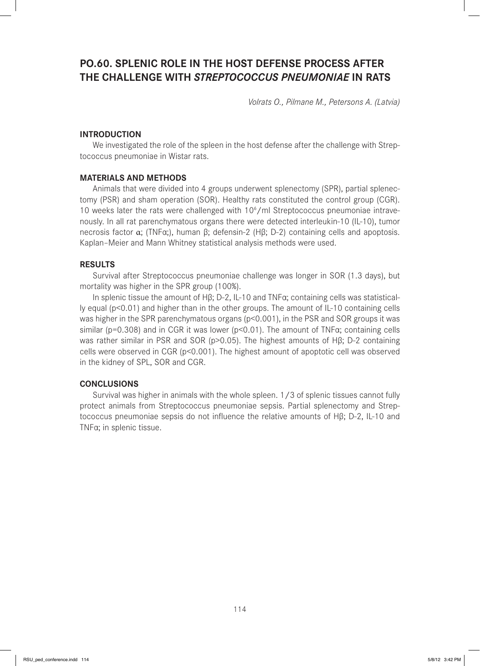# **PO.60. SPLENIC ROLE IN THE HOST DEFENSE PROCESS AFTER THE CHALLENGE WITH** *STREPTOCOCCUS PNEUMONIAE* **IN RATS**

*Volrats O., Pilmane M., Petersons A. (Latvia)*

## **INTRODUCTION**

We investigated the role of the spleen in the host defense after the challenge with Streptococcus pneumoniae in Wistar rats.

### **MATERIALS AND METHODS**

Animals that were divided into 4 groups underwent splenectomy (SPR), partial splenectomy (PSR) and sham operation (SOR). Healthy rats constituted the control group (CGR). 10 weeks later the rats were challenged with 10<sup>6</sup>/ml Streptococcus pneumoniae intravenously. In all rat parenchymatous organs there were detected interleukin-10 (IL-10), tumor necrosis factor α; (TNFα;), human β; defensin-2 (Hβ; D-2) containing cells and apoptosis. Kaplan–Meier and Mann Whitney statistical analysis methods were used.

### **RESULTS**

Survival after Streptococcus pneumoniae challenge was longer in SOR (1.3 days), but mortality was higher in the SPR group (100%).

In splenic tissue the amount of Hβ; D-2, IL-10 and TNFα; containing cells was statistically equal (p<0.01) and higher than in the other groups. The amount of IL-10 containing cells was higher in the SPR parenchymatous organs  $(p<0.001)$ , in the PSR and SOR groups it was similar (p=0.308) and in CGR it was lower (p<0.01). The amount of TNFα; containing cells was rather similar in PSR and SOR (p>0.05). The highest amounts of Hβ; D-2 containing cells were observed in CGR (p<0.001). The highest amount of apoptotic cell was observed in the kidney of SPL, SOR and CGR.

#### **CONCLUSIONS**

Survival was higher in animals with the whole spleen. 1/3 of splenic tissues cannot fully protect animals from Streptococcus pneumoniae sepsis. Partial splenectomy and Streptococcus pneumoniae sepsis do not influence the relative amounts of Hβ; D-2, IL-10 and TNFα; in splenic tissue.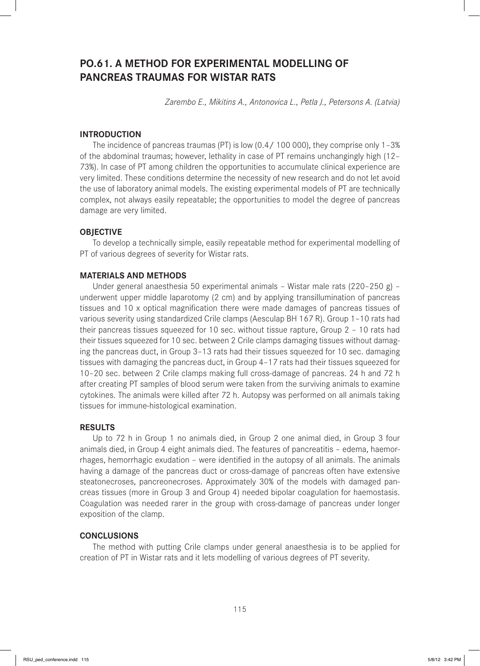# **PO.61. A METHOD FOR EXPERIMENTAL MODELLING OF PANCREAS TRAUMAS FOR WISTAR RATS**

*Zarembo E., Mikitins A., Antonovica L., Petla J., Petersons A. (Latvia)*

# **INTRODUCTION**

The incidence of pancreas traumas (PT) is low (0.4/ 100 000), they comprise only 1–3% of the abdominal traumas; however, lethality in case of PT remains unchangingly high (12– 73%). In case of PT among children the opportunities to accumulate clinical experience are very limited. These conditions determine the necessity of new research and do not let avoid the use of laboratory animal models. The existing experimental models of PT are technically complex, not always easily repeatable; the opportunities to model the degree of pancreas damage are very limited.

## **OBJECTIVE**

To develop a technically simple, easily repeatable method for experimental modelling of PT of various degrees of severity for Wistar rats.

### **MATERIALS AND METHODS**

Under general anaesthesia 50 experimental animals – Wistar male rats (220–250 g) – underwent upper middle laparotomy (2 cm) and by applying transillumination of pancreas tissues and 10 x optical magnification there were made damages of pancreas tissues of various severity using standardized Crile clamps (Aesculap BH 167 R). Group 1–10 rats had their pancreas tissues squeezed for 10 sec. without tissue rapture, Group 2 – 10 rats had their tissues squeezed for 10 sec. between 2 Crile clamps damaging tissues without damaging the pancreas duct, in Group 3–13 rats had their tissues squeezed for 10 sec. damaging tissues with damaging the pancreas duct, in Group 4–17 rats had their tissues squeezed for 10–20 sec. between 2 Crile clamps making full cross-damage of pancreas. 24 h and 72 h after creating PT samples of blood serum were taken from the surviving animals to examine cytokines. The animals were killed after 72 h. Autopsy was performed on all animals taking tissues for immune-histological examination.

### **RESULTS**

Up to 72 h in Group 1 no animals died, in Group 2 one animal died, in Group 3 four animals died, in Group 4 eight animals died. The features of pancreatitis – edema, haemorrhages, hemorrhagic exudation - were identified in the autopsy of all animals. The animals having a damage of the pancreas duct or cross-damage of pancreas often have extensive steatonecroses, pancreonecroses. Approximately 30% of the models with damaged pancreas tissues (more in Group 3 and Group 4) needed bipolar coagulation for haemostasis. Coagulation was needed rarer in the group with cross-damage of pancreas under longer exposition of the clamp.

### **CONCLUSIONS**

The method with putting Crile clamps under general anaesthesia is to be applied for creation of PT in Wistar rats and it lets modelling of various degrees of PT severity.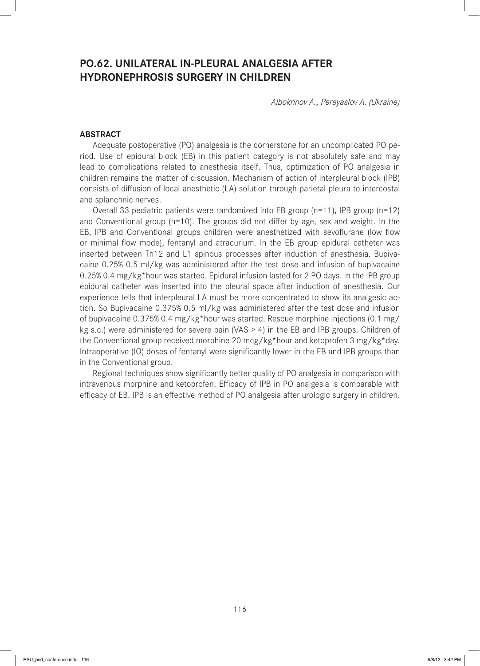# **PO.62. UNILATERAL IN-PLEURAL ANALGESIA AFTER HYDRONEPHROSIS SURGERY IN CHILDREN**

*Albokrinov A., Pereyaslov A. (Ukraine)*

## **ABSTRACT**

Adequate postoperative (PO) analgesia is the cornerstone for an uncomplicated PO period. Use of epidural block (EB) in this patient category is not absolutely safe and may lead to complications related to anesthesia itself. Thus, optimization of PO analgesia in children remains the matter of discussion. Mechanism of action of interpleural block (IPB) consists of diffusion of local anesthetic (LA) solution through parietal pleura to intercostal and splanchnic nerves.

Overall 33 pediatric patients were randomized into EB group (n=11), IPB group (n=12) and Conventional group ( $n=10$ ). The groups did not differ by age, sex and weight. In the EB, IPB and Conventional groups children were anesthetized with sevoflurane (low flow or minimal flow mode), fentanyl and atracurium. In the EB group epidural catheter was inserted between Th12 and L1 spinous processes after induction of anesthesia. Bupivacaine 0.25% 0.5 ml/kg was administered after the test dose and infusion of bupivacaine 0.25% 0.4 mg/kg\*hour was started. Epidural infusion lasted for 2 PO days. In the IPB group epidural catheter was inserted into the pleural space after induction of anesthesia. Our experience tells that interpleural LA must be more concentrated to show its analgesic action. So Bupivacaine 0.375% 0.5 ml/kg was administered after the test dose and infusion of bupivacaine 0.375% 0.4 mg/kg\*hour was started. Rescue morphine injections (0.1 mg/ kg s.c.) were administered for severe pain (VAS > 4) in the EB and IPB groups. Children of the Conventional group received morphine 20 mcg/kg\*hour and ketoprofen 3 mg/kg\*day. Intraoperative (IO) doses of fentanyl were significantly lower in the EB and IPB groups than in the Conventional group.

Regional techniques show significantly better quality of PO analgesia in comparison with intravenous morphine and ketoprofen. Efficacy of IPB in PO analgesia is comparable with efficacy of EB. IPB is an effective method of PO analgesia after urologic surgery in children.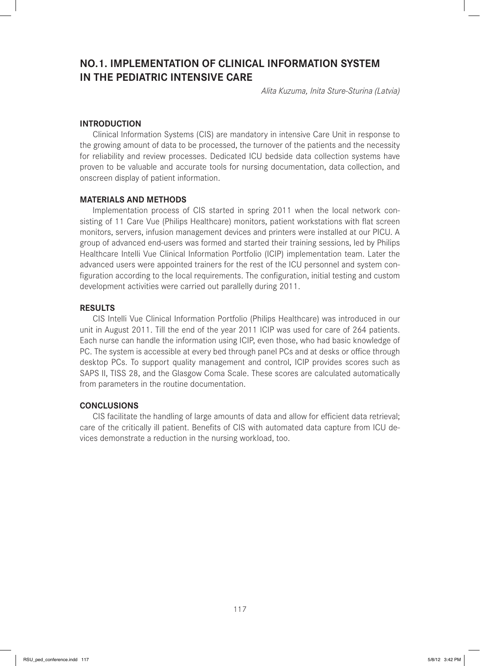# **NO.1. IMPLEMENTATION OF CLINICAL INFORMATION SYSTEM IN THE PEDIATRIC INTENSIVE CARE**

*Alita Kuzuma, Inita Sture-Sturina (Latvia)*

## **INTRODUCTION**

Clinical Information Systems (CIS) are mandatory in intensive Care Unit in response to the growing amount of data to be processed, the turnover of the patients and the necessity for reliability and review processes. Dedicated ICU bedside data collection systems have proven to be valuable and accurate tools for nursing documentation, data collection, and onscreen display of patient information.

### **MATERIALS AND METHODS**

Implementation process of CIS started in spring 2011 when the local network consisting of 11 Care Vue (Philips Healthcare) monitors, patient workstations with flat screen monitors, servers, infusion management devices and printers were installed at our PICU. A group of advanced end-users was formed and started their training sessions, led by Philips Healthcare Intelli Vue Clinical Information Portfolio (ICIP) implementation team. Later the advanced users were appointed trainers for the rest of the ICU personnel and system configuration according to the local requirements. The configuration, initial testing and custom development activities were carried out parallelly during 2011.

### **RESULTS**

CIS Intelli Vue Clinical Information Portfolio (Philips Healthcare) was introduced in our unit in August 2011. Till the end of the year 2011 ICIP was used for care of 264 patients. Each nurse can handle the information using ICIP, even those, who had basic knowledge of PC. The system is accessible at every bed through panel PCs and at desks or office through desktop PCs. To support quality management and control, ICIP provides scores such as SAPS II, TISS 28, and the Glasgow Coma Scale. These scores are calculated automatically from parameters in the routine documentation.

### **CONCLUSIONS**

CIS facilitate the handling of large amounts of data and allow for efficient data retrieval; care of the critically ill patient. Benefits of CIS with automated data capture from ICU devices demonstrate a reduction in the nursing workload, too.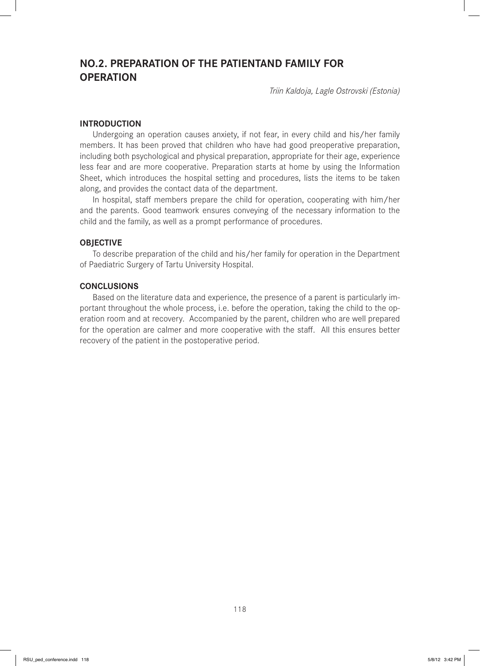# **NO.2. PREPARATION OF THE PATIENTAND FAMILY FOR OPERATION**

*Triin Kaldoja, Lagle Ostrovski (Estonia)*

## **INTRODUCTION**

Undergoing an operation causes anxiety, if not fear, in every child and his/her family members. It has been proved that children who have had good preoperative preparation, including both psychological and physical preparation, appropriate for their age, experience less fear and are more cooperative. Preparation starts at home by using the Information Sheet, which introduces the hospital setting and procedures, lists the items to be taken along, and provides the contact data of the department.

In hospital, staff members prepare the child for operation, cooperating with him/her and the parents. Good teamwork ensures conveying of the necessary information to the child and the family, as well as a prompt performance of procedures.

### **OBJECTIVE**

To describe preparation of the child and his/her family for operation in the Department of Paediatric Surgery of Tartu University Hospital.

### **CONCLUSIONS**

Based on the literature data and experience, the presence of a parent is particularly important throughout the whole process, i.e. before the operation, taking the child to the operation room and at recovery. Accompanied by the parent, children who are well prepared for the operation are calmer and more cooperative with the staff. All this ensures better recovery of the patient in the postoperative period.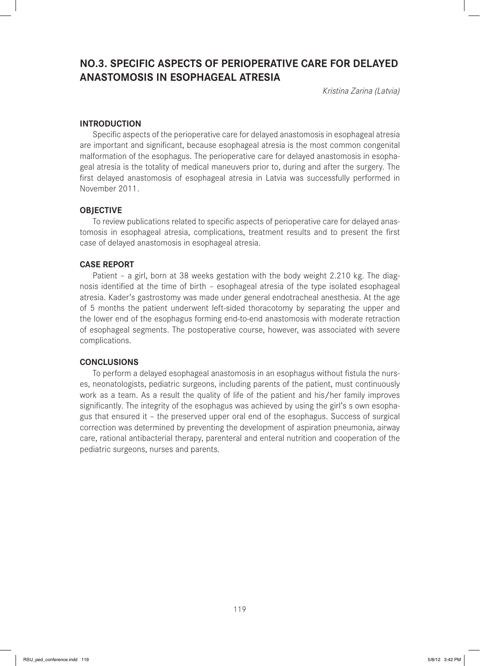# **NO.3. SPECIFIC ASPECTS OF PERIOPERATIVE CARE FOR DELAYED ANASTOMOSIS IN ESOPHAGEAL ATRESIA**

*Kristina Zarina (Latvia)*

## **INTRODUCTION**

Specific aspects of the perioperative care for delayed anastomosis in esophageal atresia are important and significant, because esophageal atresia is the most common congenital malformation of the esophagus. The perioperative care for delayed anastomosis in esophageal atresia is the totality of medical maneuvers prior to, during and after the surgery. The first delayed anastomosis of esophageal atresia in Latvia was successfully performed in November 2011.

## **OBJECTIVE**

To review publications related to specific aspects of perioperative care for delayed anastomosis in esophageal atresia, complications, treatment results and to present the first case of delayed anastomosis in esophageal atresia.

## **CASE REPORT**

Patient – a girl, born at 38 weeks gestation with the body weight 2.210 kg. The diagnosis identified at the time of birth – esophageal atresia of the type isolated esophageal atresia. Kader's gastrostomy was made under general endotracheal anesthesia. At the age of 5 months the patient underwent left-sided thoracotomy by separating the upper and the lower end of the esophagus forming end-to-end anastomosis with moderate retraction of esophageal segments. The postoperative course, however, was associated with severe complications.

## **CONCLUSIONS**

To perform a delayed esophageal anastomosis in an esophagus without fistula the nurses, neonatologists, pediatric surgeons, including parents of the patient, must continuously work as a team. As a result the quality of life of the patient and his/her family improves significantly. The integrity of the esophagus was achieved by using the girl's s own esophagus that ensured it – the preserved upper oral end of the esophagus. Success of surgical correction was determined by preventing the development of aspiration pneumonia, airway care, rational antibacterial therapy, parenteral and enteral nutrition and cooperation of the pediatric surgeons, nurses and parents.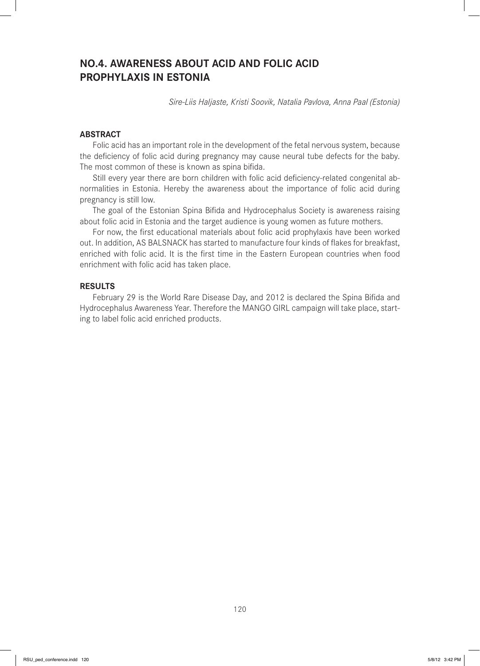# **NO.4. AWARENESS ABOUT ACID AND FOLIC ACID PROPHYLAXIS IN ESTONIA**

*Sire-Liis Haljaste, Kristi Soovik, Natalia Pavlova, Anna Paal (Estonia)*

# **ABSTRACT**

Folic acid has an important role in the development of the fetal nervous system, because the deficiency of folic acid during pregnancy may cause neural tube defects for the baby. The most common of these is known as spina bifida.

Still every year there are born children with folic acid deficiency-related congenital abnormalities in Estonia. Hereby the awareness about the importance of folic acid during pregnancy is still low.

The goal of the Estonian Spina Bifida and Hydrocephalus Society is awareness raising about folic acid in Estonia and the target audience is young women as future mothers.

For now, the first educational materials about folic acid prophylaxis have been worked out. In addition, AS BALSNACK has started to manufacture four kinds of flakes for breakfast, enriched with folic acid. It is the first time in the Eastern European countries when food enrichment with folic acid has taken place.

#### **RESULTS**

February 29 is the World Rare Disease Day, and 2012 is declared the Spina Bifida and Hydrocephalus Awareness Year. Therefore the MANGO GIRL campaign will take place, starting to label folic acid enriched products.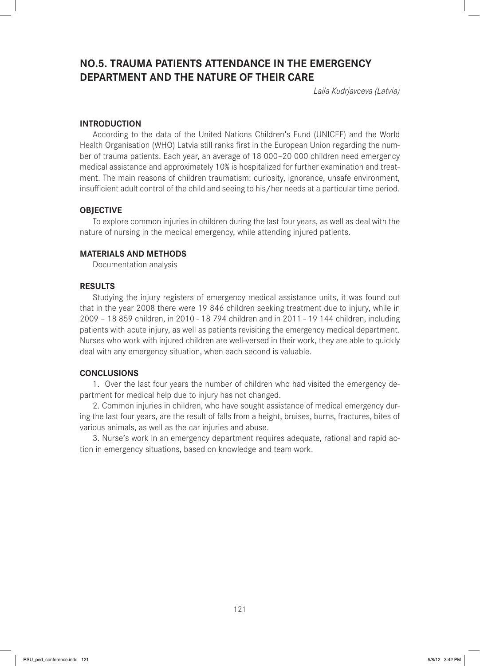# **NO.5. TRAUMA PATIENTS ATTENDANCE IN THE EMERGENCY DEPARTMENT AND THE NATURE OF THEIR CARE**

*Laila Kudrjavceva (Latvia)*

### **INTRODUCTION**

According to the data of the United Nations Children's Fund (UNICEF) and the World Health Organisation (WHO) Latvia still ranks first in the European Union regarding the number of trauma patients. Each year, an average of 18 000–20 000 children need emergency medical assistance and approximately 10% is hospitalized for further examination and treatment. The main reasons of children traumatism: curiosity, ignorance, unsafe environment, insufficient adult control of the child and seeing to his/her needs at a particular time period.

### **OBJECTIVE**

To explore common injuries in children during the last four years, as well as deal with the nature of nursing in the medical emergency, while attending injured patients.

## **MATERIALS AND METHODS**

Documentation analysis

#### **RESULTS**

Studying the injury registers of emergency medical assistance units, it was found out that in the year 2008 there were 19 846 children seeking treatment due to injury, while in 2009 – 18 859 children, in 2010 - 18 794 children and in 2011 - 19 144 children, including patients with acute injury, as well as patients revisiting the emergency medical department. Nurses who work with injured children are well-versed in their work, they are able to quickly deal with any emergency situation, when each second is valuable.

### **CONCLUSIONS**

1. Over the last four years the number of children who had visited the emergency department for medical help due to injury has not changed.

2. Common injuries in children, who have sought assistance of medical emergency during the last four years, are the result of falls from a height, bruises, burns, fractures, bites of various animals, as well as the car injuries and abuse.

3. Nurse's work in an emergency department requires adequate, rational and rapid action in emergency situations, based on knowledge and team work.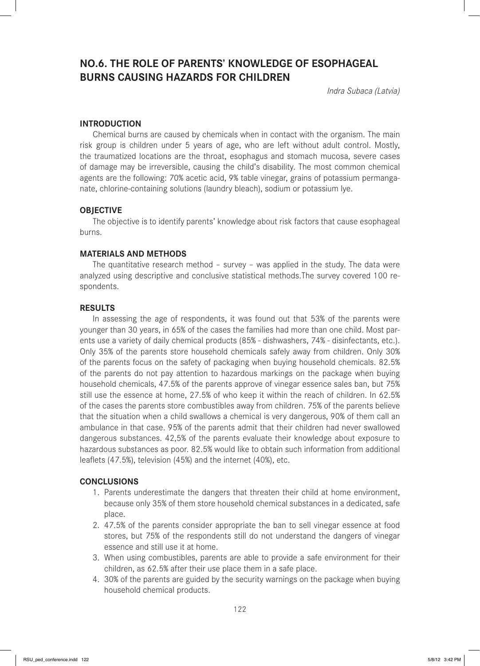# **NO.6. THE ROLE OF PARENTS' KNOWLEDGE OF ESOPHAGEAL BURNS CAUSING HAZARDS FOR CHILDREN**

*Indra Subaca (Latvia)*

## **INTRODUCTION**

Chemical burns are caused by chemicals when in contact with the organism. The main risk group is children under 5 years of age, who are left without adult control. Mostly, the traumatized locations are the throat, esophagus and stomach mucosa, severe cases of damage may be irreversible, causing the child's disability. The most common chemical agents are the following: 70% acetic acid, 9% table vinegar, grains of potassium permanganate, chlorine-containing solutions (laundry bleach), sodium or potassium lye.

## **OBJECTIVE**

The objective is to identify parents' knowledge about risk factors that cause esophageal burns.

## **MATERIALS AND METHODS**

The quantitative research method – survey – was applied in the study. The data were analyzed using descriptive and conclusive statistical methods.The survey covered 100 respondents.

## **RESULTS**

In assessing the age of respondents, it was found out that 53% of the parents were younger than 30 years, in 65% of the cases the families had more than one child. Most parents use a variety of daily chemical products (85% - dishwashers, 74% - disinfectants, etc.). Only 35% of the parents store household chemicals safely away from children. Only 30% of the parents focus on the safety of packaging when buying household chemicals. 82.5% of the parents do not pay attention to hazardous markings on the package when buying household chemicals, 47.5% of the parents approve of vinegar essence sales ban, but 75% still use the essence at home, 27.5% of who keep it within the reach of children. In 62.5% of the cases the parents store combustibles away from children. 75% of the parents believe that the situation when a child swallows a chemical is very dangerous, 90% of them call an ambulance in that case. 95% of the parents admit that their children had never swallowed dangerous substances. 42,5% of the parents evaluate their knowledge about exposure to hazardous substances as poor. 82.5% would like to obtain such information from additional leaflets (47.5%), television (45%) and the internet (40%), etc.

## **CONCLUSIONS**

- 1. Parents underestimate the dangers that threaten their child at home environment, because only 35% of them store household chemical substances in a dedicated, safe place.
- 2. 47.5% of the parents consider appropriate the ban to sell vinegar essence at food stores, but 75% of the respondents still do not understand the dangers of vinegar essence and still use it at home.
- 3. When using combustibles, parents are able to provide a safe environment for their children, as 62.5% after their use place them in a safe place.
- 4. 30% of the parents are guided by the security warnings on the package when buying household chemical products.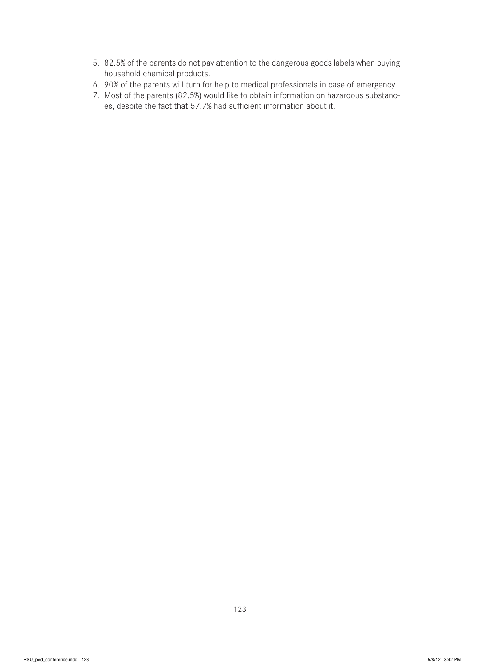- 5. 82.5% of the parents do not pay attention to the dangerous goods labels when buying household chemical products.
- 6. 90% of the parents will turn for help to medical professionals in case of emergency.
- 7. Most of the parents (82.5%) would like to obtain information on hazardous substances, despite the fact that 57.7% had sufficient information about it.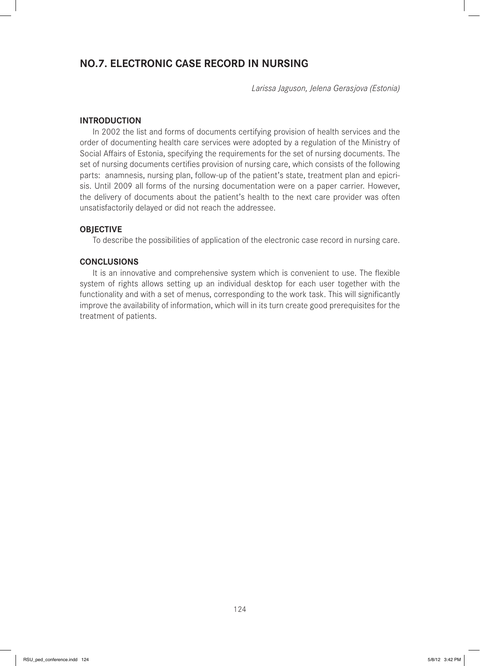# **NO.7. ELECTRONIC CASE RECORD IN NURSING**

*Larissa Jaguson, Jelena Gerasjova (Estonia)*

## **INTRODUCTION**

In 2002 the list and forms of documents certifying provision of health services and the order of documenting health care services were adopted by a regulation of the Ministry of Social Affairs of Estonia, specifying the requirements for the set of nursing documents. The set of nursing documents certifies provision of nursing care, which consists of the following parts: anamnesis, nursing plan, follow-up of the patient's state, treatment plan and epicrisis. Until 2009 all forms of the nursing documentation were on a paper carrier. However, the delivery of documents about the patient's health to the next care provider was often unsatisfactorily delayed or did not reach the addressee.

## **OBJECTIVE**

To describe the possibilities of application of the electronic case record in nursing care.

### **CONCLUSIONS**

It is an innovative and comprehensive system which is convenient to use. The flexible system of rights allows setting up an individual desktop for each user together with the functionality and with a set of menus, corresponding to the work task. This will significantly improve the availability of information, which will in its turn create good prerequisites for the treatment of patients.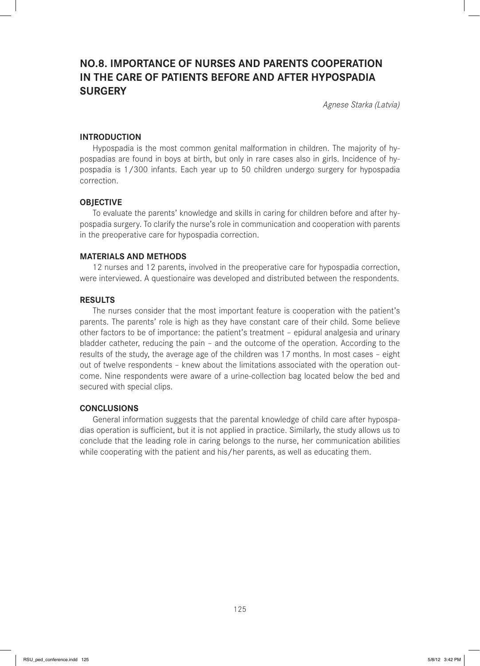# **NO.8. IMPORTANCE OF NURSES AND PARENTS COOPERATION IN THE CARE OF PATIENTS BEFORE AND AFTER HYPOSPADIA SURGERY**

*Agnese Starka (Latvia)*

### **INTRODUCTION**

Hypospadia is the most common genital malformation in children. The majority of hypospadias are found in boys at birth, but only in rare cases also in girls. Incidence of hypospadia is 1/300 infants. Each year up to 50 children undergo surgery for hypospadia correction.

### **OBJECTIVE**

To evaluate the parents' knowledge and skills in caring for children before and after hypospadia surgery. To clarify the nurse's role in communication and cooperation with parents in the preoperative care for hypospadia correction.

### **MATERIALS AND METHODS**

12 nurses and 12 parents, involved in the preoperative care for hypospadia correction, were interviewed. A questionaire was developed and distributed between the respondents.

#### **RESULTS**

The nurses consider that the most important feature is cooperation with the patient's parents. The parents' role is high as they have constant care of their child. Some believe other factors to be of importance: the patient's treatment – epidural analgesia and urinary bladder catheter, reducing the pain – and the outcome of the operation. According to the results of the study, the average age of the children was 17 months. In most cases – eight out of twelve respondents – knew about the limitations associated with the operation outcome. Nine respondents were aware of a urine-collection bag located below the bed and secured with special clips.

### **CONCLUSIONS**

General information suggests that the parental knowledge of child care after hypospadias operation is sufficient, but it is not applied in practice. Similarly, the study allows us to conclude that the leading role in caring belongs to the nurse, her communication abilities while cooperating with the patient and his/her parents, as well as educating them.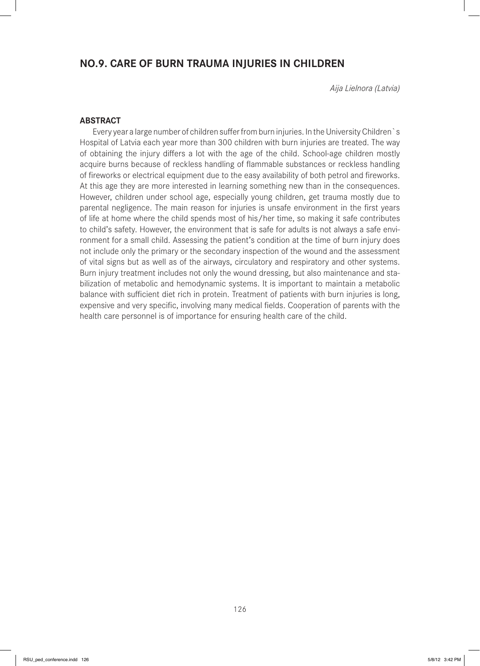# **NO.9. CARE OF BURN TRAUMA INJURIES IN CHILDREN**

*Aija Lielnora (Latvia)*

## **ABSTRACT**

Every year a large number of children suffer from burn injuries. In the University Children`s Hospital of Latvia each year more than 300 children with burn injuries are treated. The way of obtaining the injury differs a lot with the age of the child. School-age children mostly acquire burns because of reckless handling of flammable substances or reckless handling of fireworks or electrical equipment due to the easy availability of both petrol and fireworks. At this age they are more interested in learning something new than in the consequences. However, children under school age, especially young children, get trauma mostly due to parental negligence. The main reason for injuries is unsafe environment in the first years of life at home where the child spends most of his/her time, so making it safe contributes to child's safety. However, the environment that is safe for adults is not always a safe environment for a small child. Assessing the patient's condition at the time of burn injury does not include only the primary or the secondary inspection of the wound and the assessment of vital signs but as well as of the airways, circulatory and respiratory and other systems. Burn injury treatment includes not only the wound dressing, but also maintenance and stabilization of metabolic and hemodynamic systems. It is important to maintain a metabolic balance with sufficient diet rich in protein. Treatment of patients with burn injuries is long, expensive and very specific, involving many medical fields. Cooperation of parents with the health care personnel is of importance for ensuring health care of the child.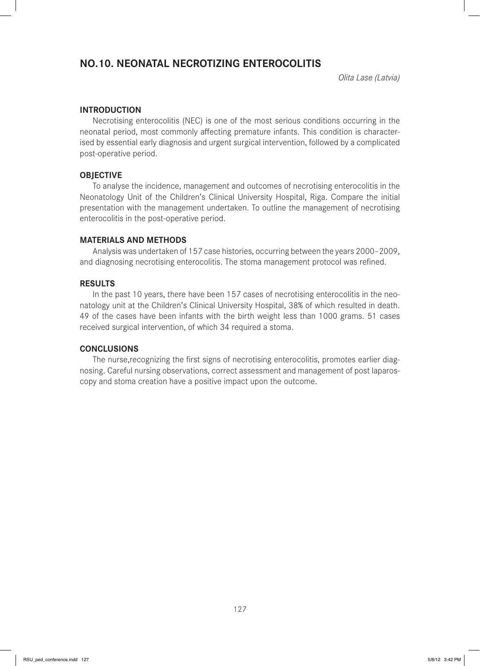# **NO.10. NEONATAL NECROTIZING ENTEROCOLITIS**

*Olita Lase (Latvia)*

## **INTRODUCTION**

Necrotising enterocolitis (NEC) is one of the most serious conditions occurring in the neonatal period, most commonly affecting premature infants. This condition is characterised by essential early diagnosis and urgent surgical intervention, followed by a complicated post-operative period.

## **OBJECTIVE**

To analyse the incidence, management and outcomes of necrotising enterocolitis in the Neonatology Unit of the Children's Clinical University Hospital, Riga. Compare the initial presentation with the management undertaken. To outline the management of necrotising enterocolitis in the post-operative period.

## **MATERIALS AND METHODS**

Analysis was undertaken of 157 case histories, occurring between the years 2000–2009, and diagnosing necrotising enterocolitis. The stoma management protocol was refined.

#### **RESULTS**

In the past 10 years, there have been 157 cases of necrotising enterocolitis in the neonatology unit at the Children's Clinical University Hospital, 38% of which resulted in death. 49 of the cases have been infants with the birth weight less than 1000 grams. 51 cases received surgical intervention, of which 34 required a stoma.

### **CONCLUSIONS**

The nurse, recognizing the first signs of necrotising enterocolitis, promotes earlier diagnosing. Careful nursing observations, correct assessment and management of post laparoscopy and stoma creation have a positive impact upon the outcome.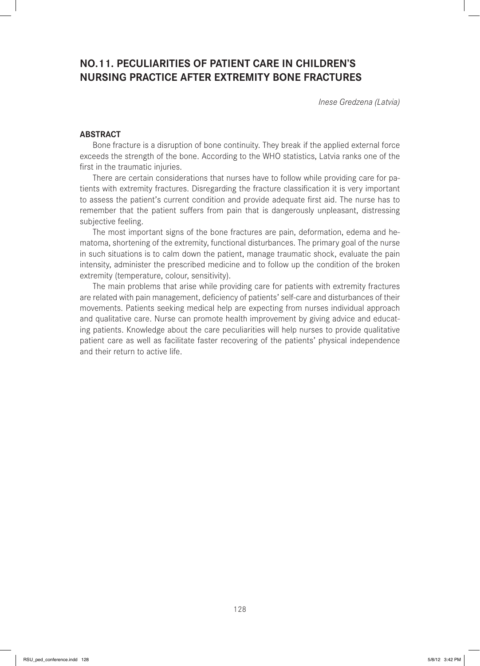# **NO.11. PECULIARITIES OF PATIENT CARE IN CHILDREN'S NURSING PRACTICE AFTER EXTREMITY BONE FRACTURES**

*Inese Gredzena (Latvia)*

## **ABSTRACT**

Bone fracture is a disruption of bone continuity. They break if the applied external force exceeds the strength of the bone. According to the WHO statistics, Latvia ranks one of the first in the traumatic injuries.

There are certain considerations that nurses have to follow while providing care for patients with extremity fractures. Disregarding the fracture classification it is very important to assess the patient's current condition and provide adequate first aid. The nurse has to remember that the patient suffers from pain that is dangerously unpleasant, distressing subjective feeling.

The most important signs of the bone fractures are pain, deformation, edema and hematoma, shortening of the extremity, functional disturbances. The primary goal of the nurse in such situations is to calm down the patient, manage traumatic shock, evaluate the pain intensity, administer the prescribed medicine and to follow up the condition of the broken extremity (temperature, colour, sensitivity).

The main problems that arise while providing care for patients with extremity fractures are related with pain management, deficiency of patients' self-care and disturbances of their movements. Patients seeking medical help are expecting from nurses individual approach and qualitative care. Nurse can promote health improvement by giving advice and educating patients. Knowledge about the care peculiarities will help nurses to provide qualitative patient care as well as facilitate faster recovering of the patients' physical independence and their return to active life.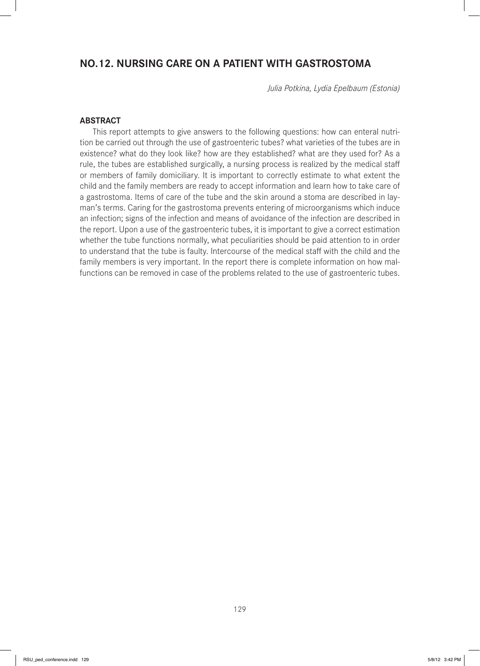# **NO.12. NURSING CARE ON A PATIENT WITH GASTROSTOMA**

*Julia Potkina, Lydia Epelbaum (Estonia)*

### **ABSTRACT**

This report attempts to give answers to the following questions: how can enteral nutrition be carried out through the use of gastroenteric tubes? what varieties of the tubes are in existence? what do they look like? how are they established? what are they used for? As a rule, the tubes are established surgically, a nursing process is realized by the medical staff or members of family domiciliary. It is important to correctly estimate to what extent the child and the family members are ready to accept information and learn how to take care of a gastrostoma. Items of care of the tube and the skin around a stoma are described in layman's terms. Caring for the gastrostoma prevents entering of microorganisms which induce an infection; signs of the infection and means of avoidance of the infection are described in the report. Upon a use of the gastroenteric tubes, it is important to give a correct estimation whether the tube functions normally, what peculiarities should be paid attention to in order to understand that the tube is faulty. Intercourse of the medical staff with the child and the family members is very important. In the report there is complete information on how malfunctions can be removed in case of the problems related to the use of gastroenteric tubes.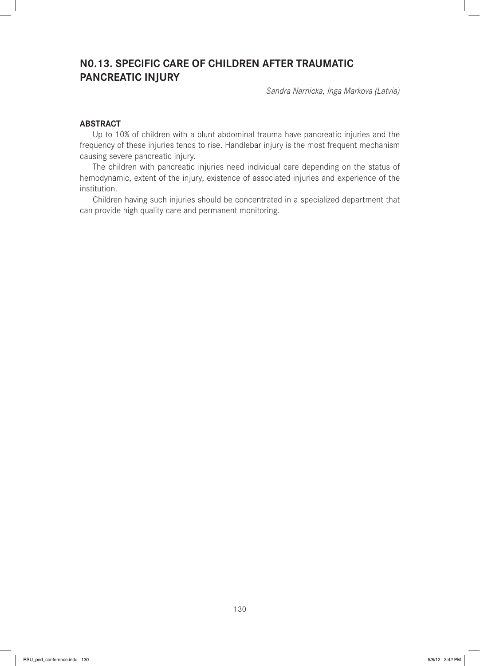# **N0.13. SPECIFIC CARE OF CHILDREN AFTER TRAUMATIC PANCREATIC INJURY**

*Sandra Narnicka, Inga Markova (Latvia)*

### **ABSTRACT**

Up to 10% of children with a blunt abdominal trauma have pancreatic injuries and the frequency of these injuries tends to rise. Handlebar injury is the most frequent mechanism causing severe pancreatic injury.

The children with pancreatic injuries need individual care depending on the status of hemodynamic, extent of the injury, existence of associated injuries and experience of the institution.

Children having such injuries should be concentrated in a specialized department that can provide high quality care and permanent monitoring.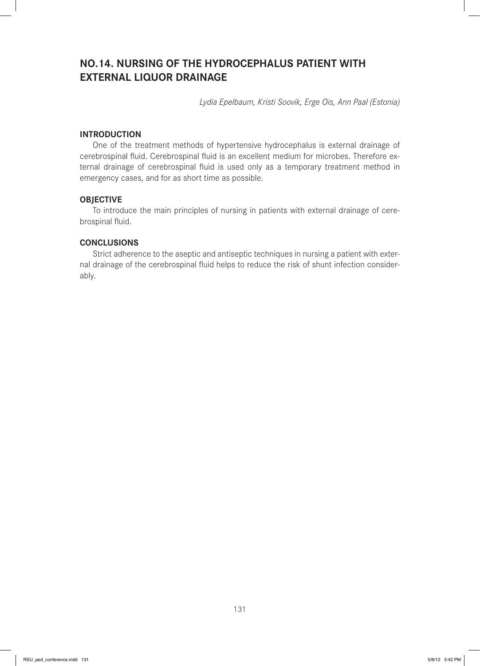# **NO.14. NURSING OF THE HYDROCEPHALUS PATIENT WITH EXTERNAL LIQUOR DRAINAGE**

*Lydia Epelbaum, Kristi Soovik, Erge Ois, Ann Paal (Estonia)*

# **INTRODUCTION**

One of the treatment methods of hypertensive hydrocephalus is external drainage of cerebrospinal fluid. Cerebrospinal fluid is an excellent medium for microbes. Therefore external drainage of cerebrospinal fluid is used only as a temporary treatment method in emergency cases, and for as short time as possible.

## **OBJECTIVE**

To introduce the main principles of nursing in patients with external drainage of cerebrospinal fluid.

## **CONCLUSIONS**

Strict adherence to the aseptic and antiseptic techniques in nursing a patient with external drainage of the cerebrospinal fluid helps to reduce the risk of shunt infection considerably.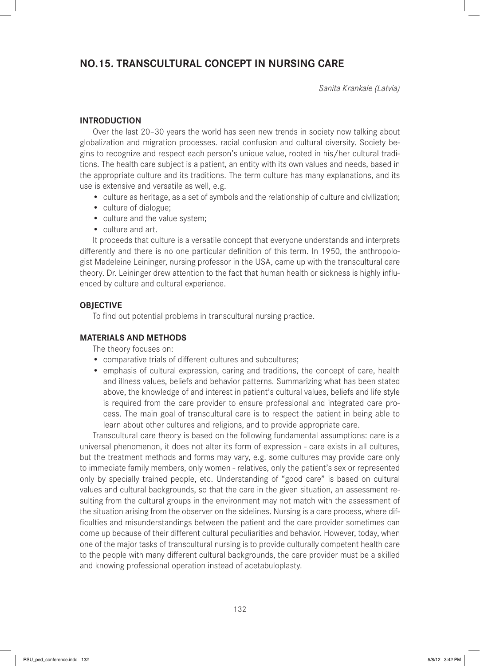# **NO.15. TRANSCULTURAL CONCEPT IN NURSING CARE**

*Sanita Krankale (Latvia)*

# **INTRODUCTION**

Over the last 20–30 years the world has seen new trends in society now talking about globalization and migration processes. racial confusion and cultural diversity. Society begins to recognize and respect each person's unique value, rooted in his/her cultural traditions. The health care subject is a patient, an entity with its own values and needs, based in the appropriate culture and its traditions. The term culture has many explanations, and its use is extensive and versatile as well, e.g.

- culture as heritage, as a set of symbols and the relationship of culture and civilization;
- culture of dialogue;
- culture and the value system;
- culture and art.

It proceeds that culture is a versatile concept that everyone understands and interprets differently and there is no one particular definition of this term. In 1950, the anthropologist Madeleine Leininger, nursing professor in the USA, came up with the transcultural care theory. Dr. Leininger drew attention to the fact that human health or sickness is highly influenced by culture and cultural experience.

# **OBJECTIVE**

To find out potential problems in transcultural nursing practice.

# **MATERIALS AND METHODS**

The theory focuses on:

- comparative trials of different cultures and subcultures;
- emphasis of cultural expression, caring and traditions, the concept of care, health and illness values, beliefs and behavior patterns. Summarizing what has been stated above, the knowledge of and interest in patient's cultural values, beliefs and life style is required from the care provider to ensure professional and integrated care process. The main goal of transcultural care is to respect the patient in being able to learn about other cultures and religions, and to provide appropriate care.

Transcultural care theory is based on the following fundamental assumptions: care is a universal phenomenon, it does not alter its form of expression - care exists in all cultures, but the treatment methods and forms may vary, e.g. some cultures may provide care only to immediate family members, only women - relatives, only the patient's sex or represented only by specially trained people, etc. Understanding of "good care" is based on cultural values and cultural backgrounds, so that the care in the given situation, an assessment resulting from the cultural groups in the environment may not match with the assessment of the situation arising from the observer on the sidelines. Nursing is a care process, where difficulties and misunderstandings between the patient and the care provider sometimes can come up because of their different cultural peculiarities and behavior. However, today, when one of the major tasks of transcultural nursing is to provide culturally competent health care to the people with many different cultural backgrounds, the care provider must be a skilled and knowing professional operation instead of acetabuloplasty.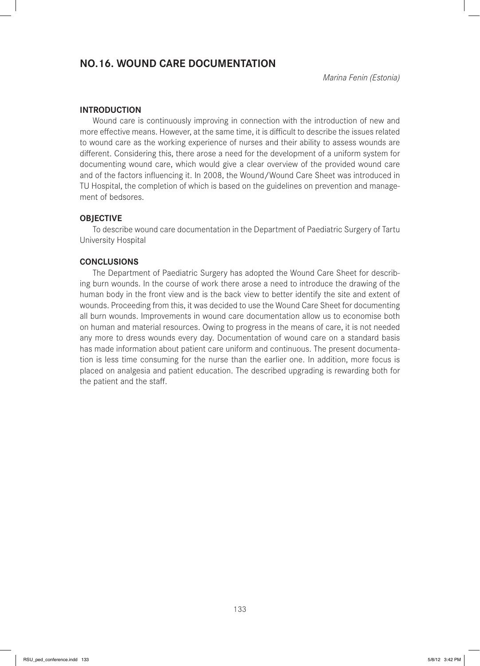# **NO.16. WOUND CARE DOCUMENTATION**

*Marina Fenin (Estonia)*

## **INTRODUCTION**

Wound care is continuously improving in connection with the introduction of new and more effective means. However, at the same time, it is difficult to describe the issues related to wound care as the working experience of nurses and their ability to assess wounds are different. Considering this, there arose a need for the development of a uniform system for documenting wound care, which would give a clear overview of the provided wound care and of the factors influencing it. In 2008, the Wound/Wound Care Sheet was introduced in TU Hospital, the completion of which is based on the guidelines on prevention and management of bedsores.

## **OBJECTIVE**

To describe wound care documentation in the Department of Paediatric Surgery of Tartu University Hospital

## **CONCLUSIONS**

The Department of Paediatric Surgery has adopted the Wound Care Sheet for describing burn wounds. In the course of work there arose a need to introduce the drawing of the human body in the front view and is the back view to better identify the site and extent of wounds. Proceeding from this, it was decided to use the Wound Care Sheet for documenting all burn wounds. Improvements in wound care documentation allow us to economise both on human and material resources. Owing to progress in the means of care, it is not needed any more to dress wounds every day. Documentation of wound care on a standard basis has made information about patient care uniform and continuous. The present documentation is less time consuming for the nurse than the earlier one. In addition, more focus is placed on analgesia and patient education. The described upgrading is rewarding both for the patient and the staff.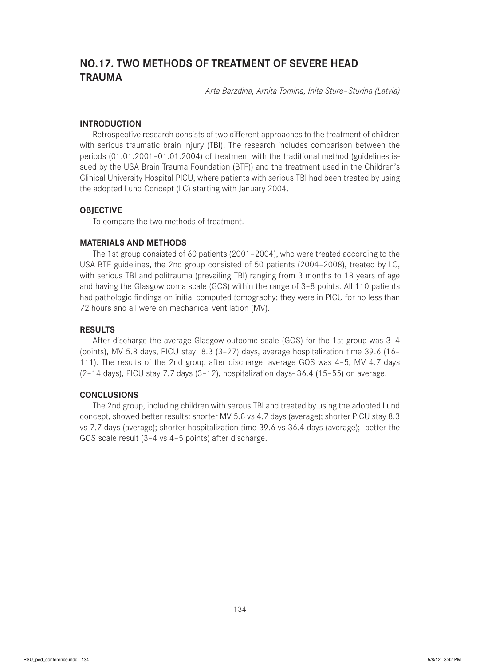# **NO.17. TWO METHODS OF TREATMENT OF SEVERE HEAD TRAUMA**

*Arta Barzdina, Arnita Tomina, Inita Sture–Sturina (Latvia)*

## **INTRODUCTION**

Retrospective research consists of two different approaches to the treatment of children with serious traumatic brain injury (TBI). The research includes comparison between the periods (01.01.2001–01.01.2004) of treatment with the traditional method (guidelines issued by the USA Brain Trauma Foundation (BTF)) and the treatment used in the Children's Clinical University Hospital PICU, where patients with serious TBI had been treated by using the adopted Lund Concept (LC) starting with January 2004.

## **OBJECTIVE**

To compare the two methods of treatment.

### **MATERIALS AND METHODS**

The 1st group consisted of 60 patients (2001–2004), who were treated according to the USA BTF guidelines, the 2nd group consisted of 50 patients (2004–2008), treated by LC, with serious TBI and politrauma (prevailing TBI) ranging from 3 months to 18 years of age and having the Glasgow coma scale (GCS) within the range of 3–8 points. All 110 patients had pathologic findings on initial computed tomography; they were in PICU for no less than 72 hours and all were on mechanical ventilation (MV).

## **RESULTS**

After discharge the average Glasgow outcome scale (GOS) for the 1st group was 3–4 (points), MV 5.8 days, PICU stay 8.3 (3–27) days, average hospitalization time 39.6 (16– 111). The results of the 2nd group after discharge: average GOS was 4–5, MV 4.7 days (2–14 days), PICU stay 7.7 days (3–12), hospitalization days- 36.4 (15–55) on average.

### **CONCLUSIONS**

The 2nd group, including children with serous TBI and treated by using the adopted Lund concept, showed better results: shorter MV 5.8 vs 4.7 days (average); shorter PICU stay 8.3 vs 7.7 days (average); shorter hospitalization time 39.6 vs 36.4 days (average); better the GOS scale result (3–4 vs 4–5 points) after discharge.